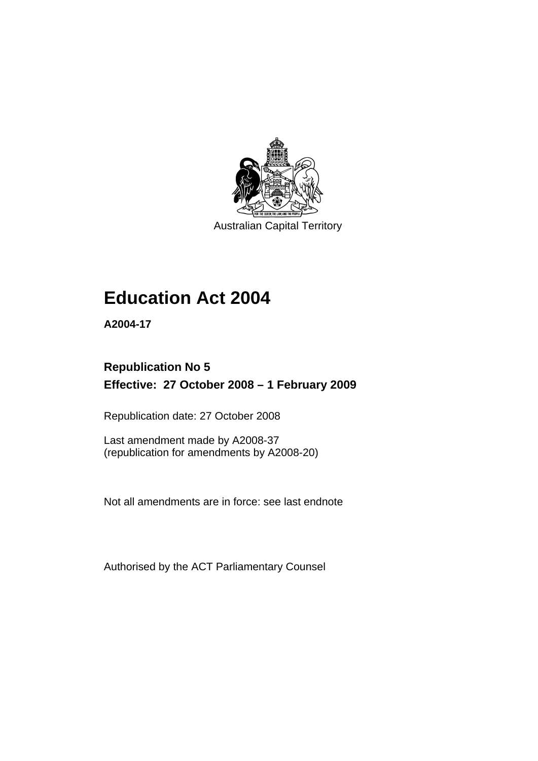

Australian Capital Territory

# **[Education Act 2004](#page-10-0)**

**A2004-17** 

# **Republication No 5 Effective: 27 October 2008 – 1 February 2009**

Republication date: 27 October 2008

Last amendment made by A2008-37 (republication for amendments by A2008-20)

Not all amendments are in force: see last endnote

Authorised by the ACT Parliamentary Counsel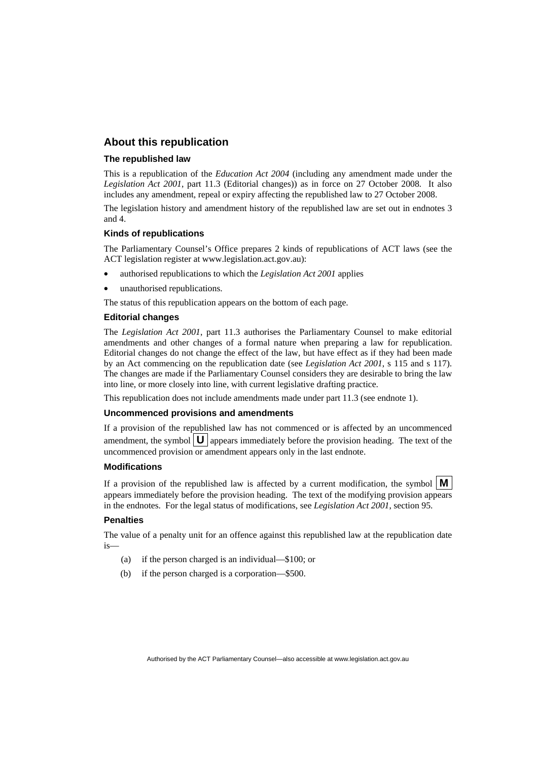#### **About this republication**

#### **The republished law**

This is a republication of the *Education Act 2004* (including any amendment made under the *Legislation Act 2001*, part 11.3 (Editorial changes)) as in force on 27 October 2008*.* It also includes any amendment, repeal or expiry affecting the republished law to 27 October 2008.

The legislation history and amendment history of the republished law are set out in endnotes 3 and 4.

#### **Kinds of republications**

The Parliamentary Counsel's Office prepares 2 kinds of republications of ACT laws (see the ACT legislation register at www.legislation.act.gov.au):

- authorised republications to which the *Legislation Act 2001* applies
- unauthorised republications.

The status of this republication appears on the bottom of each page.

#### **Editorial changes**

The *Legislation Act 2001*, part 11.3 authorises the Parliamentary Counsel to make editorial amendments and other changes of a formal nature when preparing a law for republication. Editorial changes do not change the effect of the law, but have effect as if they had been made by an Act commencing on the republication date (see *Legislation Act 2001*, s 115 and s 117). The changes are made if the Parliamentary Counsel considers they are desirable to bring the law into line, or more closely into line, with current legislative drafting practice.

This republication does not include amendments made under part 11.3 (see endnote 1).

#### **Uncommenced provisions and amendments**

If a provision of the republished law has not commenced or is affected by an uncommenced amendment, the symbol  $\mathbf{U}$  appears immediately before the provision heading. The text of the uncommenced provision or amendment appears only in the last endnote.

#### **Modifications**

If a provision of the republished law is affected by a current modification, the symbol  $\mathbf{M}$ appears immediately before the provision heading. The text of the modifying provision appears in the endnotes. For the legal status of modifications, see *Legislation Act 2001*, section 95.

#### **Penalties**

The value of a penalty unit for an offence against this republished law at the republication date is—

- (a) if the person charged is an individual—\$100; or
- (b) if the person charged is a corporation—\$500.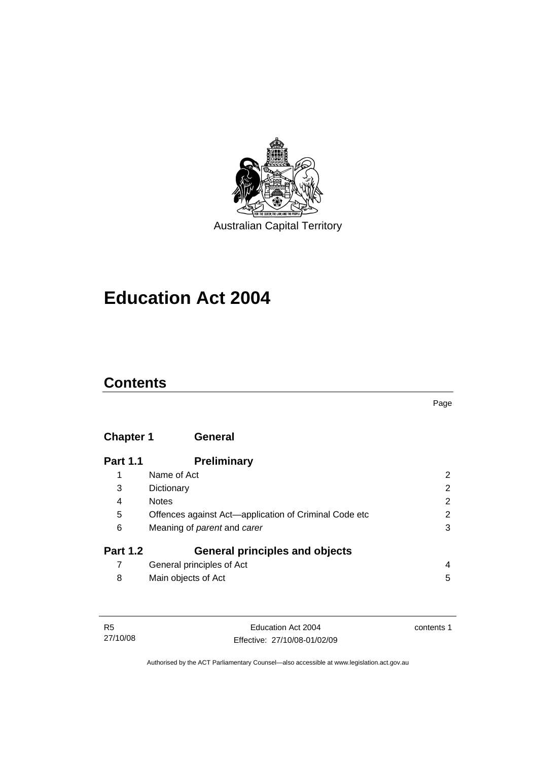

**[Education Act 2004](#page-10-0)** 

# **Contents**

## **Chapter 1 General**

| <b>Part 1.1</b> | Preliminary                                           |   |
|-----------------|-------------------------------------------------------|---|
| 1               | Name of Act                                           | 2 |
| 3               | Dictionary                                            | 2 |
| 4               | <b>Notes</b>                                          | 2 |
| 5               | Offences against Act-application of Criminal Code etc | 2 |
| 6               | Meaning of <i>parent</i> and <i>carer</i>             | 3 |
| <b>Part 1.2</b> | <b>General principles and objects</b>                 |   |
| 7               | General principles of Act                             | 4 |
| 8               | Main objects of Act                                   | 5 |

| R5       | Education Act 2004           | contents 1 |
|----------|------------------------------|------------|
| 27/10/08 | Effective: 27/10/08-01/02/09 |            |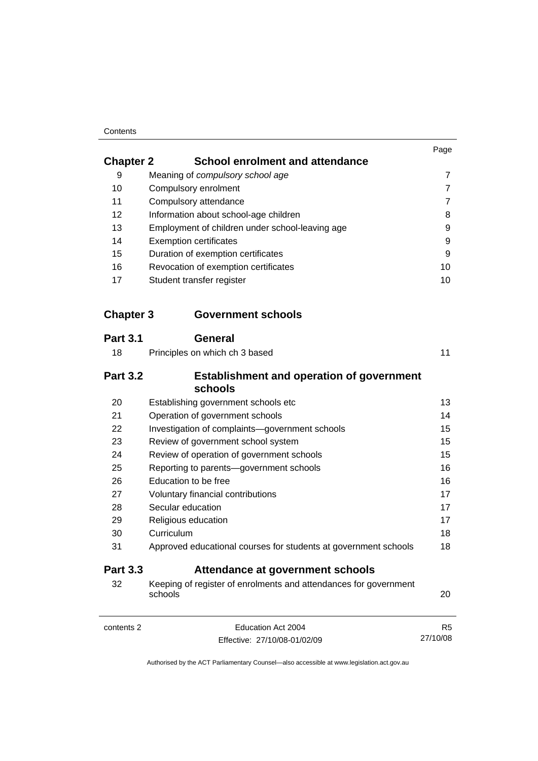#### **Contents**

|                             |                                                                             | Page           |
|-----------------------------|-----------------------------------------------------------------------------|----------------|
| <b>Chapter 2</b>            | <b>School enrolment and attendance</b>                                      |                |
| 9                           | Meaning of compulsory school age                                            | 7              |
| 10                          | Compulsory enrolment                                                        | 7              |
| 11<br>Compulsory attendance |                                                                             | $\overline{7}$ |
| 12                          | Information about school-age children                                       | 8              |
| 13                          | Employment of children under school-leaving age                             | 9              |
| 14                          | <b>Exemption certificates</b>                                               | 9              |
| 15                          | Duration of exemption certificates                                          | 9              |
| 16                          | Revocation of exemption certificates                                        | 10             |
| 17                          | Student transfer register                                                   | 10             |
| <b>Chapter 3</b>            | <b>Government schools</b>                                                   |                |
| <b>Part 3.1</b>             | <b>General</b>                                                              |                |
| 18                          | Principles on which ch 3 based                                              | 11             |
| <b>Part 3.2</b>             | <b>Establishment and operation of government</b><br>schools                 |                |
| 20                          | Establishing government schools etc                                         | 13             |
| 21                          | Operation of government schools                                             | 14             |
| 22                          | Investigation of complaints-government schools                              | 15             |
| 23                          | Review of government school system                                          | 15             |
| 24                          | Review of operation of government schools                                   | 15             |
| 25                          | Reporting to parents-government schools                                     | 16             |
| 26                          | Education to be free                                                        | 16             |
| 27                          | Voluntary financial contributions                                           | 17             |
| 28                          | Secular education                                                           | 17             |
| 29                          | Religious education                                                         | 17             |
| 30                          | Curriculum                                                                  | 18             |
| 31                          | Approved educational courses for students at government schools             | 18             |
| <b>Part 3.3</b>             | Attendance at government schools                                            |                |
| 32                          | Keeping of register of enrolments and attendances for government<br>schools | 20             |
| contents 2                  | Education Act 2004                                                          | R <sub>5</sub> |
|                             | Effective: 27/10/08-01/02/09                                                | 27/10/08       |
|                             |                                                                             |                |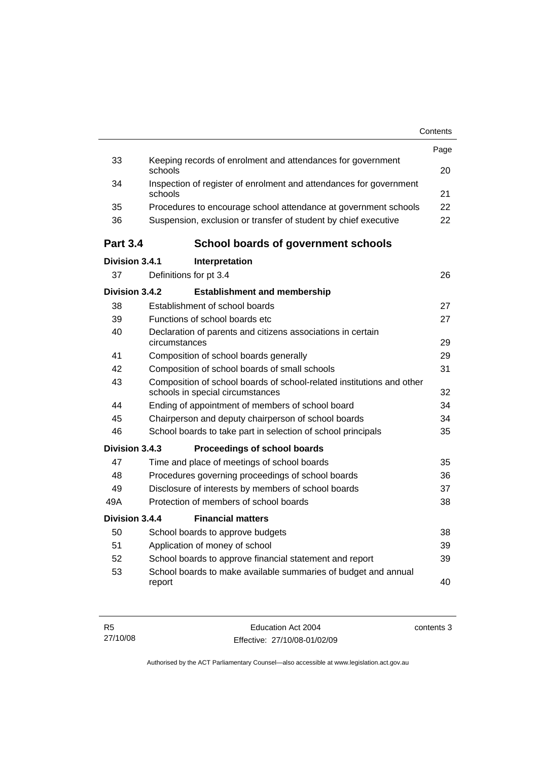|                 |                                                                                                           | Contents |
|-----------------|-----------------------------------------------------------------------------------------------------------|----------|
|                 |                                                                                                           | Page     |
| 33              | Keeping records of enrolment and attendances for government<br>schools                                    | 20       |
| 34              | Inspection of register of enrolment and attendances for government<br>schools                             | 21       |
| 35              | Procedures to encourage school attendance at government schools                                           | 22       |
| 36              | Suspension, exclusion or transfer of student by chief executive                                           | 22       |
| <b>Part 3.4</b> | <b>School boards of government schools</b>                                                                |          |
| Division 3.4.1  | Interpretation                                                                                            |          |
| 37              | Definitions for pt 3.4                                                                                    | 26       |
| Division 3.4.2  | <b>Establishment and membership</b>                                                                       |          |
| 38              | Establishment of school boards                                                                            | 27       |
| 39              | Functions of school boards etc.                                                                           | 27       |
| 40              | Declaration of parents and citizens associations in certain<br>circumstances                              | 29       |
| 41              | Composition of school boards generally                                                                    | 29       |
| 42              | Composition of school boards of small schools                                                             | 31       |
| 43              | Composition of school boards of school-related institutions and other<br>schools in special circumstances | 32       |
| 44              | Ending of appointment of members of school board                                                          | 34       |
| 45              | Chairperson and deputy chairperson of school boards                                                       | 34       |
| 46              | School boards to take part in selection of school principals                                              | 35       |
| Division 3.4.3  | Proceedings of school boards                                                                              |          |
| 47              | Time and place of meetings of school boards                                                               | 35       |
| 48              | Procedures governing proceedings of school boards                                                         | 36       |
| 49              | Disclosure of interests by members of school boards                                                       | 37       |
| 49A             | Protection of members of school boards                                                                    | 38       |
| Division 3.4.4  | <b>Financial matters</b>                                                                                  |          |
| 50              | School boards to approve budgets                                                                          | 38       |
| 51              | Application of money of school                                                                            | 39       |
| 52              | School boards to approve financial statement and report                                                   | 39       |
| 53              | School boards to make available summaries of budget and annual<br>report                                  | 40       |
|                 |                                                                                                           |          |

| R5       | Education Act 2004           | contents 3 |
|----------|------------------------------|------------|
| 27/10/08 | Effective: 27/10/08-01/02/09 |            |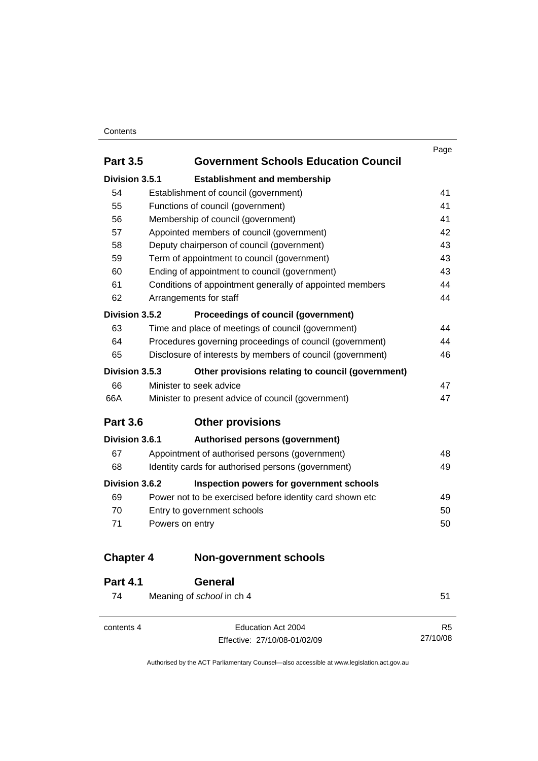#### Contents

|                  |                                                            | Page |
|------------------|------------------------------------------------------------|------|
| <b>Part 3.5</b>  | <b>Government Schools Education Council</b>                |      |
| Division 3.5.1   | <b>Establishment and membership</b>                        |      |
| 54               | Establishment of council (government)                      | 41   |
| 55               | Functions of council (government)                          | 41   |
| 56               | Membership of council (government)                         | 41   |
| 57               | Appointed members of council (government)                  | 42   |
| 58               | Deputy chairperson of council (government)                 | 43   |
| 59               | Term of appointment to council (government)                | 43   |
| 60               | Ending of appointment to council (government)              | 43   |
| 61               | Conditions of appointment generally of appointed members   | 44   |
| 62               | Arrangements for staff                                     | 44   |
| Division 3.5.2   | Proceedings of council (government)                        |      |
| 63               | Time and place of meetings of council (government)         | 44   |
| 64               | Procedures governing proceedings of council (government)   | 44   |
| 65               | Disclosure of interests by members of council (government) | 46   |
| Division 3.5.3   | Other provisions relating to council (government)          |      |
| 66               | Minister to seek advice                                    | 47   |
| 66A              | Minister to present advice of council (government)         | 47   |
| <b>Part 3.6</b>  | <b>Other provisions</b>                                    |      |
| Division 3.6.1   | Authorised persons (government)                            |      |
| 67               | Appointment of authorised persons (government)             | 48   |
| 68               | Identity cards for authorised persons (government)         | 49   |
| Division 3.6.2   | Inspection powers for government schools                   |      |
| 69               | Power not to be exercised before identity card shown etc   | 49   |
| 70               | Entry to government schools                                | 50   |
| 71               | Powers on entry                                            | 50   |
| <b>Chapter 4</b> | <b>Non-government schools</b>                              |      |
| Dart 11          | Canaral                                                    |      |

| <b>Fail 4.1</b> | <b>UENEI di</b>                                    |                            |
|-----------------|----------------------------------------------------|----------------------------|
| 74              | Meaning of school in ch 4                          | 51                         |
| contents 4      | Education Act 2004<br>Effective: 27/10/08-01/02/09 | R <sub>5</sub><br>27/10/08 |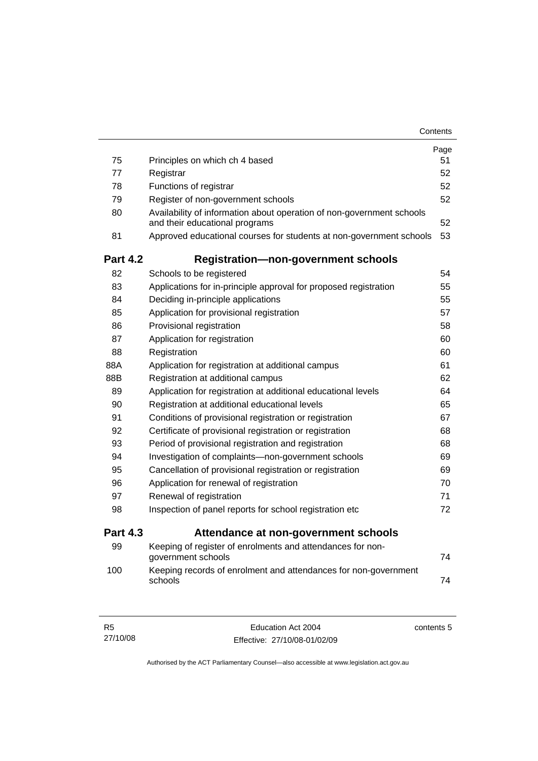|                 |                                                                                                         | Contents |
|-----------------|---------------------------------------------------------------------------------------------------------|----------|
|                 |                                                                                                         | Page     |
| 75              | Principles on which ch 4 based                                                                          | 51       |
| 77              | Registrar                                                                                               | 52       |
| 78              | Functions of registrar                                                                                  | 52       |
| 79              | Register of non-government schools                                                                      | 52       |
| 80              | Availability of information about operation of non-government schools<br>and their educational programs | 52       |
| 81              | Approved educational courses for students at non-government schools                                     | 53       |
| <b>Part 4.2</b> | <b>Registration-non-government schools</b>                                                              |          |
| 82              | Schools to be registered                                                                                | 54       |
| 83              | Applications for in-principle approval for proposed registration                                        | 55       |
| 84              | Deciding in-principle applications                                                                      | 55       |
| 85              | Application for provisional registration                                                                | 57       |
| 86              | Provisional registration                                                                                | 58       |
| 87              | Application for registration                                                                            | 60       |
| 88              | Registration                                                                                            | 60       |
| 88A             | Application for registration at additional campus                                                       | 61       |
| 88B             | Registration at additional campus                                                                       | 62       |
| 89              | Application for registration at additional educational levels                                           | 64       |
| 90              | Registration at additional educational levels                                                           | 65       |
| 91              | Conditions of provisional registration or registration                                                  | 67       |
| 92              | Certificate of provisional registration or registration                                                 | 68       |
| 93              | Period of provisional registration and registration                                                     | 68       |
| 94              | Investigation of complaints-non-government schools                                                      | 69       |
| 95              | Cancellation of provisional registration or registration                                                | 69       |
| 96              | Application for renewal of registration                                                                 | 70       |
| 97              | Renewal of registration                                                                                 | 71       |
| 98              | Inspection of panel reports for school registration etc                                                 | 72       |
| <b>Part 4.3</b> | Attendance at non-government schools                                                                    |          |
| 99              | Keeping of register of enrolments and attendances for non-<br>government schools                        | 74       |
| 100             | Keeping records of enrolment and attendances for non-government<br>schools                              | 74       |

| - R5     | Education Act 2004           | contents 5 |
|----------|------------------------------|------------|
| 27/10/08 | Effective: 27/10/08-01/02/09 |            |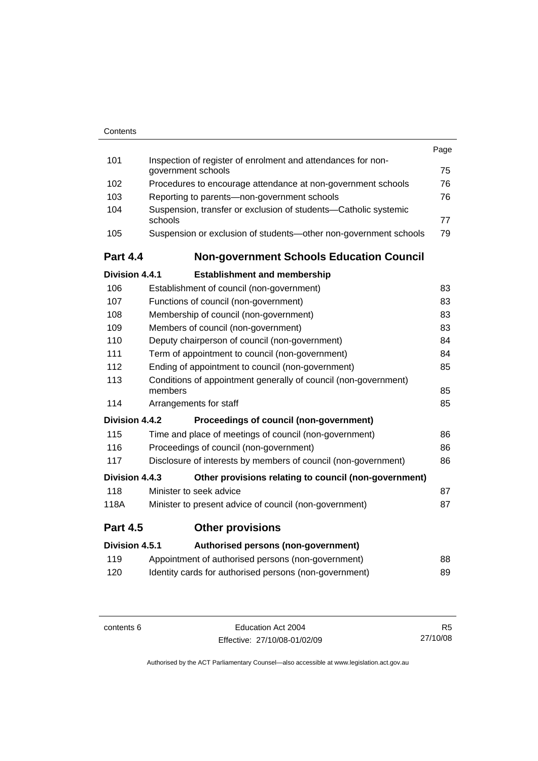| Contents |
|----------|
|          |

|                 |                                                                                    | Page |
|-----------------|------------------------------------------------------------------------------------|------|
| 101             | Inspection of register of enrolment and attendances for non-<br>government schools | 75   |
| 102             | Procedures to encourage attendance at non-government schools                       | 76   |
| 103             | Reporting to parents-non-government schools                                        | 76   |
| 104             | Suspension, transfer or exclusion of students-Catholic systemic                    |      |
|                 | schools                                                                            | 77   |
| 105             | Suspension or exclusion of students-other non-government schools                   | 79   |
| <b>Part 4.4</b> | <b>Non-government Schools Education Council</b>                                    |      |
| Division 4.4.1  | <b>Establishment and membership</b>                                                |      |
| 106             | Establishment of council (non-government)                                          | 83   |
| 107             | Functions of council (non-government)                                              | 83   |
| 108             | Membership of council (non-government)                                             | 83   |
| 109             | Members of council (non-government)                                                | 83   |
| 110             | Deputy chairperson of council (non-government)                                     | 84   |
| 111             | Term of appointment to council (non-government)                                    | 84   |
| 112             | Ending of appointment to council (non-government)                                  | 85   |
| 113             | Conditions of appointment generally of council (non-government)<br>members         | 85   |
| 114             | Arrangements for staff                                                             | 85   |
| Division 4.4.2  | Proceedings of council (non-government)                                            |      |
| 115             | Time and place of meetings of council (non-government)                             | 86   |
| 116             | Proceedings of council (non-government)                                            | 86   |
| 117             | Disclosure of interests by members of council (non-government)                     | 86   |
| Division 4.4.3  | Other provisions relating to council (non-government)                              |      |
| 118             | Minister to seek advice                                                            | 87   |
| 118A            | Minister to present advice of council (non-government)                             | 87   |
|                 |                                                                                    |      |
| <b>Part 4.5</b> | <b>Other provisions</b>                                                            |      |
| Division 4.5.1  | Authorised persons (non-government)                                                |      |
| 119             | Appointment of authorised persons (non-government)                                 | 88   |
| 120             | Identity cards for authorised persons (non-government)                             | 89   |
|                 |                                                                                    |      |

contents 6 Education Act 2004 Effective: 27/10/08-01/02/09

R5 27/10/08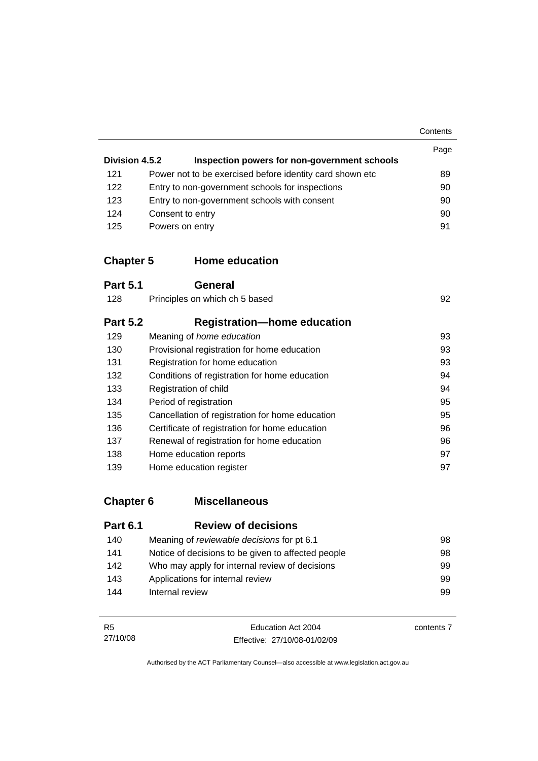**Contents** 

| Division 4.5.2 | Inspection powers for non-government schools              | Page |
|----------------|-----------------------------------------------------------|------|
| 121            | Power not to be exercised before identity card shown etc. | 89   |
| 122            | Entry to non-government schools for inspections           | 90   |
| 123            | Entry to non-government schools with consent              | 90   |
| 124            | Consent to entry                                          | 90   |
| 125            | Powers on entry                                           | 91   |

## **Chapter 5 Home education**

| <b>Part 5.1</b> | <b>General</b>                                  |    |
|-----------------|-------------------------------------------------|----|
| 128             | Principles on which ch 5 based                  | 92 |
| <b>Part 5.2</b> | <b>Registration-home education</b>              |    |
| 129             | Meaning of home education                       | 93 |
| 130             | Provisional registration for home education     | 93 |
| 131             | Registration for home education                 | 93 |
| 132             | Conditions of registration for home education   | 94 |
| 133             | Registration of child                           | 94 |
| 134             | Period of registration                          | 95 |
| 135             | Cancellation of registration for home education | 95 |
| 136             | Certificate of registration for home education  | 96 |
| 137             | Renewal of registration for home education      | 96 |
| 138             | Home education reports                          | 97 |
| 139             | Home education register                         | 97 |

# **Chapter 6 Miscellaneous**

| <b>Part 6.1</b> | <b>Review of decisions</b>                         |     |
|-----------------|----------------------------------------------------|-----|
| 140             | Meaning of <i>reviewable</i> decisions for pt 6.1  | 98  |
| 141             | Notice of decisions to be given to affected people | 98  |
| 142             | Who may apply for internal review of decisions     | 99. |
| 143             | Applications for internal review                   | 99  |
| 144             | Internal review                                    | 99  |

| <b>R5</b> | Education Act 2004           | contents 7 |
|-----------|------------------------------|------------|
| 27/10/08  | Effective: 27/10/08-01/02/09 |            |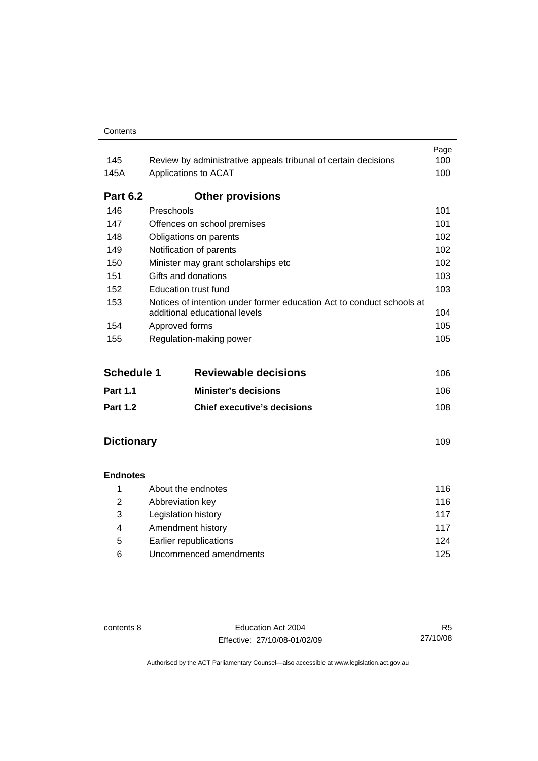|                   |                                                                                                        | Page |
|-------------------|--------------------------------------------------------------------------------------------------------|------|
| 145               | Review by administrative appeals tribunal of certain decisions                                         | 100  |
| 145A              | Applications to ACAT                                                                                   | 100  |
| <b>Part 6.2</b>   | <b>Other provisions</b>                                                                                |      |
| 146               | Preschools                                                                                             | 101  |
| 147               | Offences on school premises                                                                            | 101  |
| 148               | Obligations on parents                                                                                 | 102  |
| 149               | Notification of parents                                                                                | 102  |
| 150               | Minister may grant scholarships etc                                                                    |      |
| 151               | Gifts and donations                                                                                    |      |
| 152               | Education trust fund                                                                                   | 103  |
| 153               | Notices of intention under former education Act to conduct schools at<br>additional educational levels | 104  |
| 154               | Approved forms                                                                                         | 105  |
| 155               | Regulation-making power                                                                                | 105  |
| <b>Schedule 1</b> | <b>Reviewable decisions</b>                                                                            | 106  |
| <b>Part 1.1</b>   | <b>Minister's decisions</b>                                                                            | 106  |
| <b>Part 1.2</b>   | <b>Chief executive's decisions</b>                                                                     | 108  |

## **Dictionary** [109](#page-118-0)

## **Endnotes**

|   | About the endnotes     | 116 |
|---|------------------------|-----|
| 2 | Abbreviation key       | 116 |
| 3 | Legislation history    | 117 |
| 4 | Amendment history      | 117 |
| 5 | Earlier republications | 124 |
| 6 | Uncommenced amendments | 125 |

contents 8 Education Act 2004 Effective: 27/10/08-01/02/09

R5 27/10/08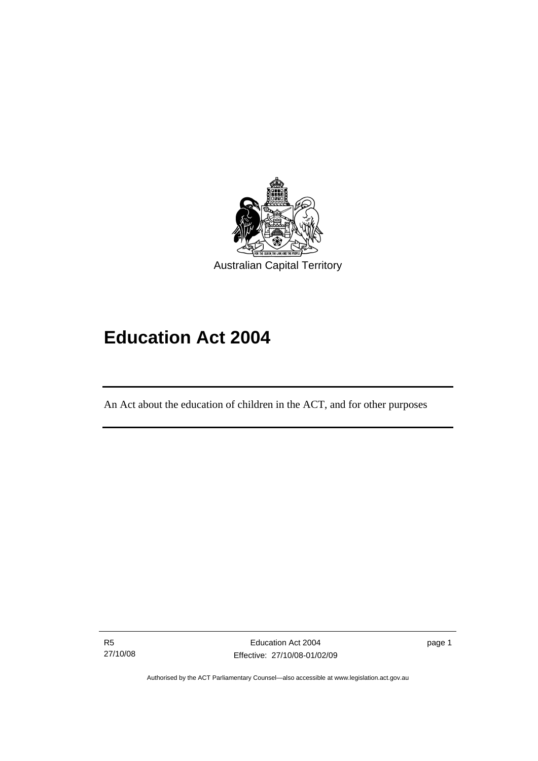<span id="page-10-0"></span>

# **Education Act 2004**

An Act about the education of children in the ACT, and for other purposes

R5 27/10/08

I

page 1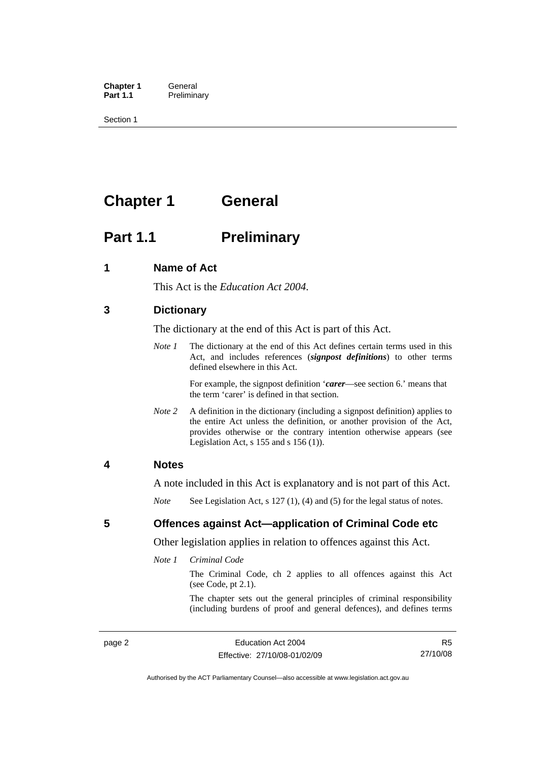<span id="page-11-0"></span>**Chapter 1** General<br> **Part 1.1** Prelimin **Preliminary** 

Section 1

# **Chapter 1 General**

# **Part 1.1** Preliminary

#### **1 Name of Act**

This Act is the *Education Act 2004*.

#### **3 Dictionary**

The dictionary at the end of this Act is part of this Act.

*Note 1* The dictionary at the end of this Act defines certain terms used in this Act, and includes references (*signpost definitions*) to other terms defined elsewhere in this Act.

> For example, the signpost definition '*carer*—see section 6.' means that the term 'carer' is defined in that section.

*Note* 2 A definition in the dictionary (including a signpost definition) applies to the entire Act unless the definition, or another provision of the Act, provides otherwise or the contrary intention otherwise appears (see Legislation Act,  $s$  155 and  $s$  156 (1)).

#### **4 Notes**

A note included in this Act is explanatory and is not part of this Act.

*Note* See Legislation Act, s 127 (1), (4) and (5) for the legal status of notes.

#### **5 Offences against Act—application of Criminal Code etc**

Other legislation applies in relation to offences against this Act.

*Note 1 Criminal Code*

The Criminal Code, ch 2 applies to all offences against this Act (see Code, pt 2.1).

The chapter sets out the general principles of criminal responsibility (including burdens of proof and general defences), and defines terms

R5 27/10/08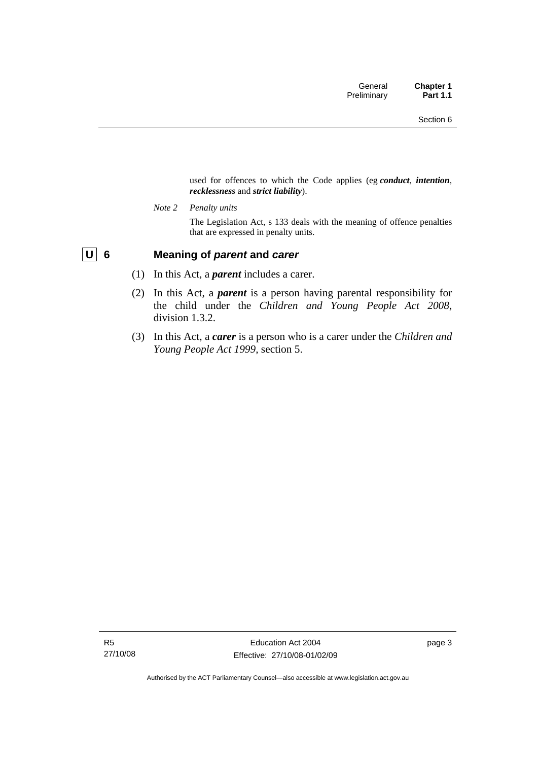used for offences to which the Code applies (eg *conduct*, *intention*, *recklessness* and *strict liability*).

<span id="page-12-0"></span>*Note 2 Penalty units* 

The Legislation Act, s 133 deals with the meaning of offence penalties that are expressed in penalty units.

## **U 6 Meaning of** *parent* **and** *carer*

- (1) In this Act, a *parent* includes a carer.
- (2) In this Act, a *parent* is a person having parental responsibility for the child under the *Children and Young People Act 2008*, division 1.3.2.
- (3) In this Act, a *carer* is a person who is a carer under the *Children and Young People Act 1999*, section 5.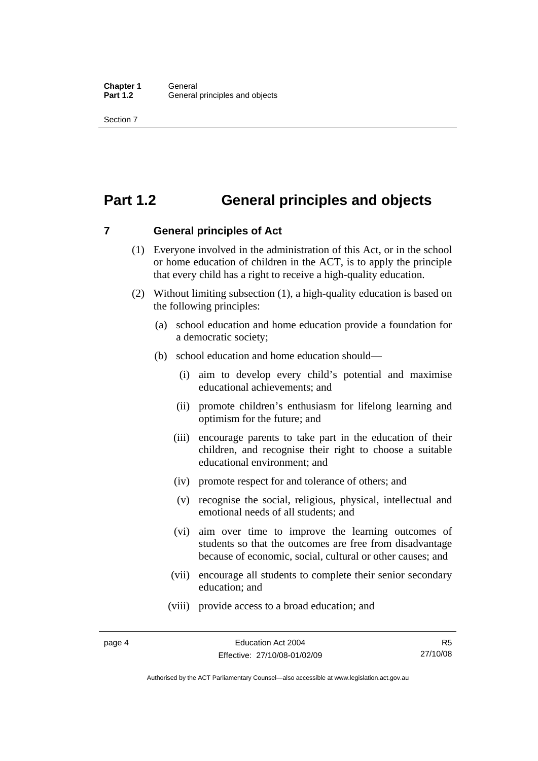# <span id="page-13-0"></span>**Part 1.2 General principles and objects**

**7 General principles of Act** 

- (1) Everyone involved in the administration of this Act, or in the school or home education of children in the ACT, is to apply the principle that every child has a right to receive a high-quality education.
- (2) Without limiting subsection (1), a high-quality education is based on the following principles:
	- (a) school education and home education provide a foundation for a democratic society;
	- (b) school education and home education should—
		- (i) aim to develop every child's potential and maximise educational achievements; and
		- (ii) promote children's enthusiasm for lifelong learning and optimism for the future; and
		- (iii) encourage parents to take part in the education of their children, and recognise their right to choose a suitable educational environment; and
		- (iv) promote respect for and tolerance of others; and
		- (v) recognise the social, religious, physical, intellectual and emotional needs of all students; and
		- (vi) aim over time to improve the learning outcomes of students so that the outcomes are free from disadvantage because of economic, social, cultural or other causes; and
		- (vii) encourage all students to complete their senior secondary education; and
		- (viii) provide access to a broad education; and

Authorised by the ACT Parliamentary Counsel—also accessible at www.legislation.act.gov.au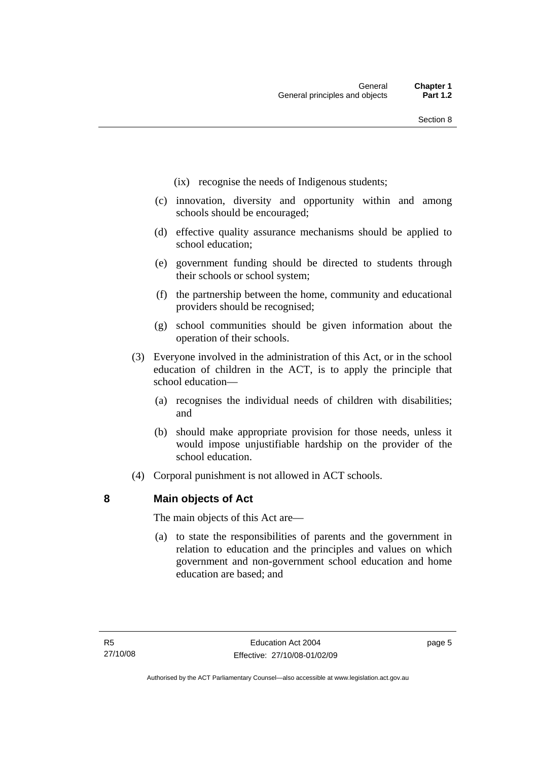- <span id="page-14-0"></span>(ix) recognise the needs of Indigenous students;
- (c) innovation, diversity and opportunity within and among schools should be encouraged;
- (d) effective quality assurance mechanisms should be applied to school education;
- (e) government funding should be directed to students through their schools or school system;
- (f) the partnership between the home, community and educational providers should be recognised;
- (g) school communities should be given information about the operation of their schools.
- (3) Everyone involved in the administration of this Act, or in the school education of children in the ACT, is to apply the principle that school education—
	- (a) recognises the individual needs of children with disabilities; and
	- (b) should make appropriate provision for those needs, unless it would impose unjustifiable hardship on the provider of the school education.
- (4) Corporal punishment is not allowed in ACT schools.

#### **8 Main objects of Act**

The main objects of this Act are—

 (a) to state the responsibilities of parents and the government in relation to education and the principles and values on which government and non-government school education and home education are based; and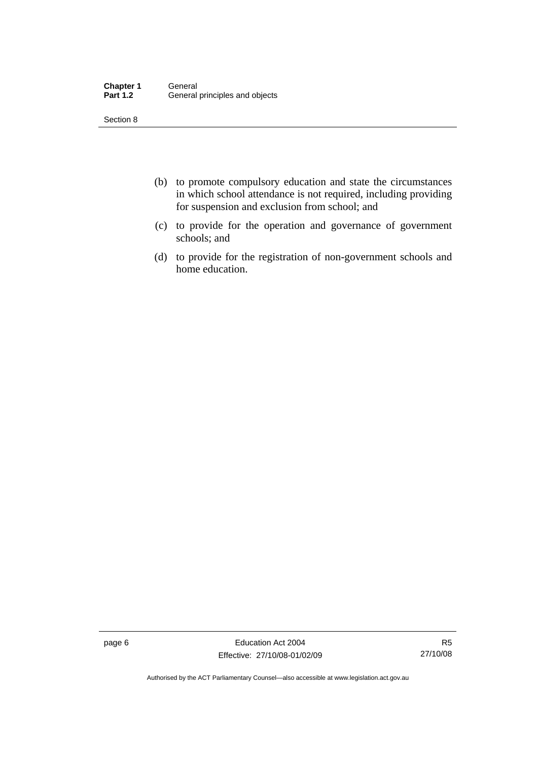| <b>Chapter 1</b> | General                        |
|------------------|--------------------------------|
| <b>Part 1.2</b>  | General principles and objects |

- (b) to promote compulsory education and state the circumstances in which school attendance is not required, including providing for suspension and exclusion from school; and
- (c) to provide for the operation and governance of government schools; and
- (d) to provide for the registration of non-government schools and home education.

page 6 **Education Act 2004** Effective: 27/10/08-01/02/09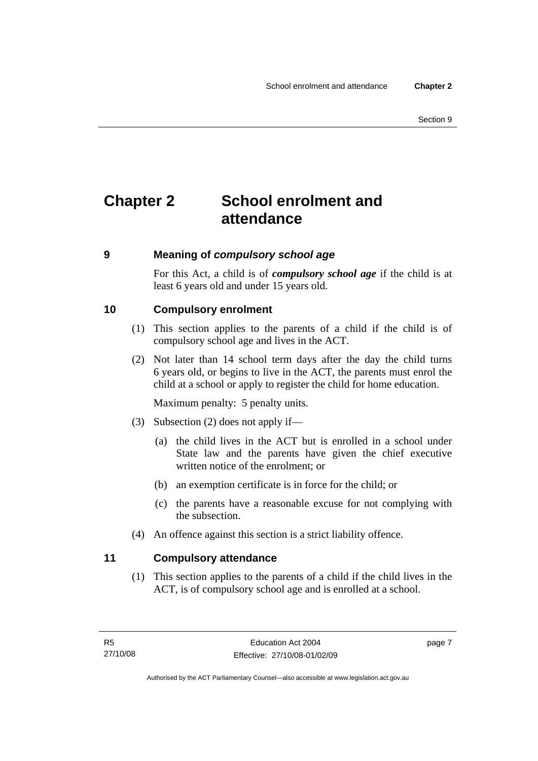# <span id="page-16-0"></span>**Chapter 2 School enrolment and attendance**

#### **9 Meaning of** *compulsory school age*

For this Act, a child is of *compulsory school age* if the child is at least 6 years old and under 15 years old.

#### **10 Compulsory enrolment**

- (1) This section applies to the parents of a child if the child is of compulsory school age and lives in the ACT.
- (2) Not later than 14 school term days after the day the child turns 6 years old, or begins to live in the ACT, the parents must enrol the child at a school or apply to register the child for home education.

Maximum penalty: 5 penalty units.

- (3) Subsection (2) does not apply if—
	- (a) the child lives in the ACT but is enrolled in a school under State law and the parents have given the chief executive written notice of the enrolment; or
	- (b) an exemption certificate is in force for the child; or
	- (c) the parents have a reasonable excuse for not complying with the subsection.
- (4) An offence against this section is a strict liability offence.

## **11 Compulsory attendance**

 (1) This section applies to the parents of a child if the child lives in the ACT, is of compulsory school age and is enrolled at a school.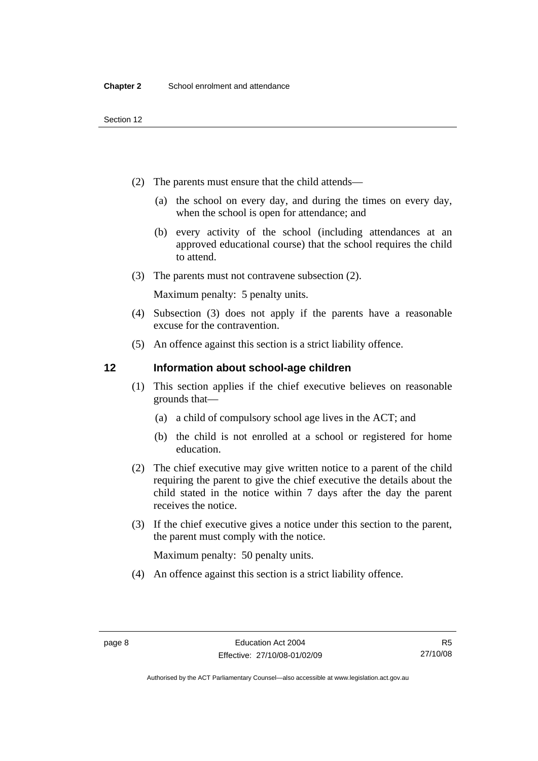- <span id="page-17-0"></span> (2) The parents must ensure that the child attends—
	- (a) the school on every day, and during the times on every day, when the school is open for attendance; and
	- (b) every activity of the school (including attendances at an approved educational course) that the school requires the child to attend.
- (3) The parents must not contravene subsection (2).

Maximum penalty: 5 penalty units.

- (4) Subsection (3) does not apply if the parents have a reasonable excuse for the contravention.
- (5) An offence against this section is a strict liability offence.

#### **12 Information about school-age children**

- (1) This section applies if the chief executive believes on reasonable grounds that—
	- (a) a child of compulsory school age lives in the ACT; and
	- (b) the child is not enrolled at a school or registered for home education.
- (2) The chief executive may give written notice to a parent of the child requiring the parent to give the chief executive the details about the child stated in the notice within 7 days after the day the parent receives the notice.
- (3) If the chief executive gives a notice under this section to the parent, the parent must comply with the notice.

Maximum penalty: 50 penalty units.

(4) An offence against this section is a strict liability offence.

Authorised by the ACT Parliamentary Counsel—also accessible at www.legislation.act.gov.au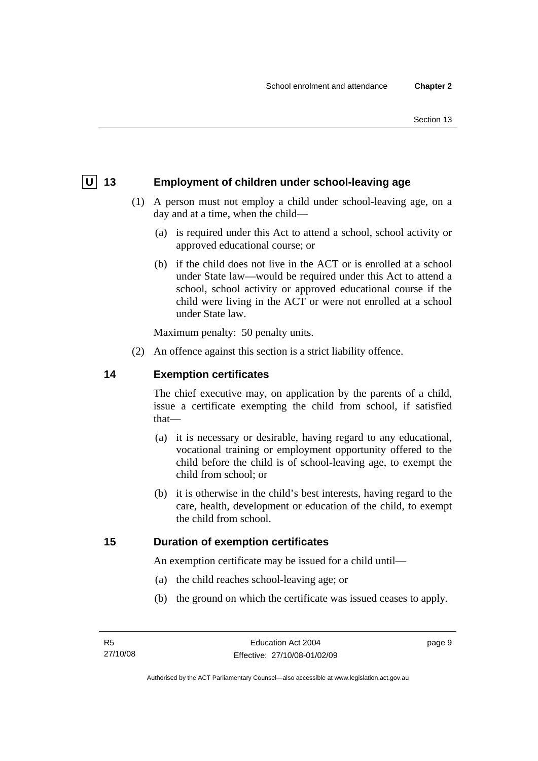## <span id="page-18-0"></span>**U** 13 Employment of children under school-leaving age

- (1) A person must not employ a child under school-leaving age, on a day and at a time, when the child—
	- (a) is required under this Act to attend a school, school activity or approved educational course; or
	- (b) if the child does not live in the ACT or is enrolled at a school under State law—would be required under this Act to attend a school, school activity or approved educational course if the child were living in the ACT or were not enrolled at a school under State law.

Maximum penalty: 50 penalty units.

(2) An offence against this section is a strict liability offence.

#### **14 Exemption certificates**

The chief executive may, on application by the parents of a child, issue a certificate exempting the child from school, if satisfied that—

- (a) it is necessary or desirable, having regard to any educational, vocational training or employment opportunity offered to the child before the child is of school-leaving age, to exempt the child from school; or
- (b) it is otherwise in the child's best interests, having regard to the care, health, development or education of the child, to exempt the child from school.

#### **15 Duration of exemption certificates**

An exemption certificate may be issued for a child until—

- (a) the child reaches school-leaving age; or
- (b) the ground on which the certificate was issued ceases to apply.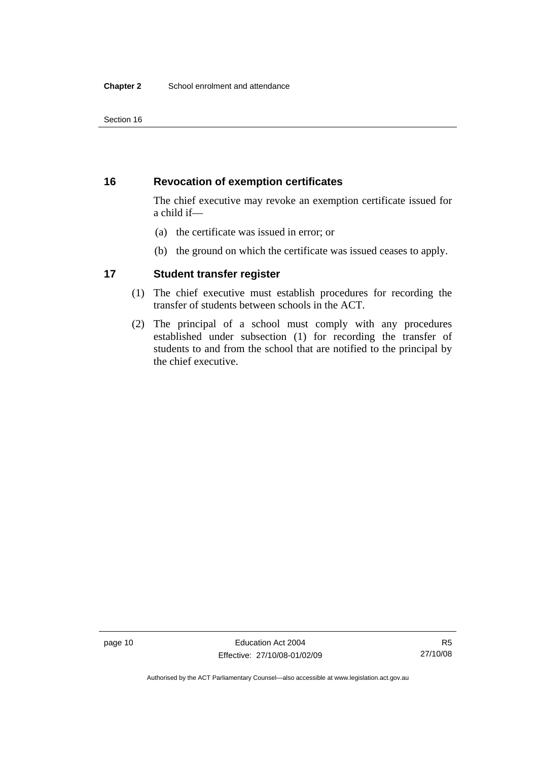## <span id="page-19-0"></span>**16 Revocation of exemption certificates**

The chief executive may revoke an exemption certificate issued for a child if—

- (a) the certificate was issued in error; or
- (b) the ground on which the certificate was issued ceases to apply.

## **17 Student transfer register**

- (1) The chief executive must establish procedures for recording the transfer of students between schools in the ACT.
- (2) The principal of a school must comply with any procedures established under subsection (1) for recording the transfer of students to and from the school that are notified to the principal by the chief executive.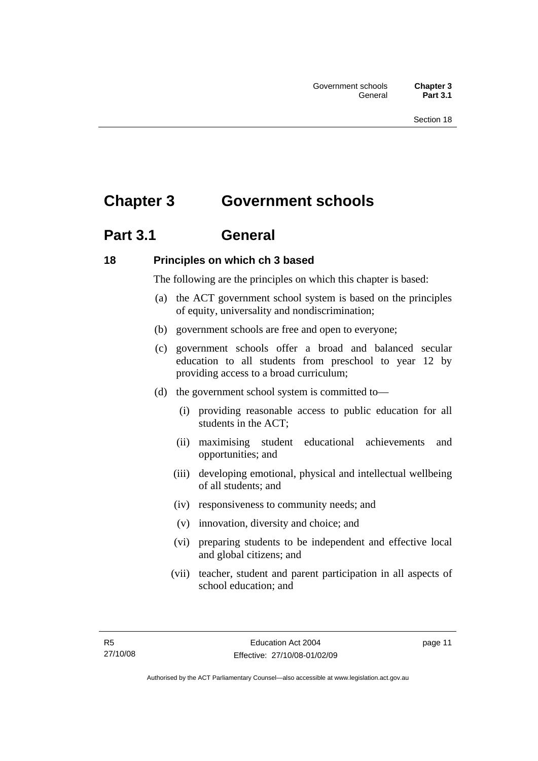# <span id="page-20-0"></span>**Chapter 3 Government schools**

# **Part 3.1 General**

## **18 Principles on which ch 3 based**

The following are the principles on which this chapter is based:

- (a) the ACT government school system is based on the principles of equity, universality and nondiscrimination;
- (b) government schools are free and open to everyone;
- (c) government schools offer a broad and balanced secular education to all students from preschool to year 12 by providing access to a broad curriculum;
- (d) the government school system is committed to—
	- (i) providing reasonable access to public education for all students in the ACT;
	- (ii) maximising student educational achievements and opportunities; and
	- (iii) developing emotional, physical and intellectual wellbeing of all students; and
	- (iv) responsiveness to community needs; and
	- (v) innovation, diversity and choice; and
	- (vi) preparing students to be independent and effective local and global citizens; and
	- (vii) teacher, student and parent participation in all aspects of school education; and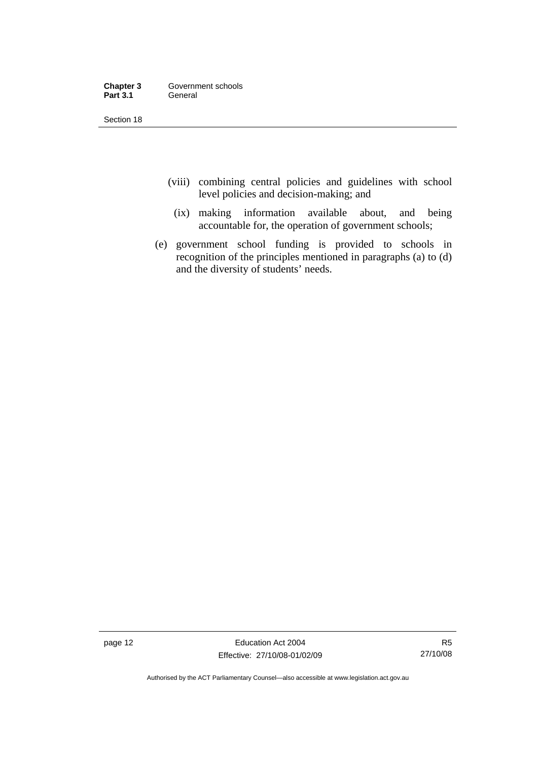| Chapter 3       | Government schools |
|-----------------|--------------------|
| <b>Part 3.1</b> | General            |

- (viii) combining central policies and guidelines with school level policies and decision-making; and
	- (ix) making information available about, and being accountable for, the operation of government schools;
- (e) government school funding is provided to schools in recognition of the principles mentioned in paragraphs (a) to (d) and the diversity of students' needs.

page 12 **Education Act 2004** Effective: 27/10/08-01/02/09

R5 27/10/08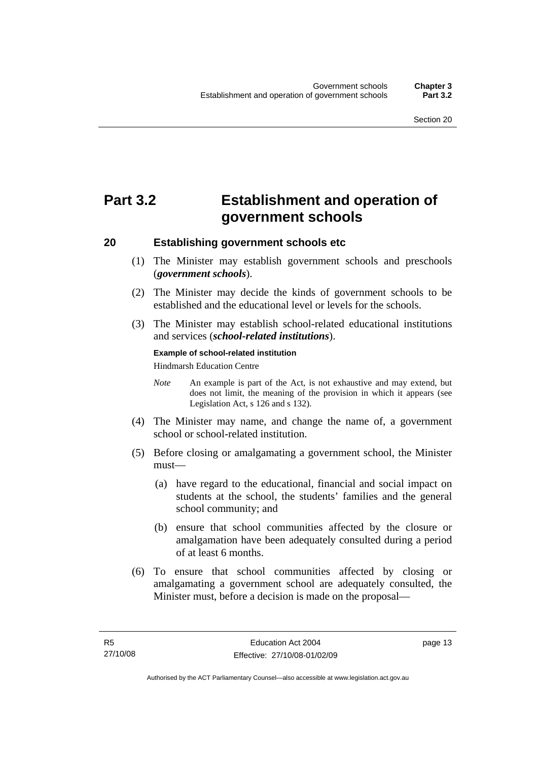# <span id="page-22-0"></span>**Part 3.2 Establishment and operation of government schools**

#### **20 Establishing government schools etc**

- (1) The Minister may establish government schools and preschools (*government schools*).
- (2) The Minister may decide the kinds of government schools to be established and the educational level or levels for the schools.
- (3) The Minister may establish school-related educational institutions and services (*school-related institutions*).

#### **Example of school-related institution**

Hindmarsh Education Centre

- *Note* An example is part of the Act, is not exhaustive and may extend, but does not limit, the meaning of the provision in which it appears (see Legislation Act, s 126 and s 132).
- (4) The Minister may name, and change the name of, a government school or school-related institution.
- (5) Before closing or amalgamating a government school, the Minister must—
	- (a) have regard to the educational, financial and social impact on students at the school, the students' families and the general school community; and
	- (b) ensure that school communities affected by the closure or amalgamation have been adequately consulted during a period of at least 6 months.
- (6) To ensure that school communities affected by closing or amalgamating a government school are adequately consulted, the Minister must, before a decision is made on the proposal—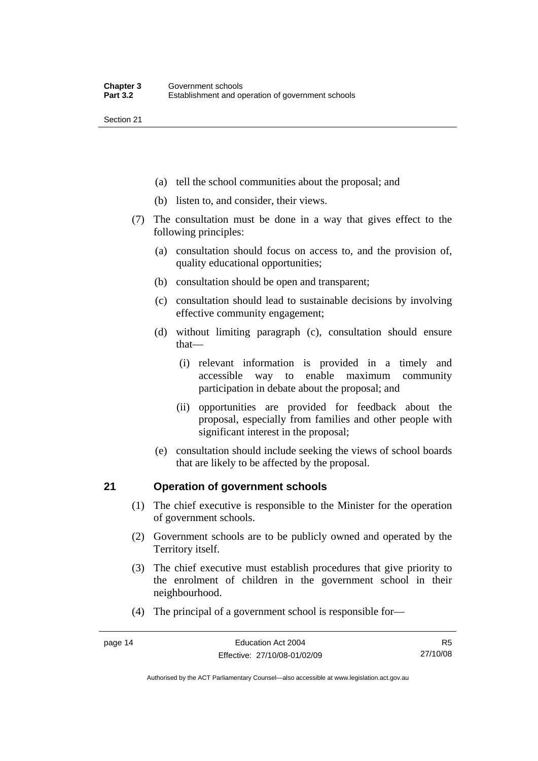- <span id="page-23-0"></span>(a) tell the school communities about the proposal; and
- (b) listen to, and consider, their views.
- (7) The consultation must be done in a way that gives effect to the following principles:
	- (a) consultation should focus on access to, and the provision of, quality educational opportunities;
	- (b) consultation should be open and transparent;
	- (c) consultation should lead to sustainable decisions by involving effective community engagement;
	- (d) without limiting paragraph (c), consultation should ensure that—
		- (i) relevant information is provided in a timely and accessible way to enable maximum community participation in debate about the proposal; and
		- (ii) opportunities are provided for feedback about the proposal, especially from families and other people with significant interest in the proposal;
	- (e) consultation should include seeking the views of school boards that are likely to be affected by the proposal.

## **21 Operation of government schools**

- (1) The chief executive is responsible to the Minister for the operation of government schools.
- (2) Government schools are to be publicly owned and operated by the Territory itself.
- (3) The chief executive must establish procedures that give priority to the enrolment of children in the government school in their neighbourhood.
- (4) The principal of a government school is responsible for—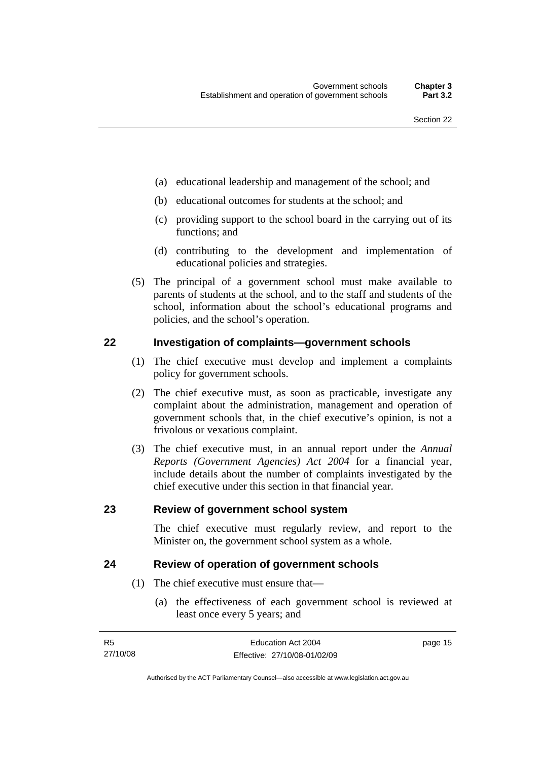- <span id="page-24-0"></span>(a) educational leadership and management of the school; and
- (b) educational outcomes for students at the school; and
- (c) providing support to the school board in the carrying out of its functions; and
- (d) contributing to the development and implementation of educational policies and strategies.
- (5) The principal of a government school must make available to parents of students at the school, and to the staff and students of the school, information about the school's educational programs and policies, and the school's operation.

#### **22 Investigation of complaints—government schools**

- (1) The chief executive must develop and implement a complaints policy for government schools.
- (2) The chief executive must, as soon as practicable, investigate any complaint about the administration, management and operation of government schools that, in the chief executive's opinion, is not a frivolous or vexatious complaint.
- (3) The chief executive must, in an annual report under the *Annual Reports (Government Agencies) Act 2004* for a financial year, include details about the number of complaints investigated by the chief executive under this section in that financial year.

#### **23 Review of government school system**

The chief executive must regularly review, and report to the Minister on, the government school system as a whole.

#### **24 Review of operation of government schools**

- (1) The chief executive must ensure that—
	- (a) the effectiveness of each government school is reviewed at least once every 5 years; and

| - R5     | Education Act 2004           | page 15 |
|----------|------------------------------|---------|
| 27/10/08 | Effective: 27/10/08-01/02/09 |         |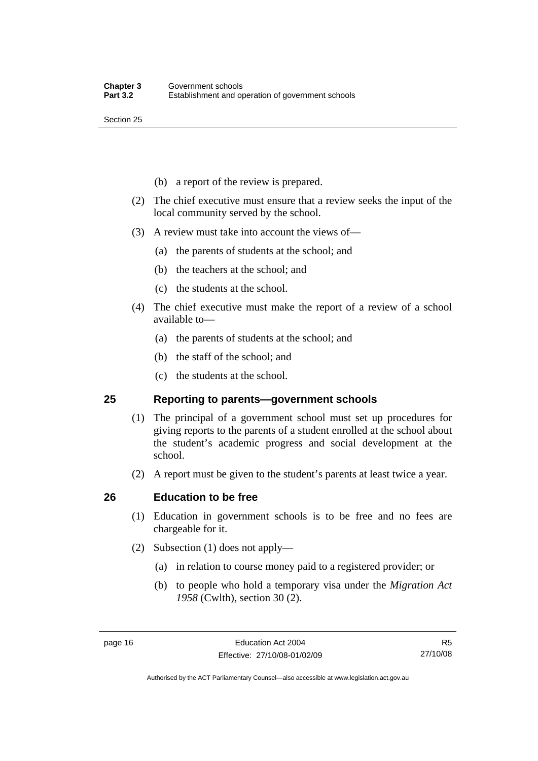- <span id="page-25-0"></span>(b) a report of the review is prepared.
- (2) The chief executive must ensure that a review seeks the input of the local community served by the school.
- (3) A review must take into account the views of—
	- (a) the parents of students at the school; and
	- (b) the teachers at the school; and
	- (c) the students at the school.
- (4) The chief executive must make the report of a review of a school available to—
	- (a) the parents of students at the school; and
	- (b) the staff of the school; and
	- (c) the students at the school.

#### **25 Reporting to parents—government schools**

- (1) The principal of a government school must set up procedures for giving reports to the parents of a student enrolled at the school about the student's academic progress and social development at the school.
- (2) A report must be given to the student's parents at least twice a year.

#### **26 Education to be free**

- (1) Education in government schools is to be free and no fees are chargeable for it.
- (2) Subsection (1) does not apply—
	- (a) in relation to course money paid to a registered provider; or
	- (b) to people who hold a temporary visa under the *Migration Act 1958* (Cwlth), section 30 (2).

R5 27/10/08

Authorised by the ACT Parliamentary Counsel—also accessible at www.legislation.act.gov.au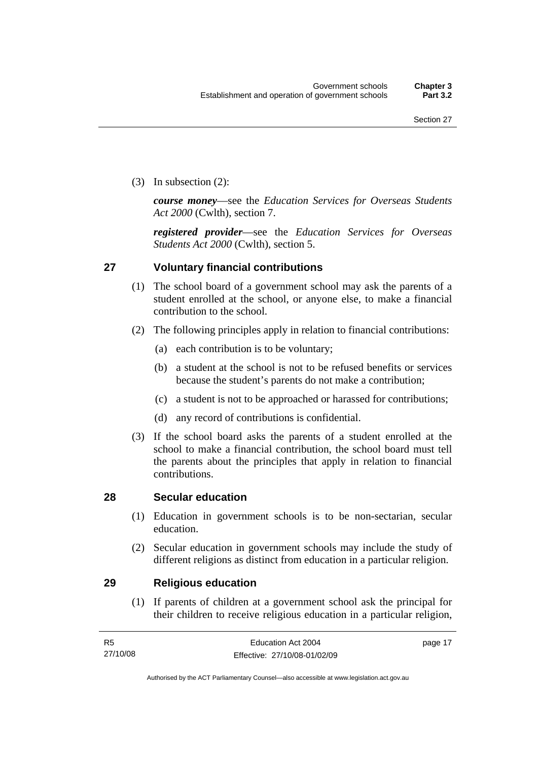<span id="page-26-0"></span>(3) In subsection (2):

*course money*—see the *Education Services for Overseas Students Act 2000* (Cwlth), section 7.

*registered provider*—see the *Education Services for Overseas Students Act 2000* (Cwlth), section 5.

#### **27 Voluntary financial contributions**

- (1) The school board of a government school may ask the parents of a student enrolled at the school, or anyone else, to make a financial contribution to the school.
- (2) The following principles apply in relation to financial contributions:
	- (a) each contribution is to be voluntary;
	- (b) a student at the school is not to be refused benefits or services because the student's parents do not make a contribution;
	- (c) a student is not to be approached or harassed for contributions;
	- (d) any record of contributions is confidential.
- (3) If the school board asks the parents of a student enrolled at the school to make a financial contribution, the school board must tell the parents about the principles that apply in relation to financial contributions.

#### **28 Secular education**

- (1) Education in government schools is to be non-sectarian, secular education.
- (2) Secular education in government schools may include the study of different religions as distinct from education in a particular religion.

#### **29 Religious education**

 (1) If parents of children at a government school ask the principal for their children to receive religious education in a particular religion,

| - R5     | Education Act 2004           | page 17 |
|----------|------------------------------|---------|
| 27/10/08 | Effective: 27/10/08-01/02/09 |         |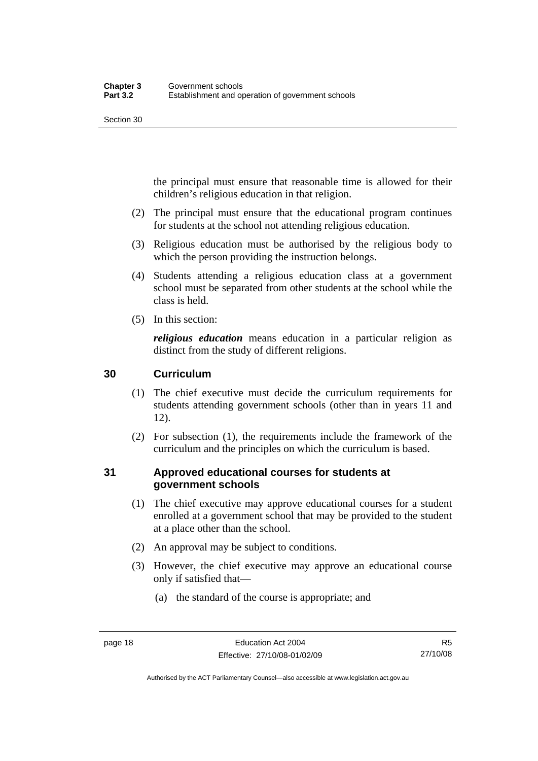<span id="page-27-0"></span>the principal must ensure that reasonable time is allowed for their children's religious education in that religion.

- (2) The principal must ensure that the educational program continues for students at the school not attending religious education.
- (3) Religious education must be authorised by the religious body to which the person providing the instruction belongs.
- (4) Students attending a religious education class at a government school must be separated from other students at the school while the class is held.
- (5) In this section:

*religious education* means education in a particular religion as distinct from the study of different religions.

## **30 Curriculum**

- (1) The chief executive must decide the curriculum requirements for students attending government schools (other than in years 11 and 12).
- (2) For subsection (1), the requirements include the framework of the curriculum and the principles on which the curriculum is based.

## **31 Approved educational courses for students at government schools**

- (1) The chief executive may approve educational courses for a student enrolled at a government school that may be provided to the student at a place other than the school.
- (2) An approval may be subject to conditions.
- (3) However, the chief executive may approve an educational course only if satisfied that—
	- (a) the standard of the course is appropriate; and

Authorised by the ACT Parliamentary Counsel—also accessible at www.legislation.act.gov.au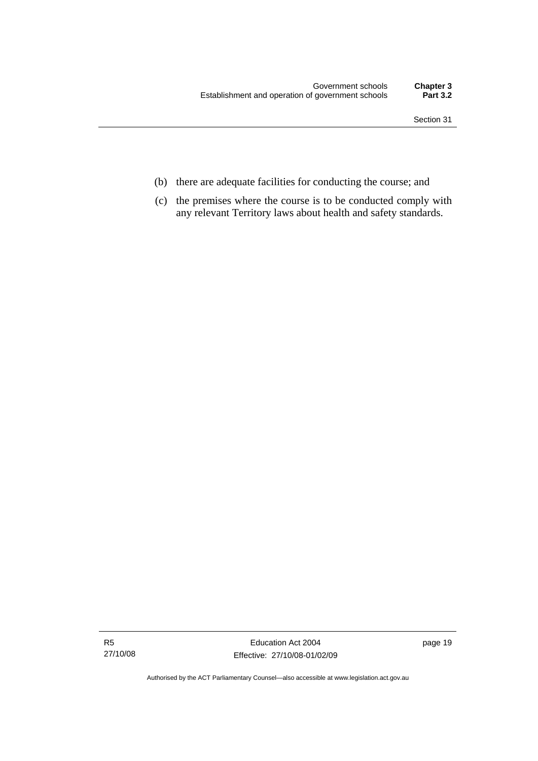- (b) there are adequate facilities for conducting the course; and
- (c) the premises where the course is to be conducted comply with any relevant Territory laws about health and safety standards.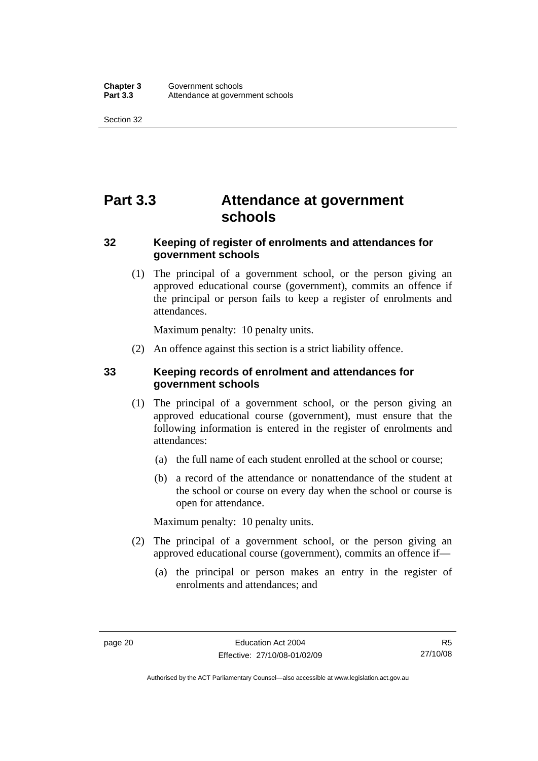# <span id="page-29-0"></span>**Part 3.3 Attendance at government schools**

## **32 Keeping of register of enrolments and attendances for government schools**

 (1) The principal of a government school, or the person giving an approved educational course (government), commits an offence if the principal or person fails to keep a register of enrolments and attendances.

Maximum penalty: 10 penalty units.

(2) An offence against this section is a strict liability offence.

## **33 Keeping records of enrolment and attendances for government schools**

- (1) The principal of a government school, or the person giving an approved educational course (government), must ensure that the following information is entered in the register of enrolments and attendances:
	- (a) the full name of each student enrolled at the school or course;
	- (b) a record of the attendance or nonattendance of the student at the school or course on every day when the school or course is open for attendance.

Maximum penalty: 10 penalty units.

- (2) The principal of a government school, or the person giving an approved educational course (government), commits an offence if—
	- (a) the principal or person makes an entry in the register of enrolments and attendances; and

Authorised by the ACT Parliamentary Counsel—also accessible at www.legislation.act.gov.au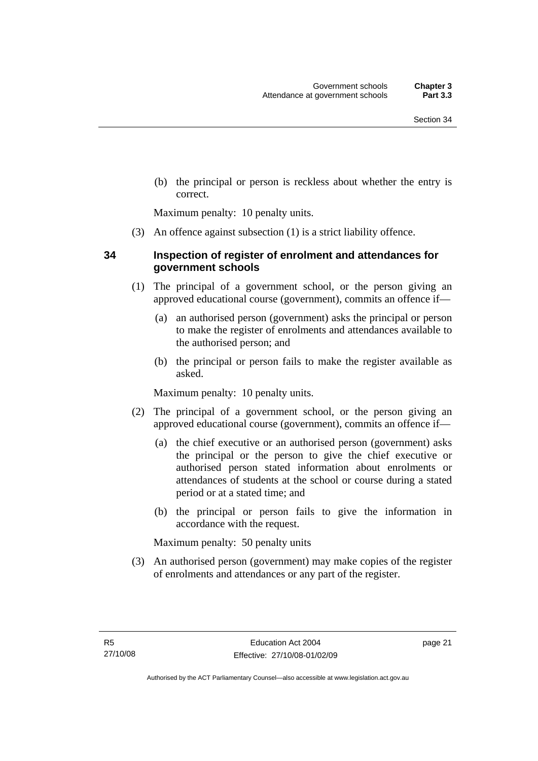<span id="page-30-0"></span> (b) the principal or person is reckless about whether the entry is correct.

Maximum penalty: 10 penalty units.

(3) An offence against subsection (1) is a strict liability offence.

#### **34 Inspection of register of enrolment and attendances for government schools**

- (1) The principal of a government school, or the person giving an approved educational course (government), commits an offence if—
	- (a) an authorised person (government) asks the principal or person to make the register of enrolments and attendances available to the authorised person; and
	- (b) the principal or person fails to make the register available as asked.

Maximum penalty: 10 penalty units.

- (2) The principal of a government school, or the person giving an approved educational course (government), commits an offence if—
	- (a) the chief executive or an authorised person (government) asks the principal or the person to give the chief executive or authorised person stated information about enrolments or attendances of students at the school or course during a stated period or at a stated time; and
	- (b) the principal or person fails to give the information in accordance with the request.

Maximum penalty: 50 penalty units

 (3) An authorised person (government) may make copies of the register of enrolments and attendances or any part of the register.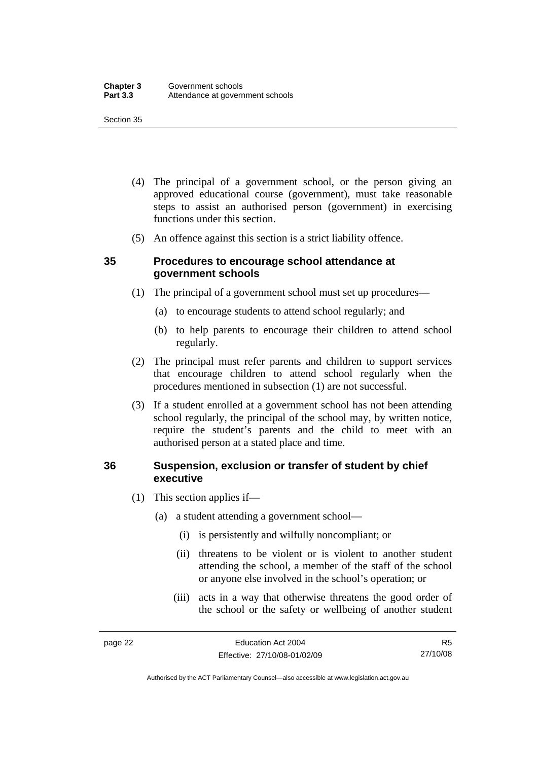- <span id="page-31-0"></span> (4) The principal of a government school, or the person giving an approved educational course (government), must take reasonable steps to assist an authorised person (government) in exercising functions under this section.
- (5) An offence against this section is a strict liability offence.

#### **35 Procedures to encourage school attendance at government schools**

- (1) The principal of a government school must set up procedures—
	- (a) to encourage students to attend school regularly; and
	- (b) to help parents to encourage their children to attend school regularly.
- (2) The principal must refer parents and children to support services that encourage children to attend school regularly when the procedures mentioned in subsection (1) are not successful.
- (3) If a student enrolled at a government school has not been attending school regularly, the principal of the school may, by written notice, require the student's parents and the child to meet with an authorised person at a stated place and time.

#### **36 Suspension, exclusion or transfer of student by chief executive**

- (1) This section applies if—
	- (a) a student attending a government school—
		- (i) is persistently and wilfully noncompliant; or
		- (ii) threatens to be violent or is violent to another student attending the school, a member of the staff of the school or anyone else involved in the school's operation; or
		- (iii) acts in a way that otherwise threatens the good order of the school or the safety or wellbeing of another student

Authorised by the ACT Parliamentary Counsel—also accessible at www.legislation.act.gov.au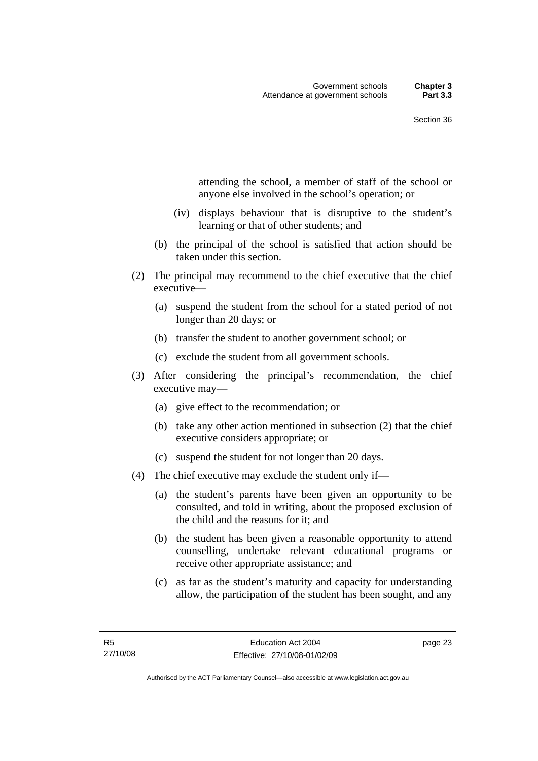attending the school, a member of staff of the school or anyone else involved in the school's operation; or

- (iv) displays behaviour that is disruptive to the student's learning or that of other students; and
- (b) the principal of the school is satisfied that action should be taken under this section.
- (2) The principal may recommend to the chief executive that the chief executive—
	- (a) suspend the student from the school for a stated period of not longer than 20 days; or
	- (b) transfer the student to another government school; or
	- (c) exclude the student from all government schools.
- (3) After considering the principal's recommendation, the chief executive may—
	- (a) give effect to the recommendation; or
	- (b) take any other action mentioned in subsection (2) that the chief executive considers appropriate; or
	- (c) suspend the student for not longer than 20 days.
- (4) The chief executive may exclude the student only if—
	- (a) the student's parents have been given an opportunity to be consulted, and told in writing, about the proposed exclusion of the child and the reasons for it; and
	- (b) the student has been given a reasonable opportunity to attend counselling, undertake relevant educational programs or receive other appropriate assistance; and
	- (c) as far as the student's maturity and capacity for understanding allow, the participation of the student has been sought, and any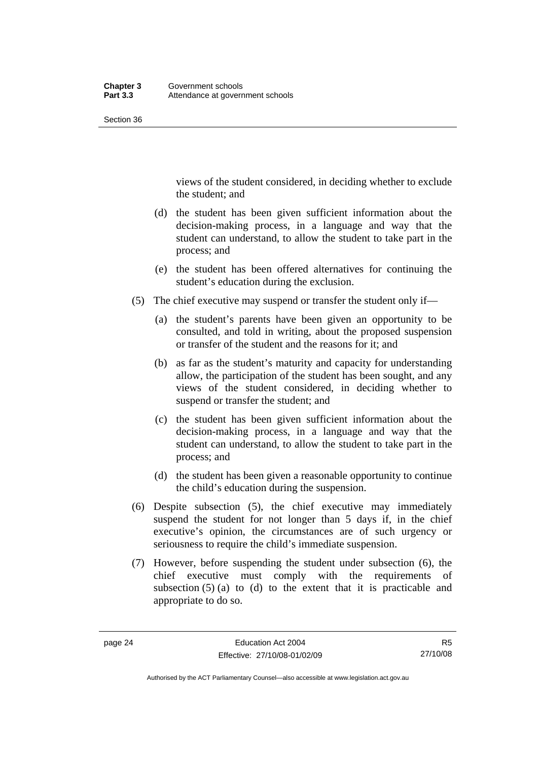views of the student considered, in deciding whether to exclude the student; and

- (d) the student has been given sufficient information about the decision-making process, in a language and way that the student can understand, to allow the student to take part in the process; and
- (e) the student has been offered alternatives for continuing the student's education during the exclusion.
- (5) The chief executive may suspend or transfer the student only if—
	- (a) the student's parents have been given an opportunity to be consulted, and told in writing, about the proposed suspension or transfer of the student and the reasons for it; and
	- (b) as far as the student's maturity and capacity for understanding allow, the participation of the student has been sought, and any views of the student considered, in deciding whether to suspend or transfer the student; and
	- (c) the student has been given sufficient information about the decision-making process, in a language and way that the student can understand, to allow the student to take part in the process; and
	- (d) the student has been given a reasonable opportunity to continue the child's education during the suspension.
- (6) Despite subsection (5), the chief executive may immediately suspend the student for not longer than 5 days if, in the chief executive's opinion, the circumstances are of such urgency or seriousness to require the child's immediate suspension.
- (7) However, before suspending the student under subsection (6), the chief executive must comply with the requirements of subsection  $(5)$  (a) to (d) to the extent that it is practicable and appropriate to do so.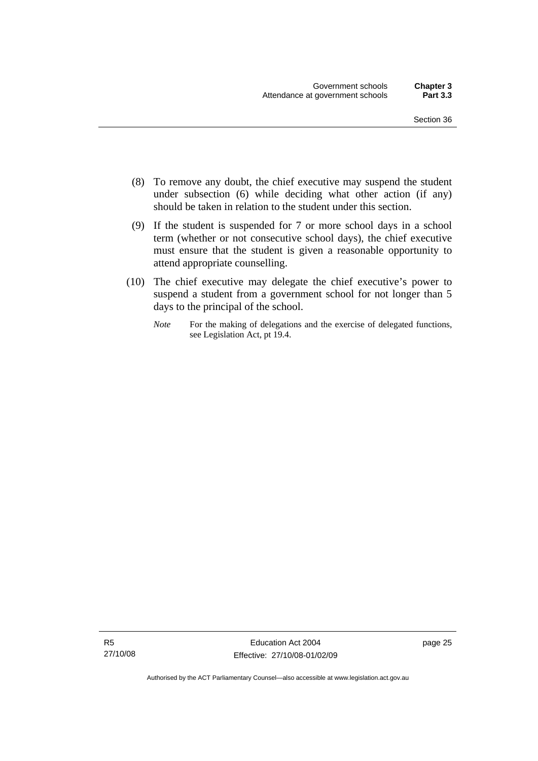- (8) To remove any doubt, the chief executive may suspend the student under subsection (6) while deciding what other action (if any) should be taken in relation to the student under this section.
- (9) If the student is suspended for 7 or more school days in a school term (whether or not consecutive school days), the chief executive must ensure that the student is given a reasonable opportunity to attend appropriate counselling.
- (10) The chief executive may delegate the chief executive's power to suspend a student from a government school for not longer than 5 days to the principal of the school.
	- *Note* For the making of delegations and the exercise of delegated functions, see Legislation Act, pt 19.4.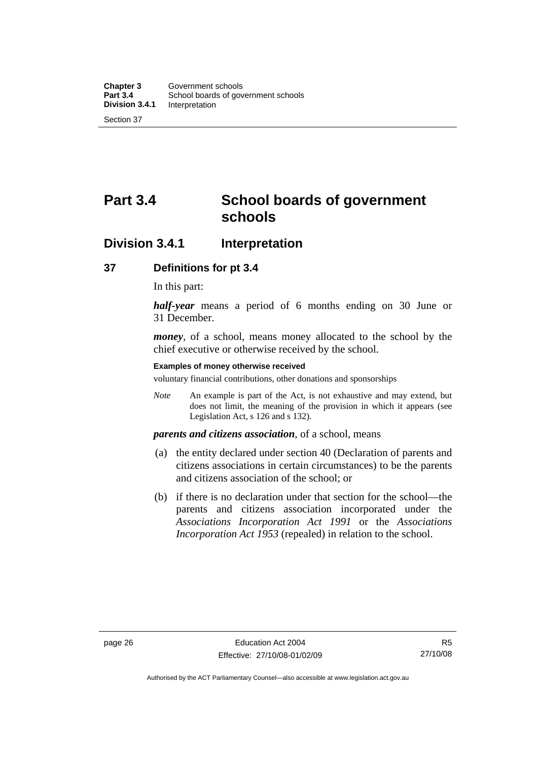# <span id="page-35-0"></span>**Part 3.4 School boards of government schools**

## **Division 3.4.1 Interpretation**

#### **37 Definitions for pt 3.4**

In this part:

*half-year* means a period of 6 months ending on 30 June or 31 December.

*money*, of a school, means money allocated to the school by the chief executive or otherwise received by the school.

#### **Examples of money otherwise received**

voluntary financial contributions, other donations and sponsorships

*Note* An example is part of the Act, is not exhaustive and may extend, but does not limit, the meaning of the provision in which it appears (see Legislation Act, s 126 and s 132).

## *parents and citizens association*, of a school, means

- (a) the entity declared under section 40 (Declaration of parents and citizens associations in certain circumstances) to be the parents and citizens association of the school; or
- (b) if there is no declaration under that section for the school—the parents and citizens association incorporated under the *Associations Incorporation Act 1991* or the *Associations Incorporation Act 1953* (repealed) in relation to the school.

R5 27/10/08

Authorised by the ACT Parliamentary Counsel—also accessible at www.legislation.act.gov.au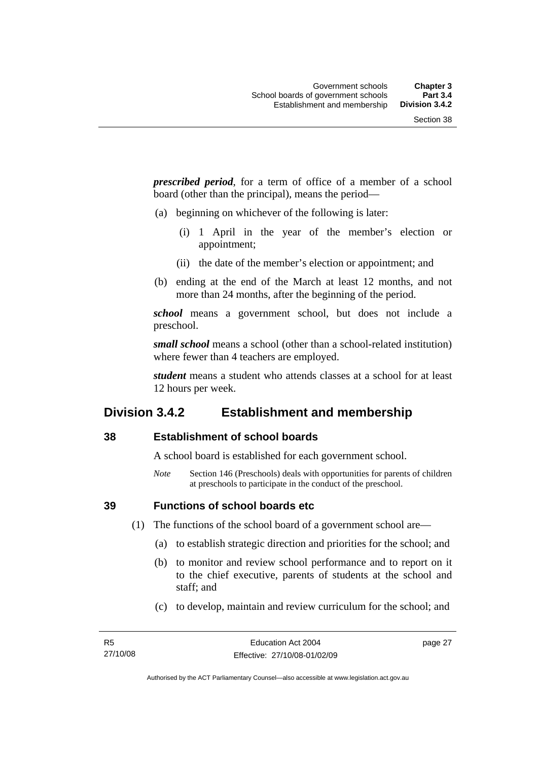*prescribed period*, for a term of office of a member of a school board (other than the principal), means the period—

- (a) beginning on whichever of the following is later:
	- (i) 1 April in the year of the member's election or appointment;
	- (ii) the date of the member's election or appointment; and
- (b) ending at the end of the March at least 12 months, and not more than 24 months, after the beginning of the period.

*school* means a government school, but does not include a preschool.

*small school* means a school (other than a school-related institution) where fewer than 4 teachers are employed.

*student* means a student who attends classes at a school for at least 12 hours per week.

#### **Division 3.4.2 Establishment and membership**

#### **38 Establishment of school boards**

A school board is established for each government school.

*Note* Section 146 (Preschools) deals with opportunities for parents of children at preschools to participate in the conduct of the preschool.

**39 Functions of school boards etc** 

(1) The functions of the school board of a government school are—

- (a) to establish strategic direction and priorities for the school; and
- (b) to monitor and review school performance and to report on it to the chief executive, parents of students at the school and staff; and
- (c) to develop, maintain and review curriculum for the school; and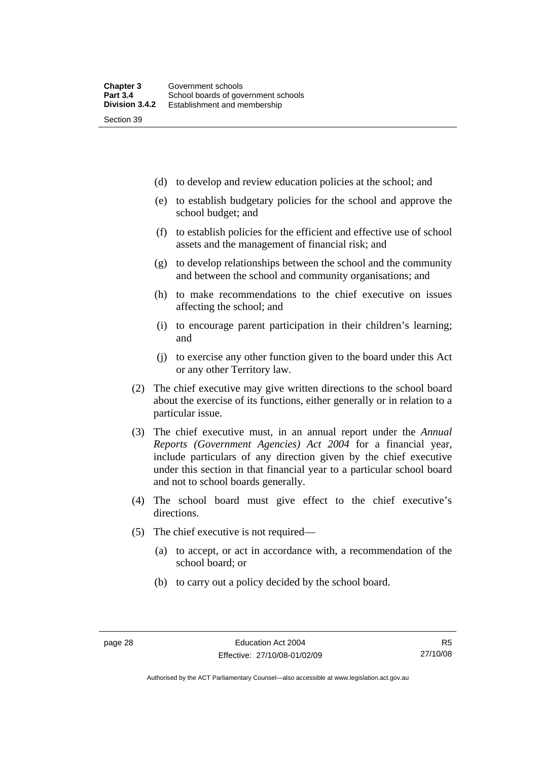(d) to develop and review education policies at the school; and

- (e) to establish budgetary policies for the school and approve the school budget; and
- (f) to establish policies for the efficient and effective use of school assets and the management of financial risk; and
- (g) to develop relationships between the school and the community and between the school and community organisations; and
- (h) to make recommendations to the chief executive on issues affecting the school; and
- (i) to encourage parent participation in their children's learning; and
- (j) to exercise any other function given to the board under this Act or any other Territory law.
- (2) The chief executive may give written directions to the school board about the exercise of its functions, either generally or in relation to a particular issue.
- (3) The chief executive must, in an annual report under the *Annual Reports (Government Agencies) Act 2004* for a financial year, include particulars of any direction given by the chief executive under this section in that financial year to a particular school board and not to school boards generally.
- (4) The school board must give effect to the chief executive's directions.
- (5) The chief executive is not required—
	- (a) to accept, or act in accordance with, a recommendation of the school board; or
	- (b) to carry out a policy decided by the school board.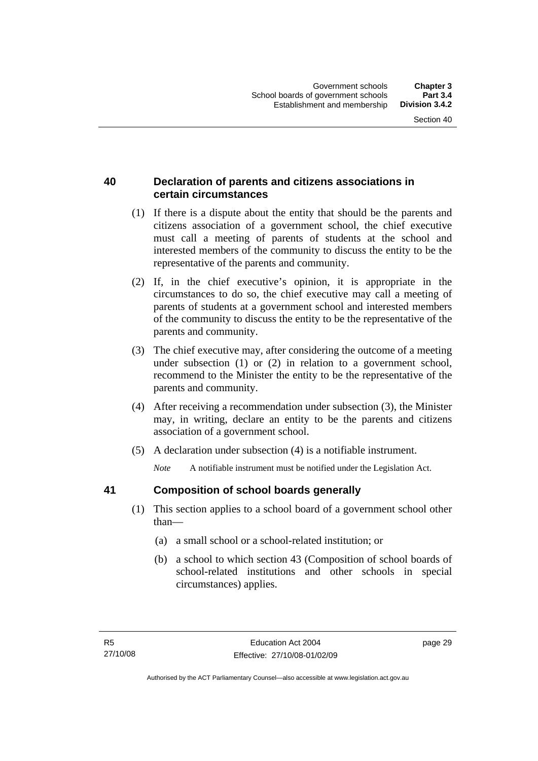#### **40 Declaration of parents and citizens associations in certain circumstances**

- (1) If there is a dispute about the entity that should be the parents and citizens association of a government school, the chief executive must call a meeting of parents of students at the school and interested members of the community to discuss the entity to be the representative of the parents and community.
- (2) If, in the chief executive's opinion, it is appropriate in the circumstances to do so, the chief executive may call a meeting of parents of students at a government school and interested members of the community to discuss the entity to be the representative of the parents and community.
- (3) The chief executive may, after considering the outcome of a meeting under subsection (1) or (2) in relation to a government school, recommend to the Minister the entity to be the representative of the parents and community.
- (4) After receiving a recommendation under subsection (3), the Minister may, in writing, declare an entity to be the parents and citizens association of a government school.
- (5) A declaration under subsection (4) is a notifiable instrument.

*Note* A notifiable instrument must be notified under the Legislation Act.

#### **41 Composition of school boards generally**

- (1) This section applies to a school board of a government school other than—
	- (a) a small school or a school-related institution; or
	- (b) a school to which section 43 (Composition of school boards of school-related institutions and other schools in special circumstances) applies.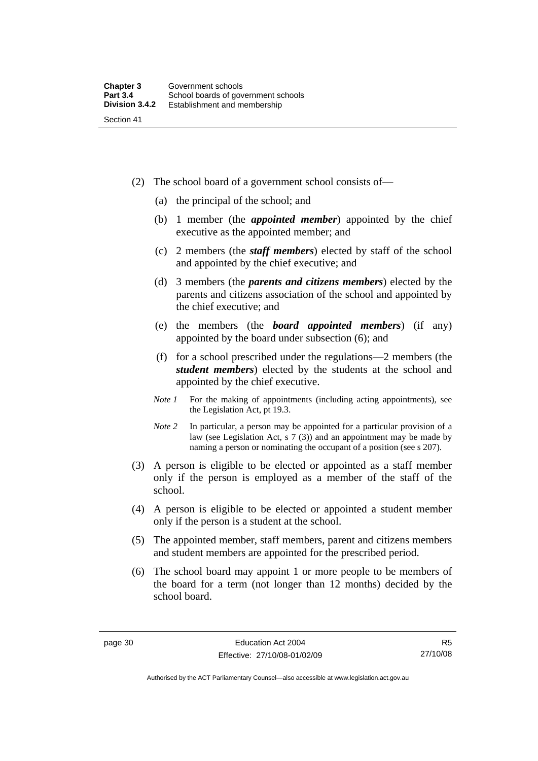Section 41

- (2) The school board of a government school consists of—
	- (a) the principal of the school; and
	- (b) 1 member (the *appointed member*) appointed by the chief executive as the appointed member; and
	- (c) 2 members (the *staff members*) elected by staff of the school and appointed by the chief executive; and
	- (d) 3 members (the *parents and citizens members*) elected by the parents and citizens association of the school and appointed by the chief executive; and
	- (e) the members (the *board appointed members*) (if any) appointed by the board under subsection (6); and
	- (f) for a school prescribed under the regulations—2 members (the *student members*) elected by the students at the school and appointed by the chief executive.
	- *Note 1* For the making of appointments (including acting appointments), see the Legislation Act, pt 19.3.
	- *Note* 2 In particular, a person may be appointed for a particular provision of a law (see Legislation Act, s 7 (3)) and an appointment may be made by naming a person or nominating the occupant of a position (see s 207).
- (3) A person is eligible to be elected or appointed as a staff member only if the person is employed as a member of the staff of the school.
- (4) A person is eligible to be elected or appointed a student member only if the person is a student at the school.
- (5) The appointed member, staff members, parent and citizens members and student members are appointed for the prescribed period.
- (6) The school board may appoint 1 or more people to be members of the board for a term (not longer than 12 months) decided by the school board.

Authorised by the ACT Parliamentary Counsel—also accessible at www.legislation.act.gov.au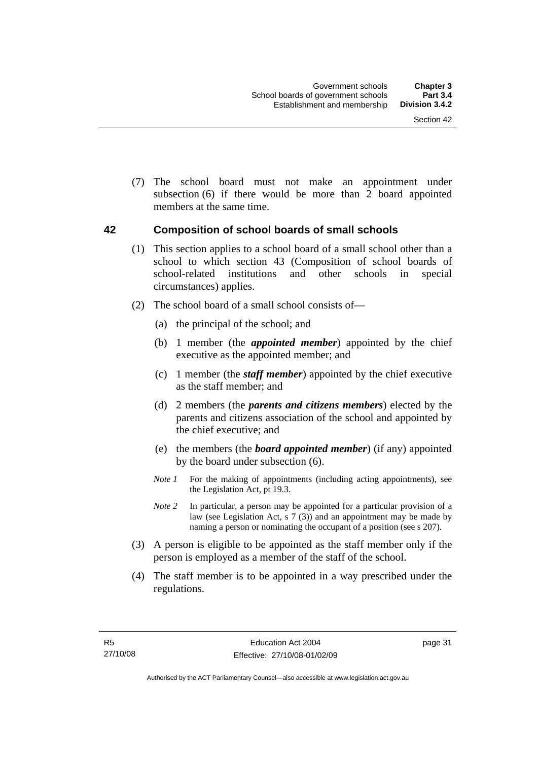(7) The school board must not make an appointment under subsection (6) if there would be more than 2 board appointed members at the same time.

#### **42 Composition of school boards of small schools**

- (1) This section applies to a school board of a small school other than a school to which section 43 (Composition of school boards of school-related institutions and other schools in special circumstances) applies.
- (2) The school board of a small school consists of—
	- (a) the principal of the school; and
	- (b) 1 member (the *appointed member*) appointed by the chief executive as the appointed member; and
	- (c) 1 member (the *staff member*) appointed by the chief executive as the staff member; and
	- (d) 2 members (the *parents and citizens members*) elected by the parents and citizens association of the school and appointed by the chief executive; and
	- (e) the members (the *board appointed member*) (if any) appointed by the board under subsection (6).
	- *Note 1* For the making of appointments (including acting appointments), see the Legislation Act, pt 19.3.
	- *Note* 2 In particular, a person may be appointed for a particular provision of a law (see Legislation Act, s 7 (3)) and an appointment may be made by naming a person or nominating the occupant of a position (see s 207).
- (3) A person is eligible to be appointed as the staff member only if the person is employed as a member of the staff of the school.
- (4) The staff member is to be appointed in a way prescribed under the regulations.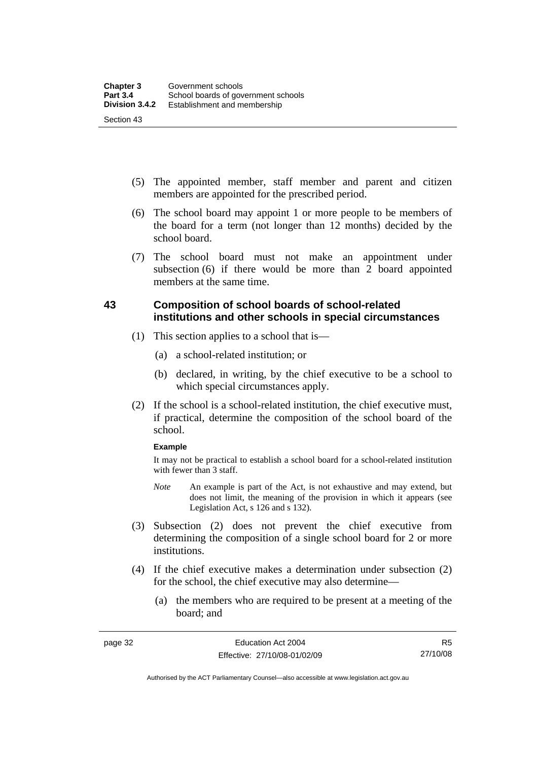- (5) The appointed member, staff member and parent and citizen members are appointed for the prescribed period.
- (6) The school board may appoint 1 or more people to be members of the board for a term (not longer than 12 months) decided by the school board.
- (7) The school board must not make an appointment under subsection (6) if there would be more than 2 board appointed members at the same time.

#### **43 Composition of school boards of school-related institutions and other schools in special circumstances**

- (1) This section applies to a school that is—
	- (a) a school-related institution; or
	- (b) declared, in writing, by the chief executive to be a school to which special circumstances apply.
- (2) If the school is a school-related institution, the chief executive must, if practical, determine the composition of the school board of the school.

#### **Example**

It may not be practical to establish a school board for a school-related institution with fewer than 3 staff.

- *Note* An example is part of the Act, is not exhaustive and may extend, but does not limit, the meaning of the provision in which it appears (see Legislation Act, s 126 and s 132).
- (3) Subsection (2) does not prevent the chief executive from determining the composition of a single school board for 2 or more institutions.
- (4) If the chief executive makes a determination under subsection (2) for the school, the chief executive may also determine—
	- (a) the members who are required to be present at a meeting of the board; and

Authorised by the ACT Parliamentary Counsel—also accessible at www.legislation.act.gov.au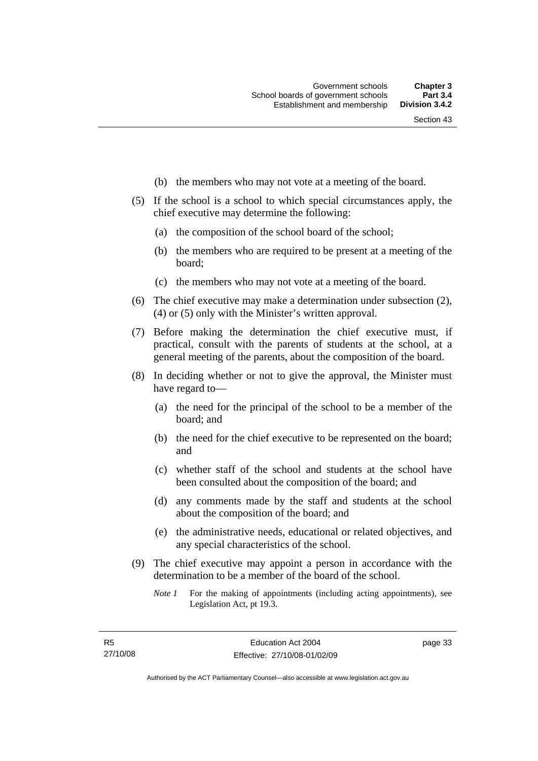- (b) the members who may not vote at a meeting of the board.
- (5) If the school is a school to which special circumstances apply, the chief executive may determine the following:
	- (a) the composition of the school board of the school;
	- (b) the members who are required to be present at a meeting of the board;
	- (c) the members who may not vote at a meeting of the board.
- (6) The chief executive may make a determination under subsection (2), (4) or (5) only with the Minister's written approval.
- (7) Before making the determination the chief executive must, if practical, consult with the parents of students at the school, at a general meeting of the parents, about the composition of the board.
- (8) In deciding whether or not to give the approval, the Minister must have regard to—
	- (a) the need for the principal of the school to be a member of the board; and
	- (b) the need for the chief executive to be represented on the board; and
	- (c) whether staff of the school and students at the school have been consulted about the composition of the board; and
	- (d) any comments made by the staff and students at the school about the composition of the board; and
	- (e) the administrative needs, educational or related objectives, and any special characteristics of the school.
- (9) The chief executive may appoint a person in accordance with the determination to be a member of the board of the school.
	- *Note 1* For the making of appointments (including acting appointments), see Legislation Act, pt 19.3.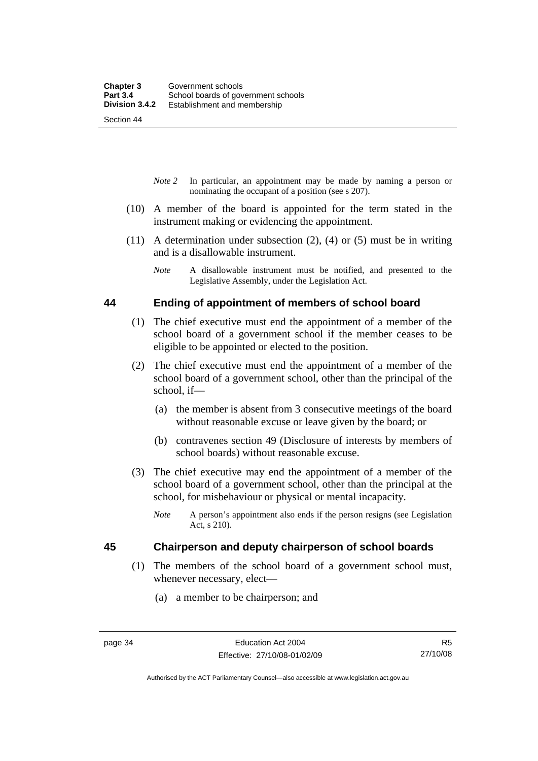Section 44

- *Note 2* In particular, an appointment may be made by naming a person or nominating the occupant of a position (see s 207).
- (10) A member of the board is appointed for the term stated in the instrument making or evidencing the appointment.
- (11) A determination under subsection (2), (4) or (5) must be in writing and is a disallowable instrument.
	- *Note* A disallowable instrument must be notified, and presented to the Legislative Assembly, under the Legislation Act.

#### **44 Ending of appointment of members of school board**

- (1) The chief executive must end the appointment of a member of the school board of a government school if the member ceases to be eligible to be appointed or elected to the position.
- (2) The chief executive must end the appointment of a member of the school board of a government school, other than the principal of the school, if—
	- (a) the member is absent from 3 consecutive meetings of the board without reasonable excuse or leave given by the board; or
	- (b) contravenes section 49 (Disclosure of interests by members of school boards) without reasonable excuse.
- (3) The chief executive may end the appointment of a member of the school board of a government school, other than the principal at the school, for misbehaviour or physical or mental incapacity.
	- *Note* A person's appointment also ends if the person resigns (see Legislation Act, s 210).

#### **45 Chairperson and deputy chairperson of school boards**

- (1) The members of the school board of a government school must, whenever necessary, elect—
	- (a) a member to be chairperson; and

Authorised by the ACT Parliamentary Counsel—also accessible at www.legislation.act.gov.au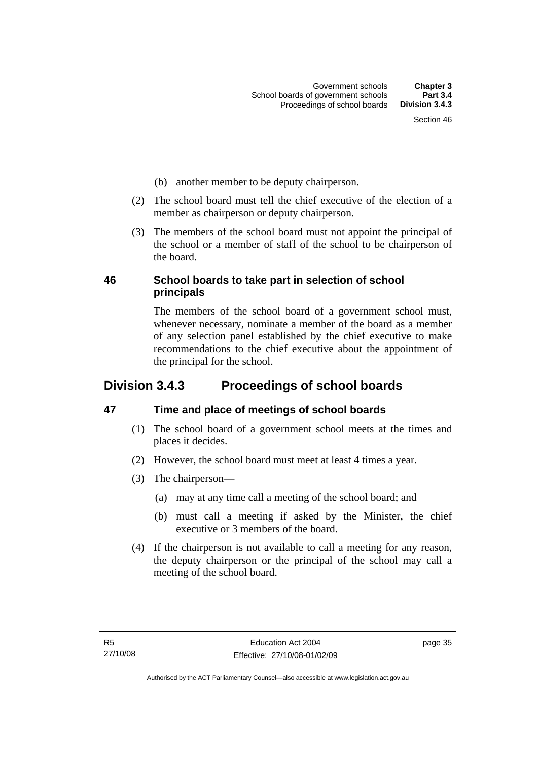- (b) another member to be deputy chairperson.
- (2) The school board must tell the chief executive of the election of a member as chairperson or deputy chairperson.
- (3) The members of the school board must not appoint the principal of the school or a member of staff of the school to be chairperson of the board.

#### **46 School boards to take part in selection of school principals**

The members of the school board of a government school must, whenever necessary, nominate a member of the board as a member of any selection panel established by the chief executive to make recommendations to the chief executive about the appointment of the principal for the school.

# **Division 3.4.3 Proceedings of school boards**

#### **47 Time and place of meetings of school boards**

- (1) The school board of a government school meets at the times and places it decides.
- (2) However, the school board must meet at least 4 times a year.
- (3) The chairperson—
	- (a) may at any time call a meeting of the school board; and
	- (b) must call a meeting if asked by the Minister, the chief executive or 3 members of the board.
- (4) If the chairperson is not available to call a meeting for any reason, the deputy chairperson or the principal of the school may call a meeting of the school board.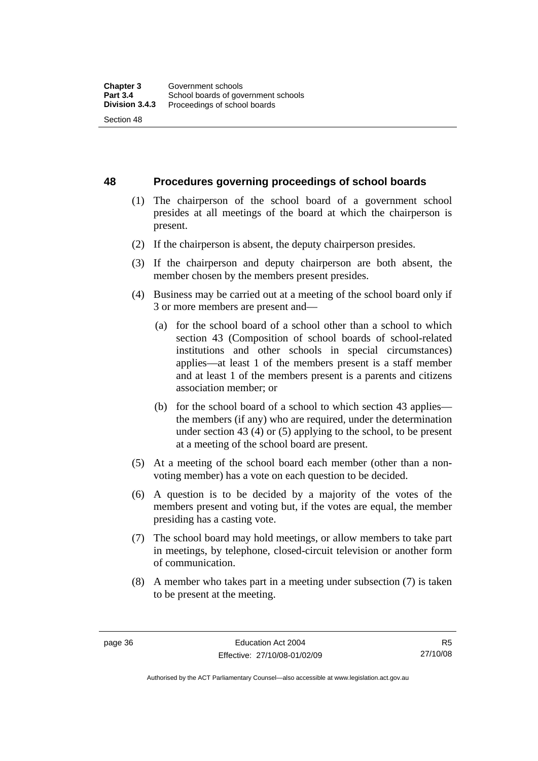**48 Procedures governing proceedings of school boards** 

- (1) The chairperson of the school board of a government school presides at all meetings of the board at which the chairperson is present.
- (2) If the chairperson is absent, the deputy chairperson presides.
- (3) If the chairperson and deputy chairperson are both absent, the member chosen by the members present presides.
- (4) Business may be carried out at a meeting of the school board only if 3 or more members are present and—
	- (a) for the school board of a school other than a school to which section 43 (Composition of school boards of school-related institutions and other schools in special circumstances) applies—at least 1 of the members present is a staff member and at least 1 of the members present is a parents and citizens association member; or
	- (b) for the school board of a school to which section 43 applies the members (if any) who are required, under the determination under section 43 (4) or (5) applying to the school, to be present at a meeting of the school board are present.
- (5) At a meeting of the school board each member (other than a nonvoting member) has a vote on each question to be decided.
- (6) A question is to be decided by a majority of the votes of the members present and voting but, if the votes are equal, the member presiding has a casting vote.
- (7) The school board may hold meetings, or allow members to take part in meetings, by telephone, closed-circuit television or another form of communication.
- (8) A member who takes part in a meeting under subsection (7) is taken to be present at the meeting.

R5 27/10/08

Authorised by the ACT Parliamentary Counsel—also accessible at www.legislation.act.gov.au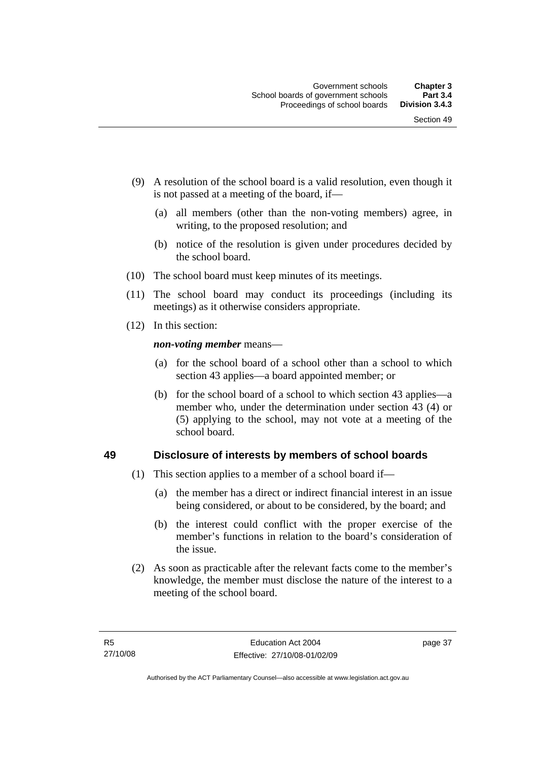- (9) A resolution of the school board is a valid resolution, even though it is not passed at a meeting of the board, if—
	- (a) all members (other than the non-voting members) agree, in writing, to the proposed resolution; and
	- (b) notice of the resolution is given under procedures decided by the school board.
- (10) The school board must keep minutes of its meetings.
- (11) The school board may conduct its proceedings (including its meetings) as it otherwise considers appropriate.
- (12) In this section:

*non-voting member* means—

- (a) for the school board of a school other than a school to which section 43 applies—a board appointed member; or
- (b) for the school board of a school to which section 43 applies—a member who, under the determination under section 43 (4) or (5) applying to the school, may not vote at a meeting of the school board.

#### **49 Disclosure of interests by members of school boards**

- (1) This section applies to a member of a school board if—
	- (a) the member has a direct or indirect financial interest in an issue being considered, or about to be considered, by the board; and
	- (b) the interest could conflict with the proper exercise of the member's functions in relation to the board's consideration of the issue.
- (2) As soon as practicable after the relevant facts come to the member's knowledge, the member must disclose the nature of the interest to a meeting of the school board.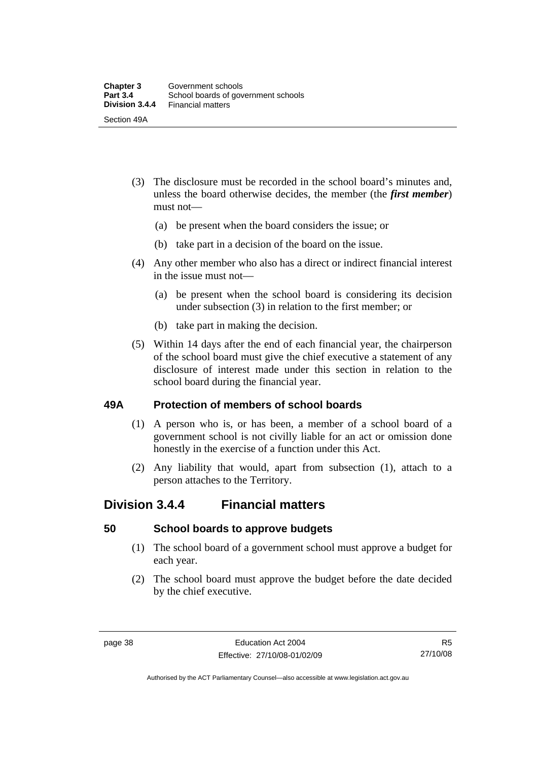- (3) The disclosure must be recorded in the school board's minutes and, unless the board otherwise decides, the member (the *first member*) must not—
	- (a) be present when the board considers the issue; or
	- (b) take part in a decision of the board on the issue.
- (4) Any other member who also has a direct or indirect financial interest in the issue must not—
	- (a) be present when the school board is considering its decision under subsection (3) in relation to the first member; or
	- (b) take part in making the decision.
- (5) Within 14 days after the end of each financial year, the chairperson of the school board must give the chief executive a statement of any disclosure of interest made under this section in relation to the school board during the financial year.

#### **49A Protection of members of school boards**

- (1) A person who is, or has been, a member of a school board of a government school is not civilly liable for an act or omission done honestly in the exercise of a function under this Act.
- (2) Any liability that would, apart from subsection (1), attach to a person attaches to the Territory.

### **Division 3.4.4 Financial matters**

#### **50 School boards to approve budgets**

- (1) The school board of a government school must approve a budget for each year.
- (2) The school board must approve the budget before the date decided by the chief executive.

Authorised by the ACT Parliamentary Counsel—also accessible at www.legislation.act.gov.au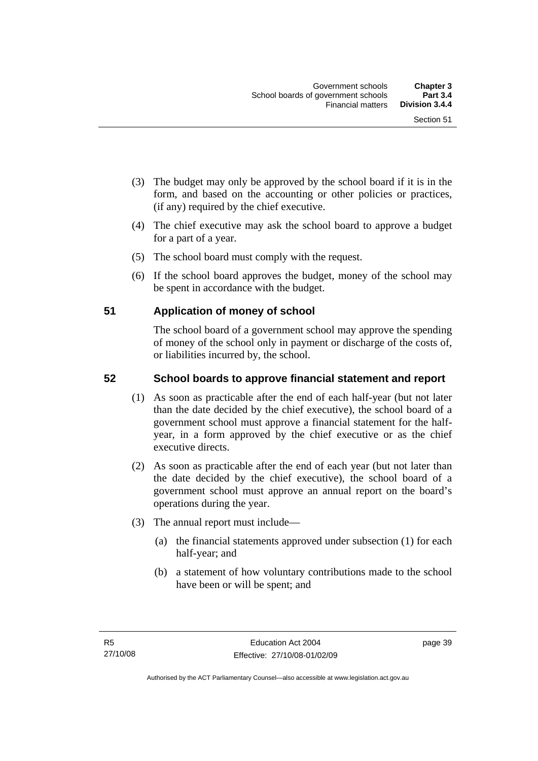- (3) The budget may only be approved by the school board if it is in the form, and based on the accounting or other policies or practices, (if any) required by the chief executive.
- (4) The chief executive may ask the school board to approve a budget for a part of a year.
- (5) The school board must comply with the request.
- (6) If the school board approves the budget, money of the school may be spent in accordance with the budget.

#### **51 Application of money of school**

The school board of a government school may approve the spending of money of the school only in payment or discharge of the costs of, or liabilities incurred by, the school.

#### **52 School boards to approve financial statement and report**

- (1) As soon as practicable after the end of each half-year (but not later than the date decided by the chief executive), the school board of a government school must approve a financial statement for the halfyear, in a form approved by the chief executive or as the chief executive directs.
- (2) As soon as practicable after the end of each year (but not later than the date decided by the chief executive), the school board of a government school must approve an annual report on the board's operations during the year.
- (3) The annual report must include—
	- (a) the financial statements approved under subsection (1) for each half-year; and
	- (b) a statement of how voluntary contributions made to the school have been or will be spent; and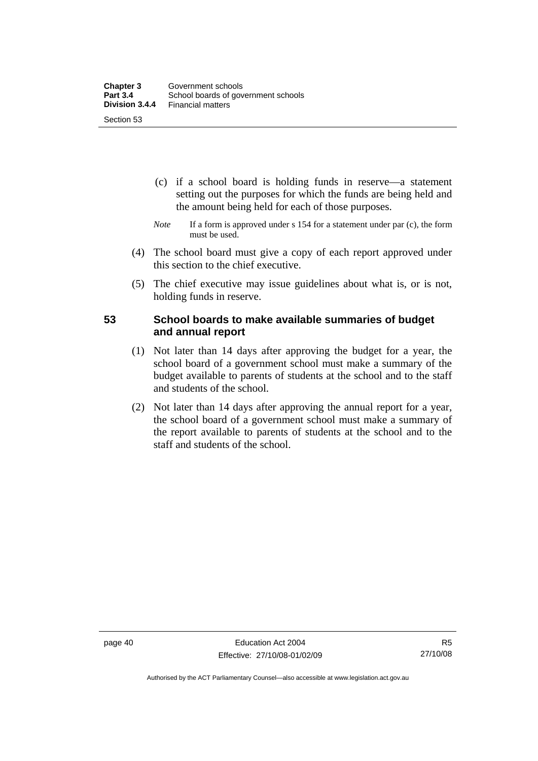- (c) if a school board is holding funds in reserve—a statement setting out the purposes for which the funds are being held and the amount being held for each of those purposes.
- *Note* If a form is approved under s 154 for a statement under par (c), the form must be used.
- (4) The school board must give a copy of each report approved under this section to the chief executive.
- (5) The chief executive may issue guidelines about what is, or is not, holding funds in reserve.

#### **53 School boards to make available summaries of budget and annual report**

- (1) Not later than 14 days after approving the budget for a year, the school board of a government school must make a summary of the budget available to parents of students at the school and to the staff and students of the school.
- (2) Not later than 14 days after approving the annual report for a year, the school board of a government school must make a summary of the report available to parents of students at the school and to the staff and students of the school.

Authorised by the ACT Parliamentary Counsel—also accessible at www.legislation.act.gov.au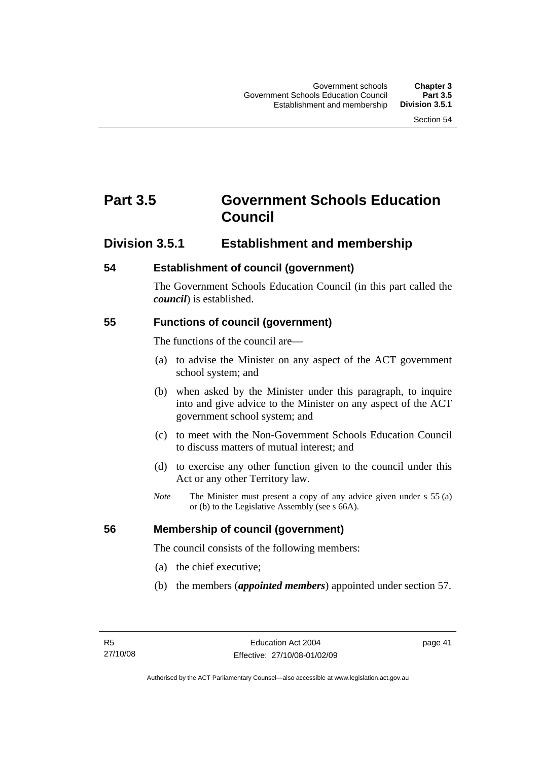# **Part 3.5 Government Schools Education Council**

#### **Division 3.5.1 Establishment and membership**

#### **54 Establishment of council (government)**

The Government Schools Education Council (in this part called the *council*) is established.

#### **55 Functions of council (government)**

The functions of the council are—

- (a) to advise the Minister on any aspect of the ACT government school system; and
- (b) when asked by the Minister under this paragraph, to inquire into and give advice to the Minister on any aspect of the ACT government school system; and
- (c) to meet with the Non-Government Schools Education Council to discuss matters of mutual interest; and
- (d) to exercise any other function given to the council under this Act or any other Territory law.
- *Note* The Minister must present a copy of any advice given under s 55 (a) or (b) to the Legislative Assembly (see s 66A).

#### **56 Membership of council (government)**

The council consists of the following members:

- (a) the chief executive;
- (b) the members (*appointed members*) appointed under section 57.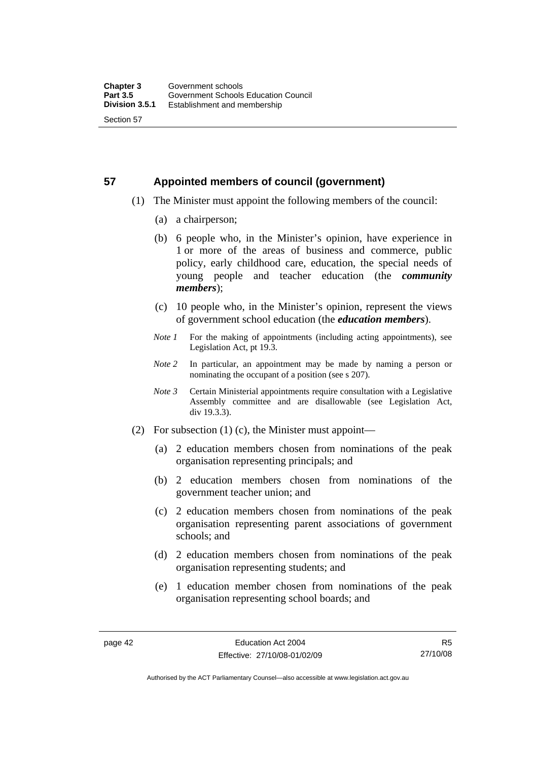# **57 Appointed members of council (government)**

- (1) The Minister must appoint the following members of the council:
	- (a) a chairperson;
	- (b) 6 people who, in the Minister's opinion, have experience in 1 or more of the areas of business and commerce, public policy, early childhood care, education, the special needs of young people and teacher education (the *community members*);
	- (c) 10 people who, in the Minister's opinion, represent the views of government school education (the *education members*).
	- *Note 1* For the making of appointments (including acting appointments), see Legislation Act, pt 19.3.
	- *Note 2* In particular, an appointment may be made by naming a person or nominating the occupant of a position (see s 207).
	- *Note 3* Certain Ministerial appointments require consultation with a Legislative Assembly committee and are disallowable (see Legislation Act, div 19.3.3).
- (2) For subsection (1) (c), the Minister must appoint—
	- (a) 2 education members chosen from nominations of the peak organisation representing principals; and
	- (b) 2 education members chosen from nominations of the government teacher union; and
	- (c) 2 education members chosen from nominations of the peak organisation representing parent associations of government schools; and
	- (d) 2 education members chosen from nominations of the peak organisation representing students; and
	- (e) 1 education member chosen from nominations of the peak organisation representing school boards; and

R5 27/10/08

Authorised by the ACT Parliamentary Counsel—also accessible at www.legislation.act.gov.au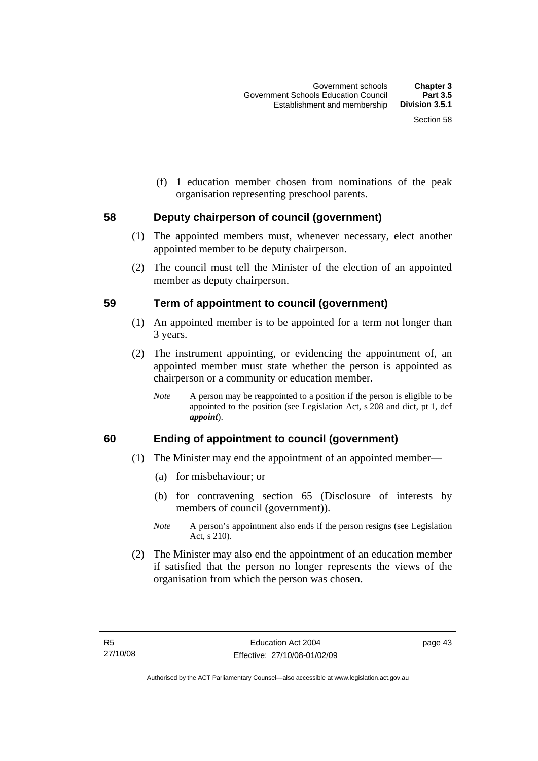(f) 1 education member chosen from nominations of the peak organisation representing preschool parents.

#### **58 Deputy chairperson of council (government)**

- (1) The appointed members must, whenever necessary, elect another appointed member to be deputy chairperson.
- (2) The council must tell the Minister of the election of an appointed member as deputy chairperson.

#### **59 Term of appointment to council (government)**

- (1) An appointed member is to be appointed for a term not longer than 3 years.
- (2) The instrument appointing, or evidencing the appointment of, an appointed member must state whether the person is appointed as chairperson or a community or education member.
	- *Note* A person may be reappointed to a position if the person is eligible to be appointed to the position (see Legislation Act, s 208 and dict, pt 1, def *appoint*).

#### **60 Ending of appointment to council (government)**

- (1) The Minister may end the appointment of an appointed member—
	- (a) for misbehaviour; or
	- (b) for contravening section 65 (Disclosure of interests by members of council (government)).
	- *Note* A person's appointment also ends if the person resigns (see Legislation Act, s 210).
- (2) The Minister may also end the appointment of an education member if satisfied that the person no longer represents the views of the organisation from which the person was chosen.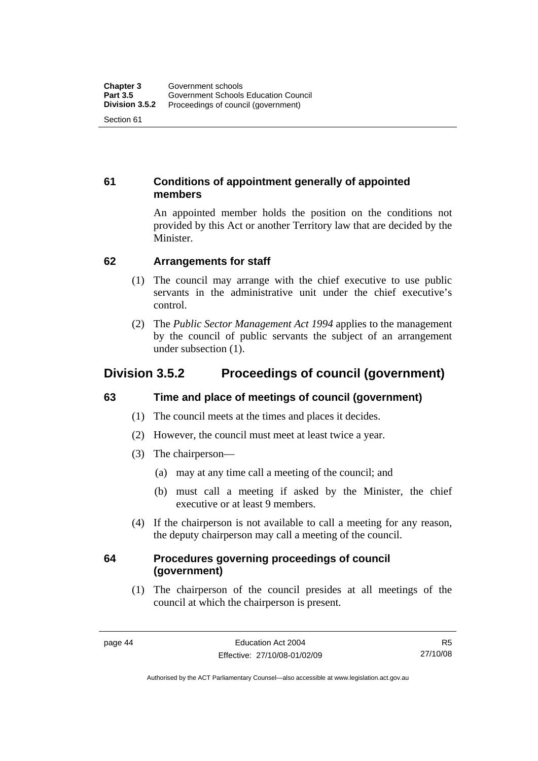#### **61 Conditions of appointment generally of appointed members**

An appointed member holds the position on the conditions not provided by this Act or another Territory law that are decided by the Minister.

#### **62 Arrangements for staff**

- (1) The council may arrange with the chief executive to use public servants in the administrative unit under the chief executive's control.
- (2) The *Public Sector Management Act 1994* applies to the management by the council of public servants the subject of an arrangement under subsection (1).

## **Division 3.5.2 Proceedings of council (government)**

#### **63 Time and place of meetings of council (government)**

- (1) The council meets at the times and places it decides.
- (2) However, the council must meet at least twice a year.
- (3) The chairperson—
	- (a) may at any time call a meeting of the council; and
	- (b) must call a meeting if asked by the Minister, the chief executive or at least 9 members.
- (4) If the chairperson is not available to call a meeting for any reason, the deputy chairperson may call a meeting of the council.

#### **64 Procedures governing proceedings of council (government)**

 (1) The chairperson of the council presides at all meetings of the council at which the chairperson is present.

R5 27/10/08

Authorised by the ACT Parliamentary Counsel—also accessible at www.legislation.act.gov.au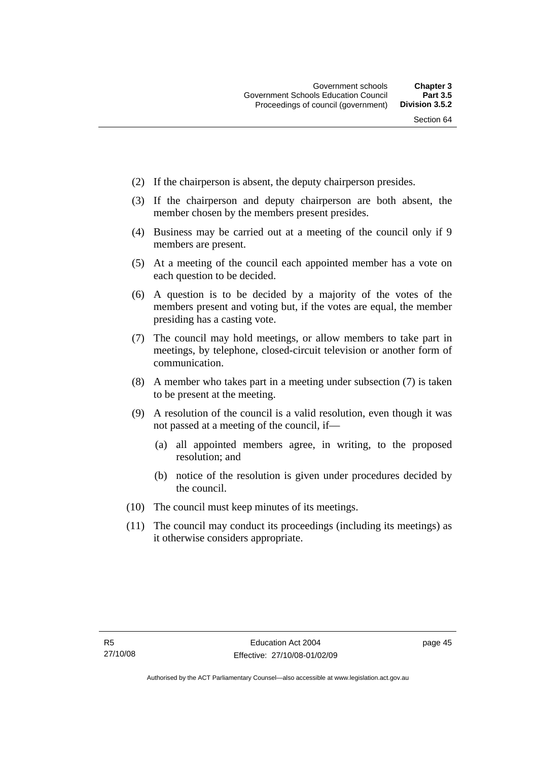- (2) If the chairperson is absent, the deputy chairperson presides.
- (3) If the chairperson and deputy chairperson are both absent, the member chosen by the members present presides.
- (4) Business may be carried out at a meeting of the council only if 9 members are present.
- (5) At a meeting of the council each appointed member has a vote on each question to be decided.
- (6) A question is to be decided by a majority of the votes of the members present and voting but, if the votes are equal, the member presiding has a casting vote.
- (7) The council may hold meetings, or allow members to take part in meetings, by telephone, closed-circuit television or another form of communication.
- (8) A member who takes part in a meeting under subsection (7) is taken to be present at the meeting.
- (9) A resolution of the council is a valid resolution, even though it was not passed at a meeting of the council, if—
	- (a) all appointed members agree, in writing, to the proposed resolution; and
	- (b) notice of the resolution is given under procedures decided by the council.
- (10) The council must keep minutes of its meetings.
- (11) The council may conduct its proceedings (including its meetings) as it otherwise considers appropriate.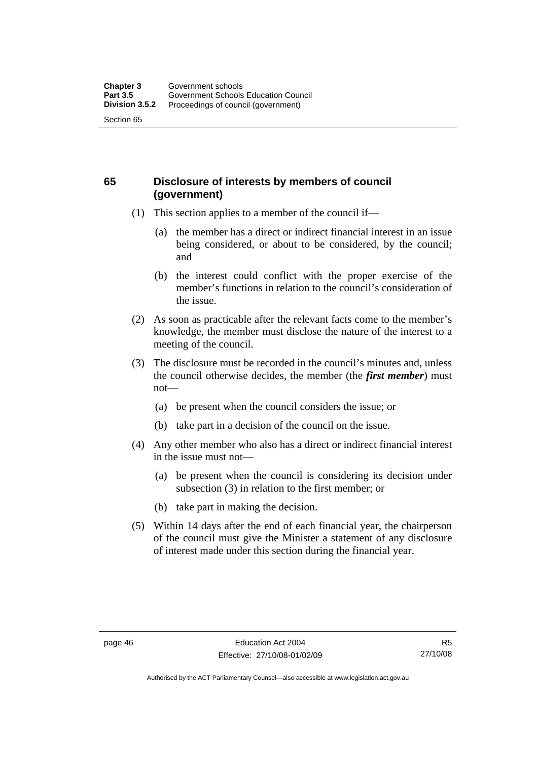#### **65 Disclosure of interests by members of council (government)**

- (1) This section applies to a member of the council if—
	- (a) the member has a direct or indirect financial interest in an issue being considered, or about to be considered, by the council; and
	- (b) the interest could conflict with the proper exercise of the member's functions in relation to the council's consideration of the issue.
- (2) As soon as practicable after the relevant facts come to the member's knowledge, the member must disclose the nature of the interest to a meeting of the council.
- (3) The disclosure must be recorded in the council's minutes and, unless the council otherwise decides, the member (the *first member*) must not—
	- (a) be present when the council considers the issue; or
	- (b) take part in a decision of the council on the issue.
- (4) Any other member who also has a direct or indirect financial interest in the issue must not—
	- (a) be present when the council is considering its decision under subsection (3) in relation to the first member; or
	- (b) take part in making the decision.
- (5) Within 14 days after the end of each financial year, the chairperson of the council must give the Minister a statement of any disclosure of interest made under this section during the financial year.

Authorised by the ACT Parliamentary Counsel—also accessible at www.legislation.act.gov.au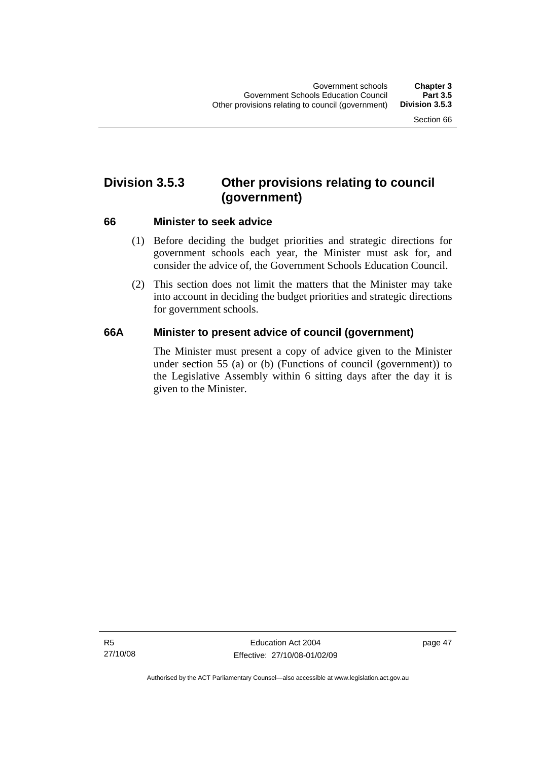# **Division 3.5.3 Other provisions relating to council (government)**

#### **66 Minister to seek advice**

- (1) Before deciding the budget priorities and strategic directions for government schools each year, the Minister must ask for, and consider the advice of, the Government Schools Education Council.
- (2) This section does not limit the matters that the Minister may take into account in deciding the budget priorities and strategic directions for government schools.

#### **66A Minister to present advice of council (government)**

The Minister must present a copy of advice given to the Minister under section 55 (a) or (b) (Functions of council (government)) to the Legislative Assembly within 6 sitting days after the day it is given to the Minister.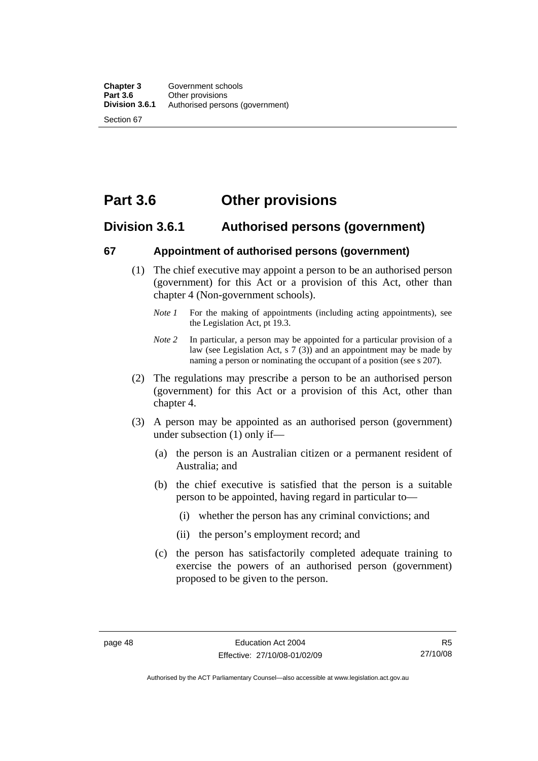# **Part 3.6 Other provisions**

#### **Division 3.6.1 Authorised persons (government)**

#### **67 Appointment of authorised persons (government)**

- (1) The chief executive may appoint a person to be an authorised person (government) for this Act or a provision of this Act, other than chapter 4 (Non-government schools).
	- *Note 1* For the making of appointments (including acting appointments), see the Legislation Act, pt 19.3.
	- *Note 2* In particular, a person may be appointed for a particular provision of a law (see Legislation Act, s 7 (3)) and an appointment may be made by naming a person or nominating the occupant of a position (see s 207).
- (2) The regulations may prescribe a person to be an authorised person (government) for this Act or a provision of this Act, other than chapter 4.
- (3) A person may be appointed as an authorised person (government) under subsection (1) only if—
	- (a) the person is an Australian citizen or a permanent resident of Australia; and
	- (b) the chief executive is satisfied that the person is a suitable person to be appointed, having regard in particular to—
		- (i) whether the person has any criminal convictions; and
		- (ii) the person's employment record; and
	- (c) the person has satisfactorily completed adequate training to exercise the powers of an authorised person (government) proposed to be given to the person.

Authorised by the ACT Parliamentary Counsel—also accessible at www.legislation.act.gov.au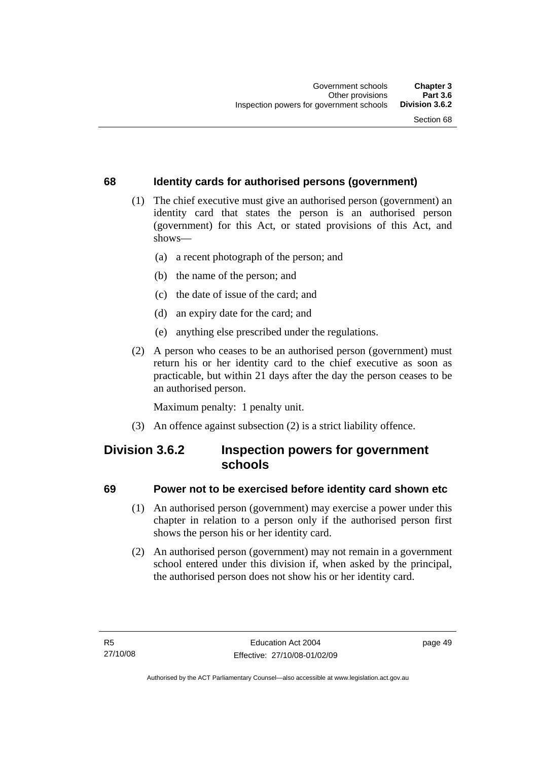#### **68 Identity cards for authorised persons (government)**

- (1) The chief executive must give an authorised person (government) an identity card that states the person is an authorised person (government) for this Act, or stated provisions of this Act, and shows—
	- (a) a recent photograph of the person; and
	- (b) the name of the person; and
	- (c) the date of issue of the card; and
	- (d) an expiry date for the card; and
	- (e) anything else prescribed under the regulations.
- (2) A person who ceases to be an authorised person (government) must return his or her identity card to the chief executive as soon as practicable, but within 21 days after the day the person ceases to be an authorised person.

Maximum penalty: 1 penalty unit.

(3) An offence against subsection (2) is a strict liability offence.

#### **Division 3.6.2 Inspection powers for government schools**

#### **69 Power not to be exercised before identity card shown etc**

- (1) An authorised person (government) may exercise a power under this chapter in relation to a person only if the authorised person first shows the person his or her identity card.
- (2) An authorised person (government) may not remain in a government school entered under this division if, when asked by the principal, the authorised person does not show his or her identity card.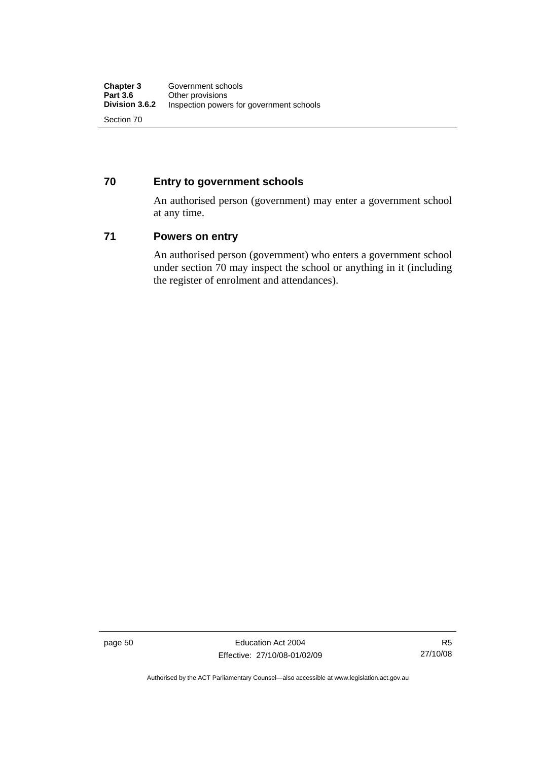#### **70 Entry to government schools**

An authorised person (government) may enter a government school at any time.

#### **71 Powers on entry**

An authorised person (government) who enters a government school under section 70 may inspect the school or anything in it (including the register of enrolment and attendances).

page 50 Education Act 2004 Effective: 27/10/08-01/02/09

R5 27/10/08

Authorised by the ACT Parliamentary Counsel—also accessible at www.legislation.act.gov.au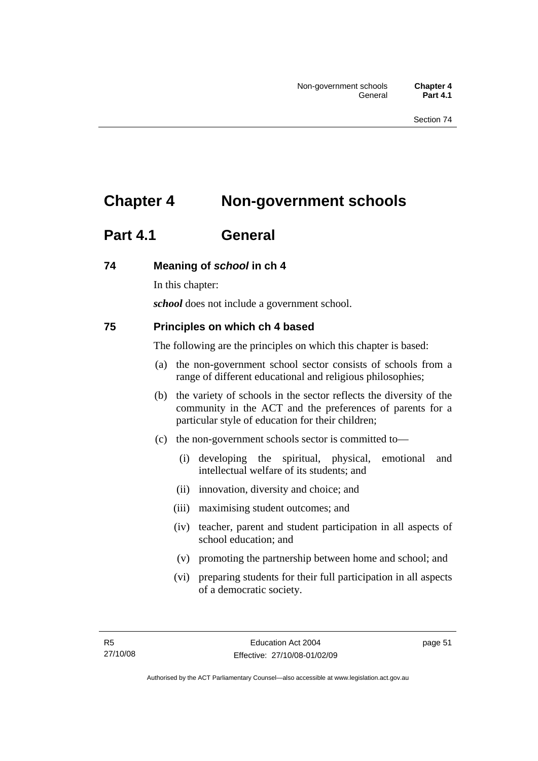# **Chapter 4 Non-government schools**

# **Part 4.1 General**

#### **74 Meaning of** *school* **in ch 4**

In this chapter:

*school* does not include a government school.

#### **75 Principles on which ch 4 based**

The following are the principles on which this chapter is based:

- (a) the non-government school sector consists of schools from a range of different educational and religious philosophies;
- (b) the variety of schools in the sector reflects the diversity of the community in the ACT and the preferences of parents for a particular style of education for their children;
- (c) the non-government schools sector is committed to—
	- (i) developing the spiritual, physical, emotional and intellectual welfare of its students; and
	- (ii) innovation, diversity and choice; and
	- (iii) maximising student outcomes; and
	- (iv) teacher, parent and student participation in all aspects of school education; and
	- (v) promoting the partnership between home and school; and
	- (vi) preparing students for their full participation in all aspects of a democratic society.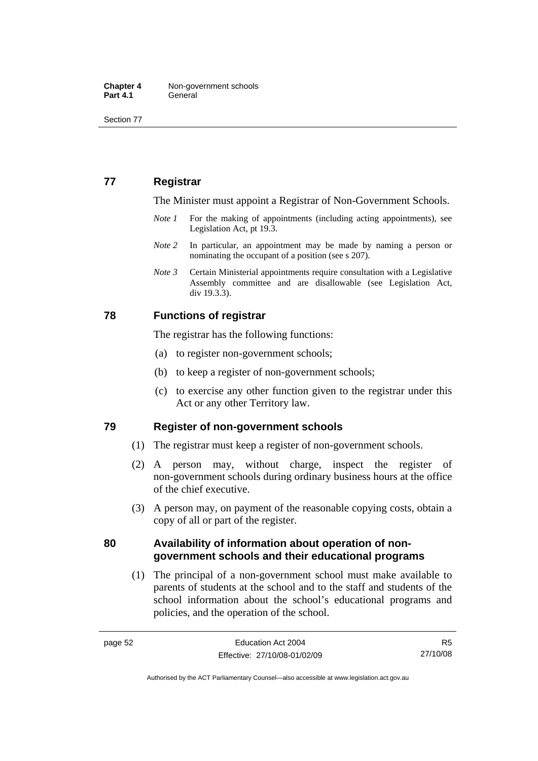Section 77

#### **77 Registrar**

The Minister must appoint a Registrar of Non-Government Schools.

- *Note 1* For the making of appointments (including acting appointments), see Legislation Act, pt 19.3.
- *Note* 2 In particular, an appointment may be made by naming a person or nominating the occupant of a position (see s 207).
- *Note 3* Certain Ministerial appointments require consultation with a Legislative Assembly committee and are disallowable (see Legislation Act, div 19.3.3).

#### **78 Functions of registrar**

The registrar has the following functions:

- (a) to register non-government schools;
- (b) to keep a register of non-government schools;
- (c) to exercise any other function given to the registrar under this Act or any other Territory law.

#### **79 Register of non-government schools**

- (1) The registrar must keep a register of non-government schools.
- (2) A person may, without charge, inspect the register of non-government schools during ordinary business hours at the office of the chief executive.
- (3) A person may, on payment of the reasonable copying costs, obtain a copy of all or part of the register.

#### **80 Availability of information about operation of nongovernment schools and their educational programs**

 (1) The principal of a non-government school must make available to parents of students at the school and to the staff and students of the school information about the school's educational programs and policies, and the operation of the school.

R5 27/10/08

Authorised by the ACT Parliamentary Counsel—also accessible at www.legislation.act.gov.au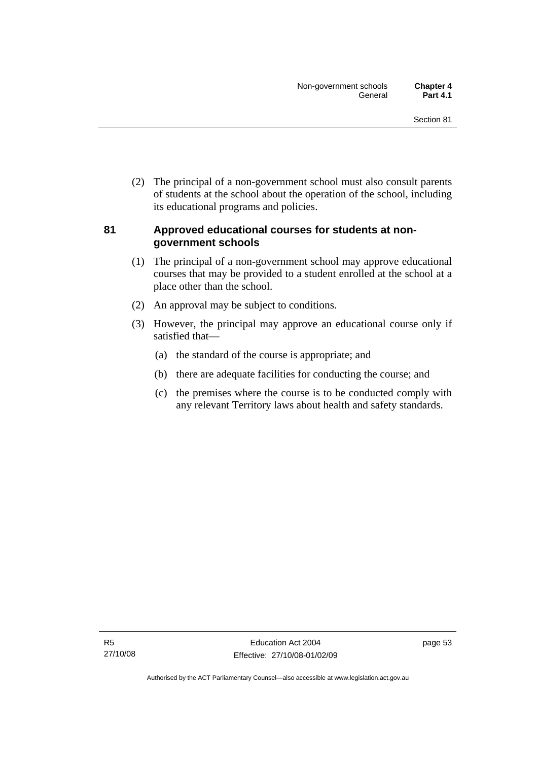(2) The principal of a non-government school must also consult parents of students at the school about the operation of the school, including its educational programs and policies.

#### **81 Approved educational courses for students at nongovernment schools**

- (1) The principal of a non-government school may approve educational courses that may be provided to a student enrolled at the school at a place other than the school.
- (2) An approval may be subject to conditions.
- (3) However, the principal may approve an educational course only if satisfied that—
	- (a) the standard of the course is appropriate; and
	- (b) there are adequate facilities for conducting the course; and
	- (c) the premises where the course is to be conducted comply with any relevant Territory laws about health and safety standards.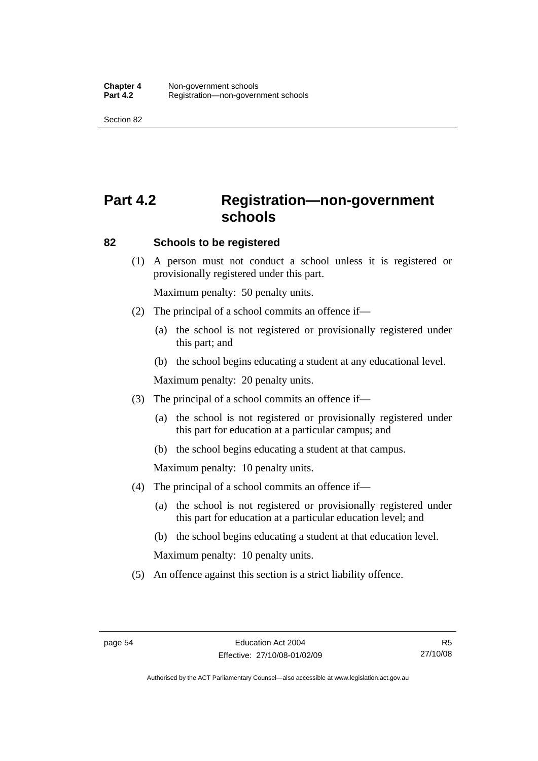Section 82

# **Part 4.2 Registration—non-government schools**

#### **82 Schools to be registered**

 (1) A person must not conduct a school unless it is registered or provisionally registered under this part.

Maximum penalty: 50 penalty units.

- (2) The principal of a school commits an offence if—
	- (a) the school is not registered or provisionally registered under this part; and
	- (b) the school begins educating a student at any educational level.

Maximum penalty: 20 penalty units.

- (3) The principal of a school commits an offence if—
	- (a) the school is not registered or provisionally registered under this part for education at a particular campus; and
	- (b) the school begins educating a student at that campus.

Maximum penalty: 10 penalty units.

- (4) The principal of a school commits an offence if—
	- (a) the school is not registered or provisionally registered under this part for education at a particular education level; and
	- (b) the school begins educating a student at that education level.

Maximum penalty: 10 penalty units.

(5) An offence against this section is a strict liability offence.

Authorised by the ACT Parliamentary Counsel—also accessible at www.legislation.act.gov.au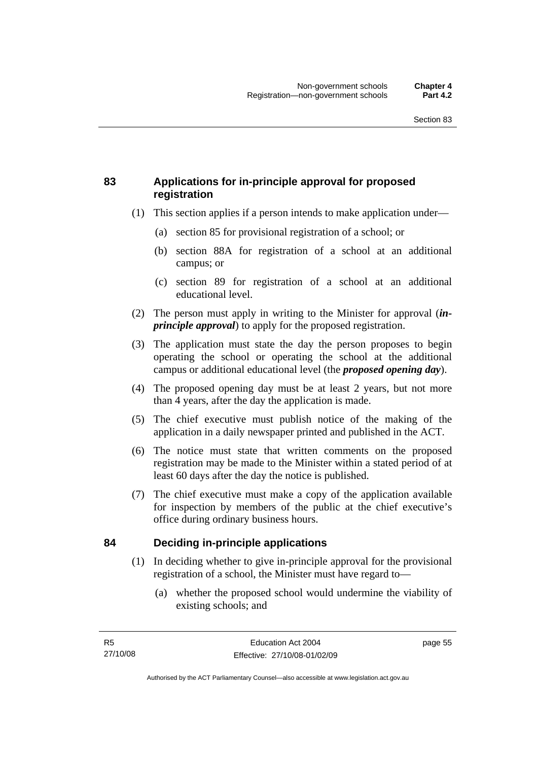#### **83 Applications for in-principle approval for proposed registration**

- (1) This section applies if a person intends to make application under—
	- (a) section 85 for provisional registration of a school; or
	- (b) section 88A for registration of a school at an additional campus; or
	- (c) section 89 for registration of a school at an additional educational level.
- (2) The person must apply in writing to the Minister for approval (*inprinciple approval*) to apply for the proposed registration.
- (3) The application must state the day the person proposes to begin operating the school or operating the school at the additional campus or additional educational level (the *proposed opening day*).
- (4) The proposed opening day must be at least 2 years, but not more than 4 years, after the day the application is made.
- (5) The chief executive must publish notice of the making of the application in a daily newspaper printed and published in the ACT.
- (6) The notice must state that written comments on the proposed registration may be made to the Minister within a stated period of at least 60 days after the day the notice is published.
- (7) The chief executive must make a copy of the application available for inspection by members of the public at the chief executive's office during ordinary business hours.

#### **84 Deciding in-principle applications**

- (1) In deciding whether to give in-principle approval for the provisional registration of a school, the Minister must have regard to—
	- (a) whether the proposed school would undermine the viability of existing schools; and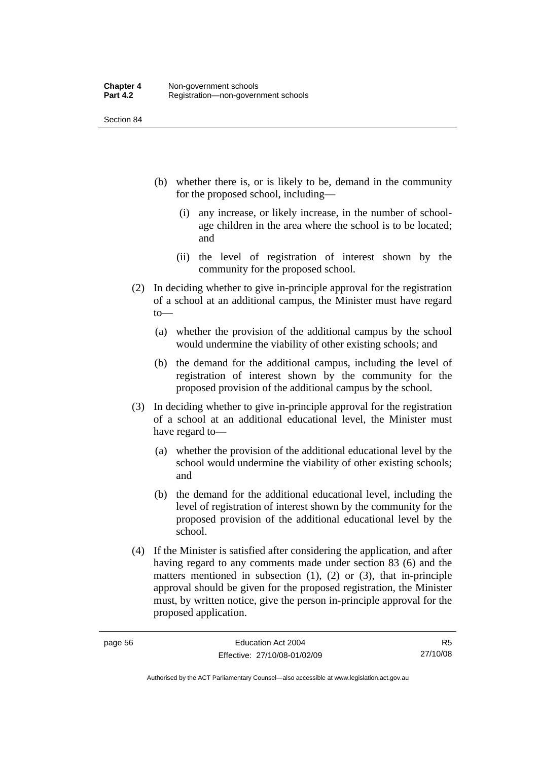Section 84

- (b) whether there is, or is likely to be, demand in the community for the proposed school, including—
	- (i) any increase, or likely increase, in the number of schoolage children in the area where the school is to be located; and
	- (ii) the level of registration of interest shown by the community for the proposed school.
- (2) In deciding whether to give in-principle approval for the registration of a school at an additional campus, the Minister must have regard to—
	- (a) whether the provision of the additional campus by the school would undermine the viability of other existing schools; and
	- (b) the demand for the additional campus, including the level of registration of interest shown by the community for the proposed provision of the additional campus by the school.
- (3) In deciding whether to give in-principle approval for the registration of a school at an additional educational level, the Minister must have regard to—
	- (a) whether the provision of the additional educational level by the school would undermine the viability of other existing schools; and
	- (b) the demand for the additional educational level, including the level of registration of interest shown by the community for the proposed provision of the additional educational level by the school.
- (4) If the Minister is satisfied after considering the application, and after having regard to any comments made under section 83 (6) and the matters mentioned in subsection  $(1)$ ,  $(2)$  or  $(3)$ , that in-principle approval should be given for the proposed registration, the Minister must, by written notice, give the person in-principle approval for the proposed application.

Authorised by the ACT Parliamentary Counsel—also accessible at www.legislation.act.gov.au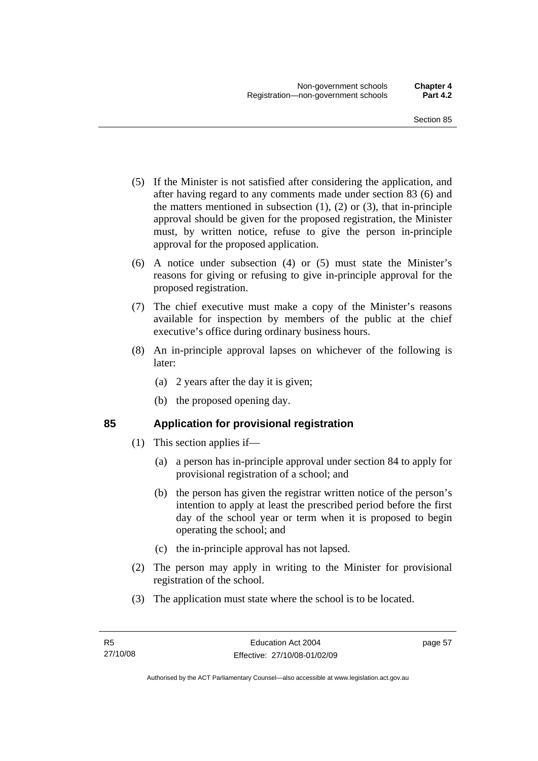- (5) If the Minister is not satisfied after considering the application, and after having regard to any comments made under section 83 (6) and the matters mentioned in subsection  $(1)$ ,  $(2)$  or  $(3)$ , that in-principle approval should be given for the proposed registration, the Minister must, by written notice, refuse to give the person in-principle approval for the proposed application.
- (6) A notice under subsection (4) or (5) must state the Minister's reasons for giving or refusing to give in-principle approval for the proposed registration.
- (7) The chief executive must make a copy of the Minister's reasons available for inspection by members of the public at the chief executive's office during ordinary business hours.
- (8) An in-principle approval lapses on whichever of the following is later:
	- (a) 2 years after the day it is given;
	- (b) the proposed opening day.

#### **85 Application for provisional registration**

- (1) This section applies if—
	- (a) a person has in-principle approval under section 84 to apply for provisional registration of a school; and
	- (b) the person has given the registrar written notice of the person's intention to apply at least the prescribed period before the first day of the school year or term when it is proposed to begin operating the school; and
	- (c) the in-principle approval has not lapsed.
- (2) The person may apply in writing to the Minister for provisional registration of the school.
- (3) The application must state where the school is to be located.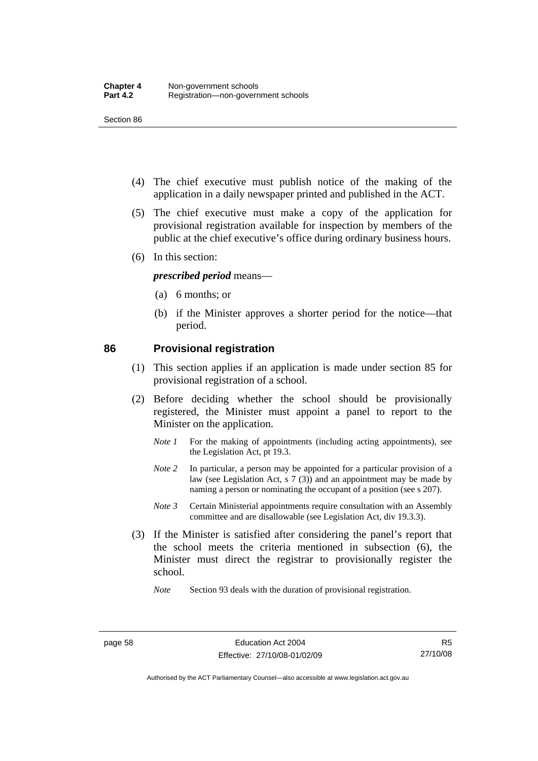Section 86

- (4) The chief executive must publish notice of the making of the application in a daily newspaper printed and published in the ACT.
- (5) The chief executive must make a copy of the application for provisional registration available for inspection by members of the public at the chief executive's office during ordinary business hours.
- (6) In this section:

#### *prescribed period* means—

- (a) 6 months; or
- (b) if the Minister approves a shorter period for the notice—that period.

#### **86 Provisional registration**

- (1) This section applies if an application is made under section 85 for provisional registration of a school.
- (2) Before deciding whether the school should be provisionally registered, the Minister must appoint a panel to report to the Minister on the application.
	- *Note 1* For the making of appointments (including acting appointments), see the Legislation Act, pt 19.3.
	- *Note 2* In particular, a person may be appointed for a particular provision of a law (see Legislation Act, s 7 (3)) and an appointment may be made by naming a person or nominating the occupant of a position (see s 207).
	- *Note 3* Certain Ministerial appointments require consultation with an Assembly committee and are disallowable (see Legislation Act, div 19.3.3).
- (3) If the Minister is satisfied after considering the panel's report that the school meets the criteria mentioned in subsection (6), the Minister must direct the registrar to provisionally register the school.

*Note* Section 93 deals with the duration of provisional registration.

Authorised by the ACT Parliamentary Counsel—also accessible at www.legislation.act.gov.au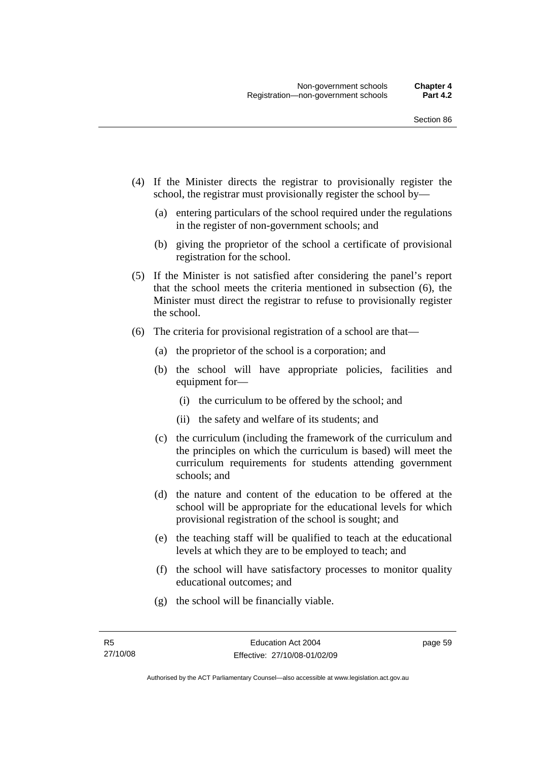- (4) If the Minister directs the registrar to provisionally register the school, the registrar must provisionally register the school by—
	- (a) entering particulars of the school required under the regulations in the register of non-government schools; and
	- (b) giving the proprietor of the school a certificate of provisional registration for the school.
- (5) If the Minister is not satisfied after considering the panel's report that the school meets the criteria mentioned in subsection (6), the Minister must direct the registrar to refuse to provisionally register the school.
- (6) The criteria for provisional registration of a school are that—
	- (a) the proprietor of the school is a corporation; and
	- (b) the school will have appropriate policies, facilities and equipment for—
		- (i) the curriculum to be offered by the school; and
		- (ii) the safety and welfare of its students; and
	- (c) the curriculum (including the framework of the curriculum and the principles on which the curriculum is based) will meet the curriculum requirements for students attending government schools; and
	- (d) the nature and content of the education to be offered at the school will be appropriate for the educational levels for which provisional registration of the school is sought; and
	- (e) the teaching staff will be qualified to teach at the educational levels at which they are to be employed to teach; and
	- (f) the school will have satisfactory processes to monitor quality educational outcomes; and
	- (g) the school will be financially viable.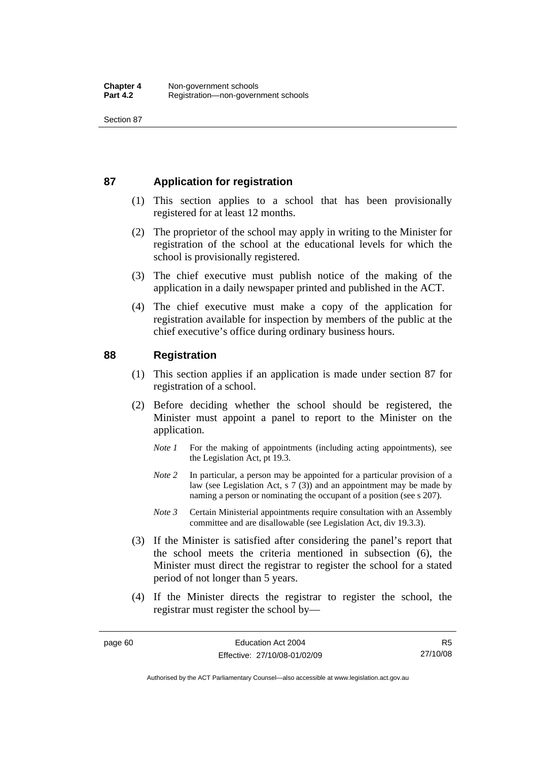#### **87 Application for registration**

- (1) This section applies to a school that has been provisionally registered for at least 12 months.
- (2) The proprietor of the school may apply in writing to the Minister for registration of the school at the educational levels for which the school is provisionally registered.
- (3) The chief executive must publish notice of the making of the application in a daily newspaper printed and published in the ACT.
- (4) The chief executive must make a copy of the application for registration available for inspection by members of the public at the chief executive's office during ordinary business hours.

#### **88 Registration**

- (1) This section applies if an application is made under section 87 for registration of a school.
- (2) Before deciding whether the school should be registered, the Minister must appoint a panel to report to the Minister on the application.
	- *Note 1* For the making of appointments (including acting appointments), see the Legislation Act, pt 19.3.
	- *Note* 2 In particular, a person may be appointed for a particular provision of a law (see Legislation Act, s 7 (3)) and an appointment may be made by naming a person or nominating the occupant of a position (see s 207).
	- *Note 3* Certain Ministerial appointments require consultation with an Assembly committee and are disallowable (see Legislation Act, div 19.3.3).
- (3) If the Minister is satisfied after considering the panel's report that the school meets the criteria mentioned in subsection (6), the Minister must direct the registrar to register the school for a stated period of not longer than 5 years.
- (4) If the Minister directs the registrar to register the school, the registrar must register the school by—

Authorised by the ACT Parliamentary Counsel—also accessible at www.legislation.act.gov.au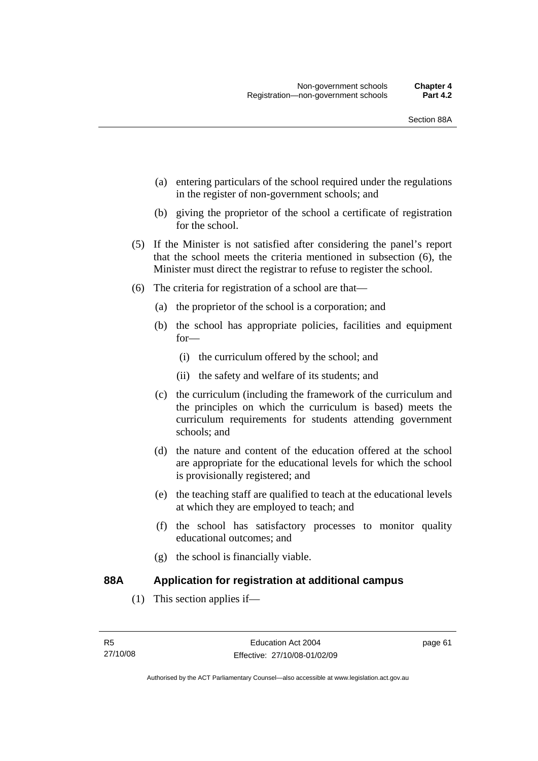- (a) entering particulars of the school required under the regulations in the register of non-government schools; and
- (b) giving the proprietor of the school a certificate of registration for the school.
- (5) If the Minister is not satisfied after considering the panel's report that the school meets the criteria mentioned in subsection (6), the Minister must direct the registrar to refuse to register the school.
- (6) The criteria for registration of a school are that—
	- (a) the proprietor of the school is a corporation; and
	- (b) the school has appropriate policies, facilities and equipment for—
		- (i) the curriculum offered by the school; and
		- (ii) the safety and welfare of its students; and
	- (c) the curriculum (including the framework of the curriculum and the principles on which the curriculum is based) meets the curriculum requirements for students attending government schools; and
	- (d) the nature and content of the education offered at the school are appropriate for the educational levels for which the school is provisionally registered; and
	- (e) the teaching staff are qualified to teach at the educational levels at which they are employed to teach; and
	- (f) the school has satisfactory processes to monitor quality educational outcomes; and
	- (g) the school is financially viable.

#### **88A Application for registration at additional campus**

(1) This section applies if—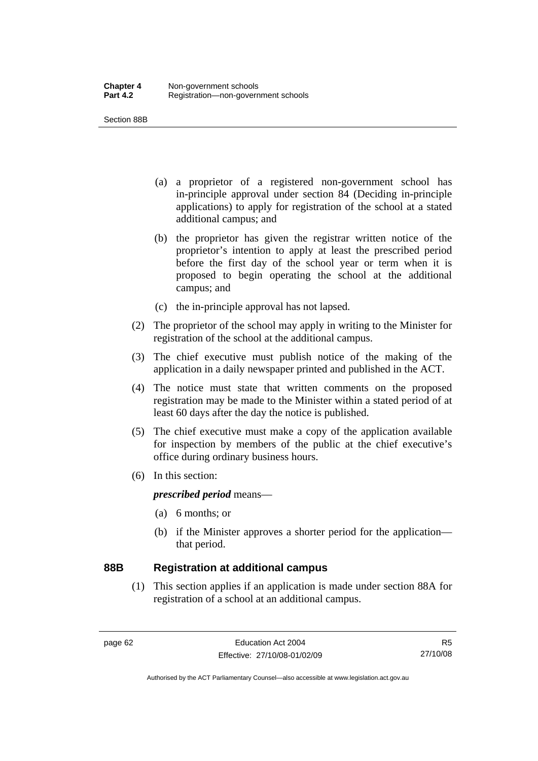Section 88B

- (a) a proprietor of a registered non-government school has in-principle approval under section 84 (Deciding in-principle applications) to apply for registration of the school at a stated additional campus; and
- (b) the proprietor has given the registrar written notice of the proprietor's intention to apply at least the prescribed period before the first day of the school year or term when it is proposed to begin operating the school at the additional campus; and
- (c) the in-principle approval has not lapsed.
- (2) The proprietor of the school may apply in writing to the Minister for registration of the school at the additional campus.
- (3) The chief executive must publish notice of the making of the application in a daily newspaper printed and published in the ACT.
- (4) The notice must state that written comments on the proposed registration may be made to the Minister within a stated period of at least 60 days after the day the notice is published.
- (5) The chief executive must make a copy of the application available for inspection by members of the public at the chief executive's office during ordinary business hours.
- (6) In this section:

*prescribed period* means—

- (a) 6 months; or
- (b) if the Minister approves a shorter period for the application that period.

#### **88B Registration at additional campus**

 (1) This section applies if an application is made under section 88A for registration of a school at an additional campus.

R5 27/10/08

Authorised by the ACT Parliamentary Counsel—also accessible at www.legislation.act.gov.au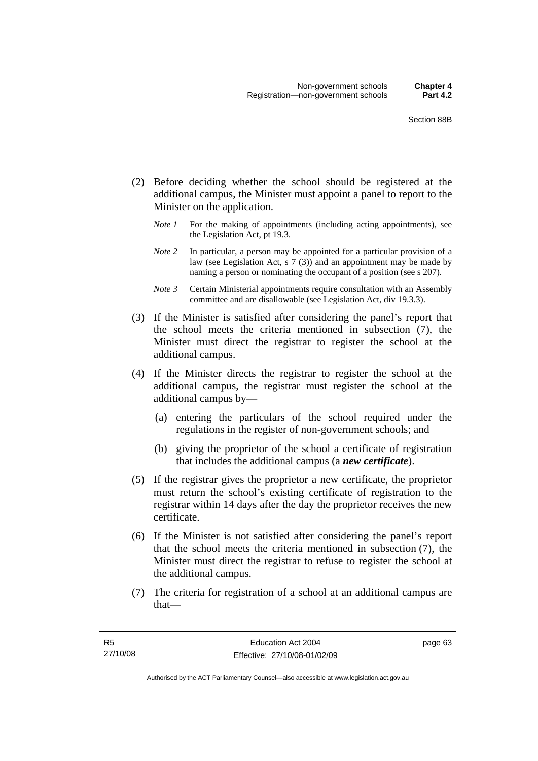- (2) Before deciding whether the school should be registered at the additional campus, the Minister must appoint a panel to report to the Minister on the application.
	- *Note 1* For the making of appointments (including acting appointments), see the Legislation Act, pt 19.3.
	- *Note 2* In particular, a person may be appointed for a particular provision of a law (see Legislation Act, s 7 (3)) and an appointment may be made by naming a person or nominating the occupant of a position (see s 207).
	- *Note 3* Certain Ministerial appointments require consultation with an Assembly committee and are disallowable (see Legislation Act, div 19.3.3).
- (3) If the Minister is satisfied after considering the panel's report that the school meets the criteria mentioned in subsection (7), the Minister must direct the registrar to register the school at the additional campus.
- (4) If the Minister directs the registrar to register the school at the additional campus, the registrar must register the school at the additional campus by—
	- (a) entering the particulars of the school required under the regulations in the register of non-government schools; and
	- (b) giving the proprietor of the school a certificate of registration that includes the additional campus (a *new certificate*).
- (5) If the registrar gives the proprietor a new certificate, the proprietor must return the school's existing certificate of registration to the registrar within 14 days after the day the proprietor receives the new certificate.
- (6) If the Minister is not satisfied after considering the panel's report that the school meets the criteria mentioned in subsection (7), the Minister must direct the registrar to refuse to register the school at the additional campus.
- (7) The criteria for registration of a school at an additional campus are that—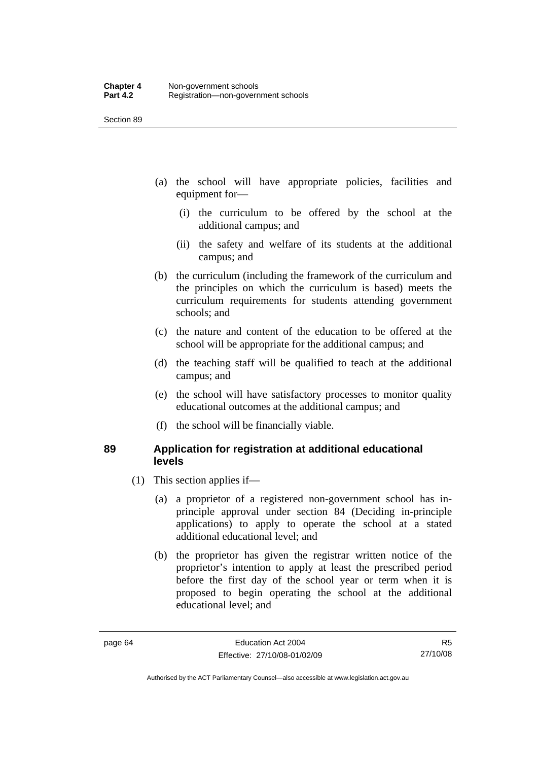- (a) the school will have appropriate policies, facilities and equipment for—
	- (i) the curriculum to be offered by the school at the additional campus; and
	- (ii) the safety and welfare of its students at the additional campus; and
- (b) the curriculum (including the framework of the curriculum and the principles on which the curriculum is based) meets the curriculum requirements for students attending government schools; and
- (c) the nature and content of the education to be offered at the school will be appropriate for the additional campus; and
- (d) the teaching staff will be qualified to teach at the additional campus; and
- (e) the school will have satisfactory processes to monitor quality educational outcomes at the additional campus; and
- (f) the school will be financially viable.

#### **89 Application for registration at additional educational levels**

- (1) This section applies if—
	- (a) a proprietor of a registered non-government school has inprinciple approval under section 84 (Deciding in-principle applications) to apply to operate the school at a stated additional educational level; and
	- (b) the proprietor has given the registrar written notice of the proprietor's intention to apply at least the prescribed period before the first day of the school year or term when it is proposed to begin operating the school at the additional educational level; and

R5 27/10/08

Authorised by the ACT Parliamentary Counsel—also accessible at www.legislation.act.gov.au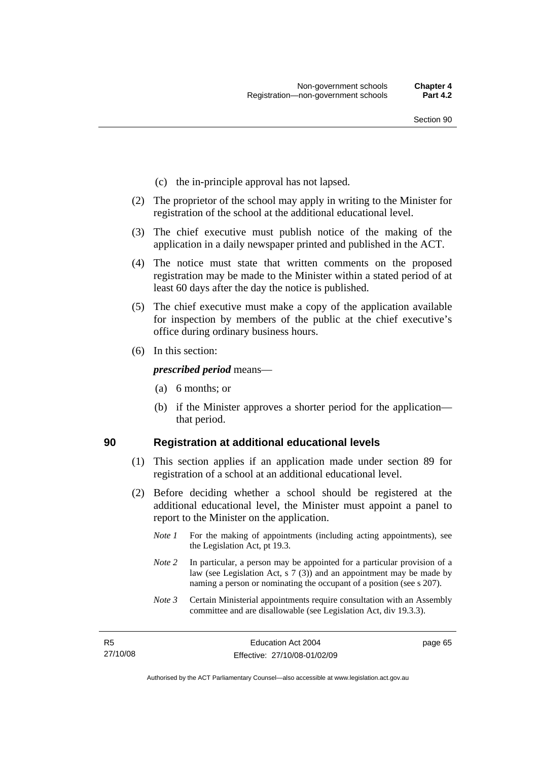- (c) the in-principle approval has not lapsed.
- (2) The proprietor of the school may apply in writing to the Minister for registration of the school at the additional educational level.
- (3) The chief executive must publish notice of the making of the application in a daily newspaper printed and published in the ACT.
- (4) The notice must state that written comments on the proposed registration may be made to the Minister within a stated period of at least 60 days after the day the notice is published.
- (5) The chief executive must make a copy of the application available for inspection by members of the public at the chief executive's office during ordinary business hours.
- (6) In this section:

*prescribed period* means—

- (a) 6 months; or
- (b) if the Minister approves a shorter period for the application that period.

#### **90 Registration at additional educational levels**

- (1) This section applies if an application made under section 89 for registration of a school at an additional educational level.
- (2) Before deciding whether a school should be registered at the additional educational level, the Minister must appoint a panel to report to the Minister on the application.
	- *Note 1* For the making of appointments (including acting appointments), see the Legislation Act, pt 19.3.
	- *Note* 2 In particular, a person may be appointed for a particular provision of a law (see Legislation Act, s 7 (3)) and an appointment may be made by naming a person or nominating the occupant of a position (see s 207).
	- *Note 3* Certain Ministerial appointments require consultation with an Assembly committee and are disallowable (see Legislation Act, div 19.3.3).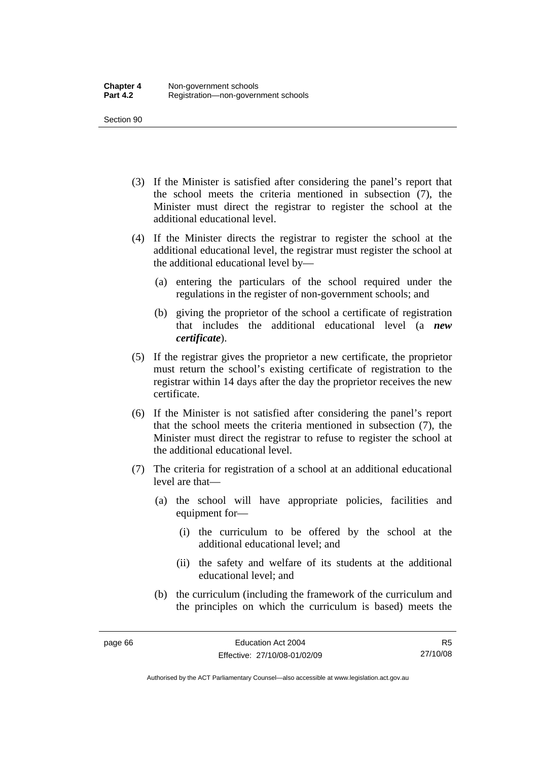- (3) If the Minister is satisfied after considering the panel's report that the school meets the criteria mentioned in subsection (7), the Minister must direct the registrar to register the school at the additional educational level.
- (4) If the Minister directs the registrar to register the school at the additional educational level, the registrar must register the school at the additional educational level by—
	- (a) entering the particulars of the school required under the regulations in the register of non-government schools; and
	- (b) giving the proprietor of the school a certificate of registration that includes the additional educational level (a *new certificate*).
- (5) If the registrar gives the proprietor a new certificate, the proprietor must return the school's existing certificate of registration to the registrar within 14 days after the day the proprietor receives the new certificate.
- (6) If the Minister is not satisfied after considering the panel's report that the school meets the criteria mentioned in subsection (7), the Minister must direct the registrar to refuse to register the school at the additional educational level.
- (7) The criteria for registration of a school at an additional educational level are that—
	- (a) the school will have appropriate policies, facilities and equipment for—
		- (i) the curriculum to be offered by the school at the additional educational level; and
		- (ii) the safety and welfare of its students at the additional educational level; and
	- (b) the curriculum (including the framework of the curriculum and the principles on which the curriculum is based) meets the

R5 27/10/08

Authorised by the ACT Parliamentary Counsel—also accessible at www.legislation.act.gov.au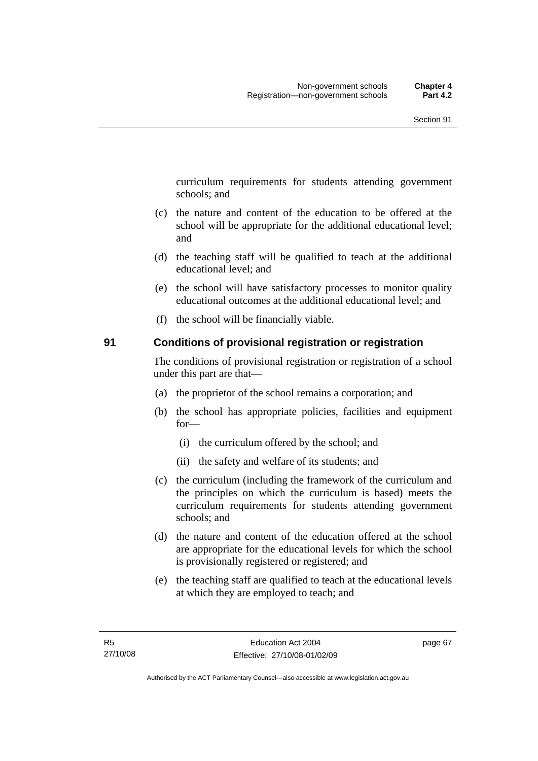curriculum requirements for students attending government schools; and

- (c) the nature and content of the education to be offered at the school will be appropriate for the additional educational level; and
- (d) the teaching staff will be qualified to teach at the additional educational level; and
- (e) the school will have satisfactory processes to monitor quality educational outcomes at the additional educational level; and
- (f) the school will be financially viable.

#### **91 Conditions of provisional registration or registration**

The conditions of provisional registration or registration of a school under this part are that—

- (a) the proprietor of the school remains a corporation; and
- (b) the school has appropriate policies, facilities and equipment for—
	- (i) the curriculum offered by the school; and
	- (ii) the safety and welfare of its students; and
- (c) the curriculum (including the framework of the curriculum and the principles on which the curriculum is based) meets the curriculum requirements for students attending government schools; and
- (d) the nature and content of the education offered at the school are appropriate for the educational levels for which the school is provisionally registered or registered; and
- (e) the teaching staff are qualified to teach at the educational levels at which they are employed to teach; and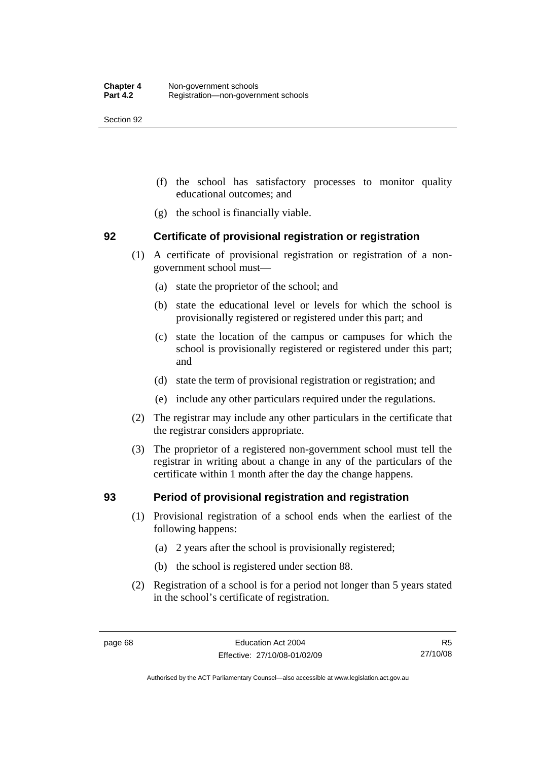- (f) the school has satisfactory processes to monitor quality educational outcomes; and
- (g) the school is financially viable.

#### **92 Certificate of provisional registration or registration**

- (1) A certificate of provisional registration or registration of a nongovernment school must—
	- (a) state the proprietor of the school; and
	- (b) state the educational level or levels for which the school is provisionally registered or registered under this part; and
	- (c) state the location of the campus or campuses for which the school is provisionally registered or registered under this part; and
	- (d) state the term of provisional registration or registration; and
	- (e) include any other particulars required under the regulations.
- (2) The registrar may include any other particulars in the certificate that the registrar considers appropriate.
- (3) The proprietor of a registered non-government school must tell the registrar in writing about a change in any of the particulars of the certificate within 1 month after the day the change happens.

#### **93 Period of provisional registration and registration**

- (1) Provisional registration of a school ends when the earliest of the following happens:
	- (a) 2 years after the school is provisionally registered;
	- (b) the school is registered under section 88.
- (2) Registration of a school is for a period not longer than 5 years stated in the school's certificate of registration.

R5 27/10/08

Authorised by the ACT Parliamentary Counsel—also accessible at www.legislation.act.gov.au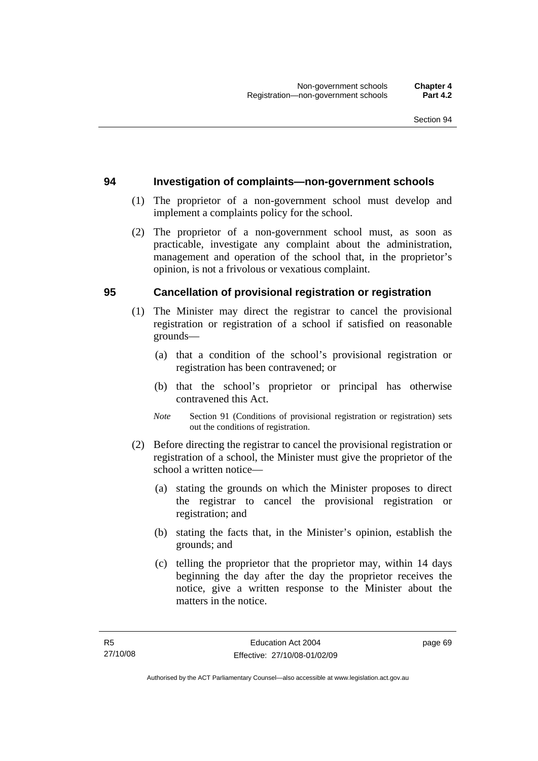#### **94 Investigation of complaints—non-government schools**

- (1) The proprietor of a non-government school must develop and implement a complaints policy for the school.
- (2) The proprietor of a non-government school must, as soon as practicable, investigate any complaint about the administration, management and operation of the school that, in the proprietor's opinion, is not a frivolous or vexatious complaint.

#### **95 Cancellation of provisional registration or registration**

- (1) The Minister may direct the registrar to cancel the provisional registration or registration of a school if satisfied on reasonable grounds—
	- (a) that a condition of the school's provisional registration or registration has been contravened; or
	- (b) that the school's proprietor or principal has otherwise contravened this Act.
	- *Note* Section 91 (Conditions of provisional registration or registration) sets out the conditions of registration.
- (2) Before directing the registrar to cancel the provisional registration or registration of a school, the Minister must give the proprietor of the school a written notice—
	- (a) stating the grounds on which the Minister proposes to direct the registrar to cancel the provisional registration or registration; and
	- (b) stating the facts that, in the Minister's opinion, establish the grounds; and
	- (c) telling the proprietor that the proprietor may, within 14 days beginning the day after the day the proprietor receives the notice, give a written response to the Minister about the matters in the notice.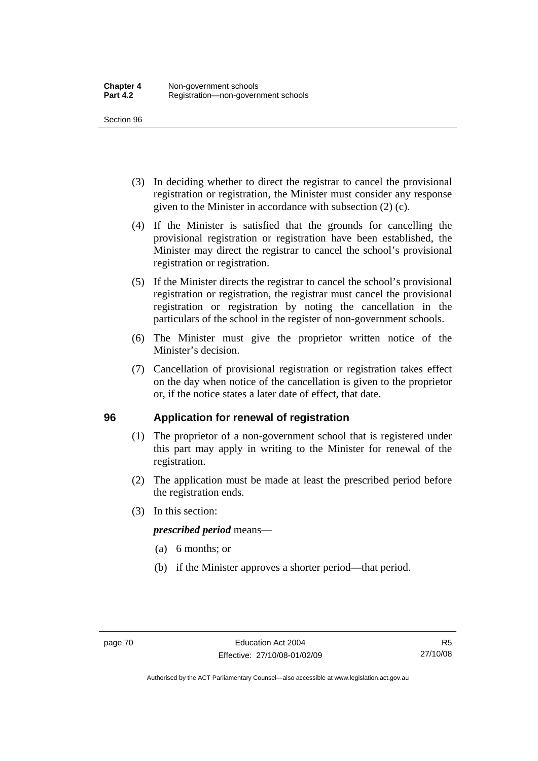- (3) In deciding whether to direct the registrar to cancel the provisional registration or registration, the Minister must consider any response given to the Minister in accordance with subsection (2) (c).
- (4) If the Minister is satisfied that the grounds for cancelling the provisional registration or registration have been established, the Minister may direct the registrar to cancel the school's provisional registration or registration.
- (5) If the Minister directs the registrar to cancel the school's provisional registration or registration, the registrar must cancel the provisional registration or registration by noting the cancellation in the particulars of the school in the register of non-government schools.
- (6) The Minister must give the proprietor written notice of the Minister's decision.
- (7) Cancellation of provisional registration or registration takes effect on the day when notice of the cancellation is given to the proprietor or, if the notice states a later date of effect, that date.

#### **96 Application for renewal of registration**

- (1) The proprietor of a non-government school that is registered under this part may apply in writing to the Minister for renewal of the registration.
- (2) The application must be made at least the prescribed period before the registration ends.
- (3) In this section:

#### *prescribed period* means—

- (a) 6 months; or
- (b) if the Minister approves a shorter period—that period.

Authorised by the ACT Parliamentary Counsel—also accessible at www.legislation.act.gov.au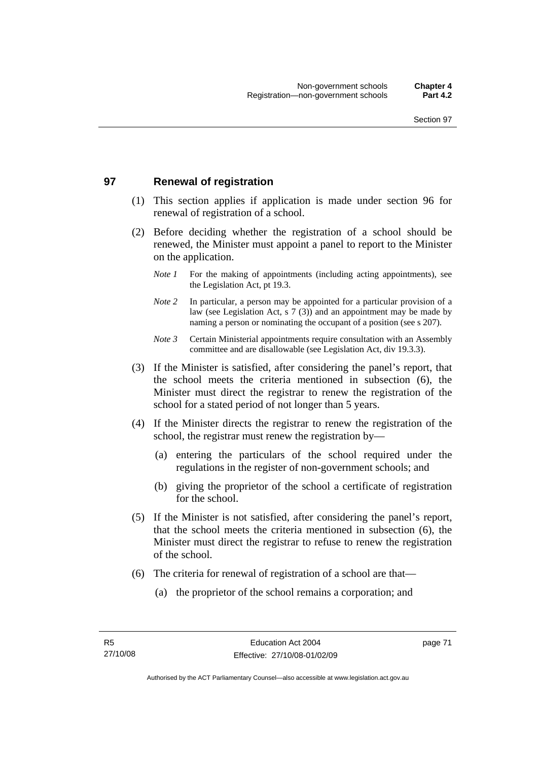#### **97 Renewal of registration**

- (1) This section applies if application is made under section 96 for renewal of registration of a school.
- (2) Before deciding whether the registration of a school should be renewed, the Minister must appoint a panel to report to the Minister on the application.
	- *Note 1* For the making of appointments (including acting appointments), see the Legislation Act, pt 19.3.
	- *Note 2* In particular, a person may be appointed for a particular provision of a law (see Legislation Act, s 7 (3)) and an appointment may be made by naming a person or nominating the occupant of a position (see s 207).
	- *Note 3* Certain Ministerial appointments require consultation with an Assembly committee and are disallowable (see Legislation Act, div 19.3.3).
- (3) If the Minister is satisfied, after considering the panel's report, that the school meets the criteria mentioned in subsection (6), the Minister must direct the registrar to renew the registration of the school for a stated period of not longer than 5 years.
- (4) If the Minister directs the registrar to renew the registration of the school, the registrar must renew the registration by—
	- (a) entering the particulars of the school required under the regulations in the register of non-government schools; and
	- (b) giving the proprietor of the school a certificate of registration for the school.
- (5) If the Minister is not satisfied, after considering the panel's report, that the school meets the criteria mentioned in subsection (6), the Minister must direct the registrar to refuse to renew the registration of the school.
- (6) The criteria for renewal of registration of a school are that—
	- (a) the proprietor of the school remains a corporation; and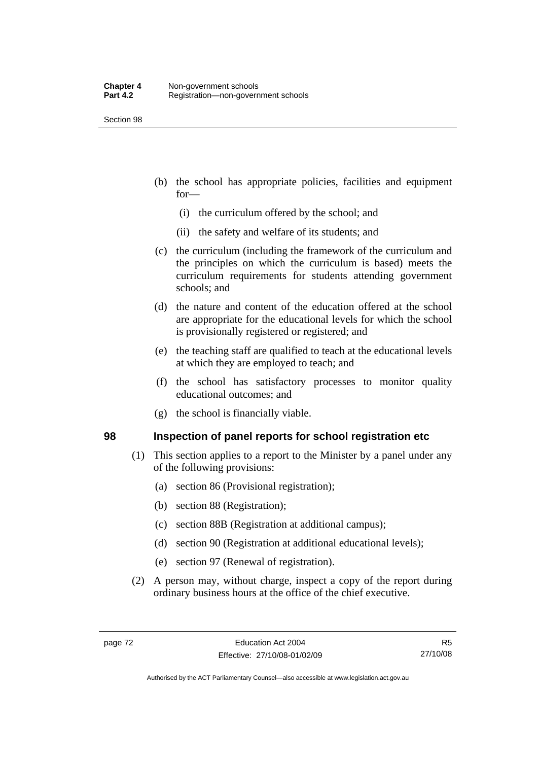- (b) the school has appropriate policies, facilities and equipment for—
	- (i) the curriculum offered by the school; and
	- (ii) the safety and welfare of its students; and
- (c) the curriculum (including the framework of the curriculum and the principles on which the curriculum is based) meets the curriculum requirements for students attending government schools; and
- (d) the nature and content of the education offered at the school are appropriate for the educational levels for which the school is provisionally registered or registered; and
- (e) the teaching staff are qualified to teach at the educational levels at which they are employed to teach; and
- (f) the school has satisfactory processes to monitor quality educational outcomes; and
- (g) the school is financially viable.

#### **98 Inspection of panel reports for school registration etc**

- (1) This section applies to a report to the Minister by a panel under any of the following provisions:
	- (a) section 86 (Provisional registration);
	- (b) section 88 (Registration);
	- (c) section 88B (Registration at additional campus);
	- (d) section 90 (Registration at additional educational levels);
	- (e) section 97 (Renewal of registration).
- (2) A person may, without charge, inspect a copy of the report during ordinary business hours at the office of the chief executive.

R5 27/10/08

Authorised by the ACT Parliamentary Counsel—also accessible at www.legislation.act.gov.au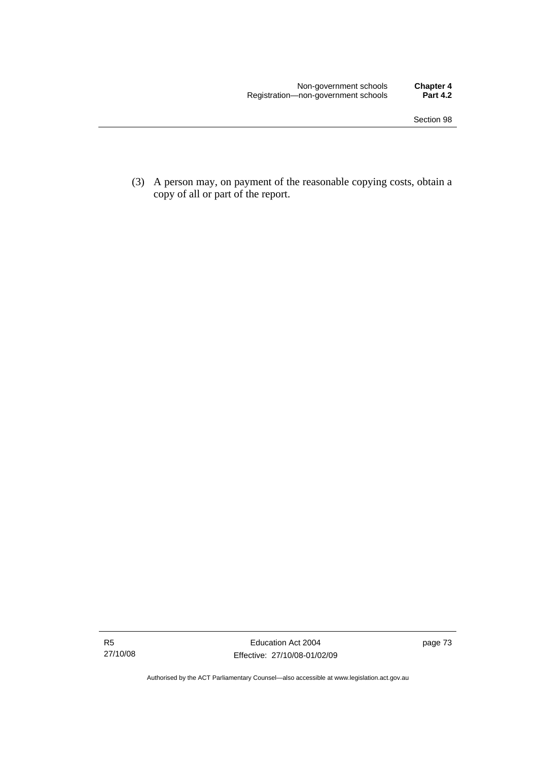(3) A person may, on payment of the reasonable copying costs, obtain a copy of all or part of the report.

Authorised by the ACT Parliamentary Counsel—also accessible at www.legislation.act.gov.au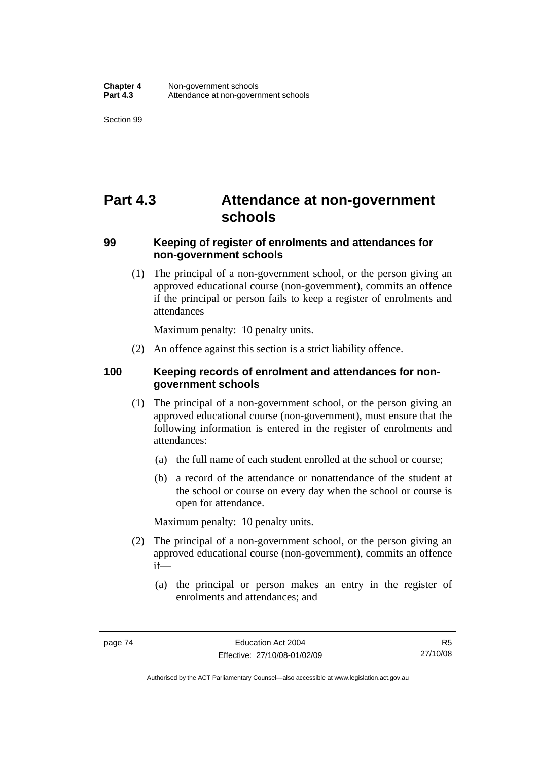## **Part 4.3 Attendance at non-government schools**

#### **99 Keeping of register of enrolments and attendances for non-government schools**

 (1) The principal of a non-government school, or the person giving an approved educational course (non-government), commits an offence if the principal or person fails to keep a register of enrolments and attendances

Maximum penalty: 10 penalty units.

(2) An offence against this section is a strict liability offence.

#### **100 Keeping records of enrolment and attendances for nongovernment schools**

- (1) The principal of a non-government school, or the person giving an approved educational course (non-government), must ensure that the following information is entered in the register of enrolments and attendances:
	- (a) the full name of each student enrolled at the school or course;
	- (b) a record of the attendance or nonattendance of the student at the school or course on every day when the school or course is open for attendance.

Maximum penalty: 10 penalty units.

- (2) The principal of a non-government school, or the person giving an approved educational course (non-government), commits an offence if—
	- (a) the principal or person makes an entry in the register of enrolments and attendances; and

Authorised by the ACT Parliamentary Counsel—also accessible at www.legislation.act.gov.au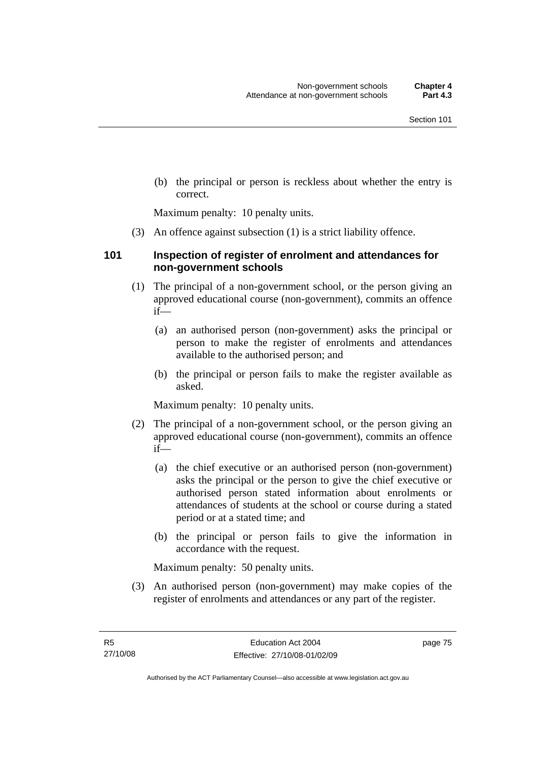(b) the principal or person is reckless about whether the entry is correct.

Maximum penalty: 10 penalty units.

(3) An offence against subsection (1) is a strict liability offence.

#### **101 Inspection of register of enrolment and attendances for non-government schools**

- (1) The principal of a non-government school, or the person giving an approved educational course (non-government), commits an offence if—
	- (a) an authorised person (non-government) asks the principal or person to make the register of enrolments and attendances available to the authorised person; and
	- (b) the principal or person fails to make the register available as asked.

Maximum penalty: 10 penalty units.

- (2) The principal of a non-government school, or the person giving an approved educational course (non-government), commits an offence if—
	- (a) the chief executive or an authorised person (non-government) asks the principal or the person to give the chief executive or authorised person stated information about enrolments or attendances of students at the school or course during a stated period or at a stated time; and
	- (b) the principal or person fails to give the information in accordance with the request.

Maximum penalty: 50 penalty units.

 (3) An authorised person (non-government) may make copies of the register of enrolments and attendances or any part of the register.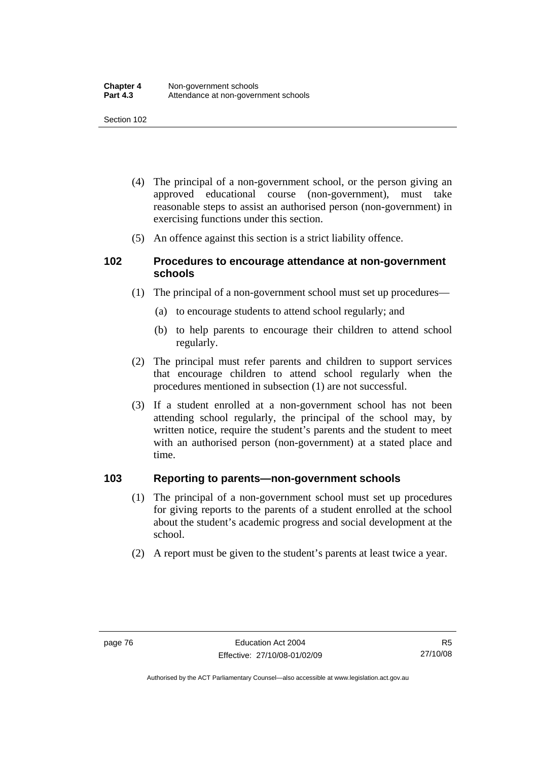- (4) The principal of a non-government school, or the person giving an approved educational course (non-government), must take reasonable steps to assist an authorised person (non-government) in exercising functions under this section.
- (5) An offence against this section is a strict liability offence.

#### **102 Procedures to encourage attendance at non-government schools**

- (1) The principal of a non-government school must set up procedures—
	- (a) to encourage students to attend school regularly; and
	- (b) to help parents to encourage their children to attend school regularly.
- (2) The principal must refer parents and children to support services that encourage children to attend school regularly when the procedures mentioned in subsection (1) are not successful.
- (3) If a student enrolled at a non-government school has not been attending school regularly, the principal of the school may, by written notice, require the student's parents and the student to meet with an authorised person (non-government) at a stated place and time.

#### **103 Reporting to parents—non-government schools**

- (1) The principal of a non-government school must set up procedures for giving reports to the parents of a student enrolled at the school about the student's academic progress and social development at the school.
- (2) A report must be given to the student's parents at least twice a year.

Authorised by the ACT Parliamentary Counsel—also accessible at www.legislation.act.gov.au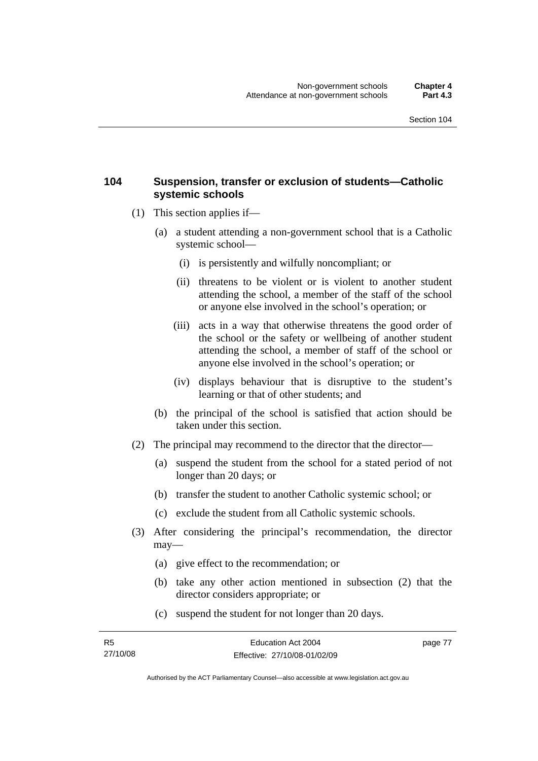#### **104 Suspension, transfer or exclusion of students—Catholic systemic schools**

- (1) This section applies if—
	- (a) a student attending a non-government school that is a Catholic systemic school—
		- (i) is persistently and wilfully noncompliant; or
		- (ii) threatens to be violent or is violent to another student attending the school, a member of the staff of the school or anyone else involved in the school's operation; or
		- (iii) acts in a way that otherwise threatens the good order of the school or the safety or wellbeing of another student attending the school, a member of staff of the school or anyone else involved in the school's operation; or
		- (iv) displays behaviour that is disruptive to the student's learning or that of other students; and
	- (b) the principal of the school is satisfied that action should be taken under this section.
- (2) The principal may recommend to the director that the director—
	- (a) suspend the student from the school for a stated period of not longer than 20 days; or
	- (b) transfer the student to another Catholic systemic school; or
	- (c) exclude the student from all Catholic systemic schools.
- (3) After considering the principal's recommendation, the director may—
	- (a) give effect to the recommendation; or
	- (b) take any other action mentioned in subsection (2) that the director considers appropriate; or
	- (c) suspend the student for not longer than 20 days.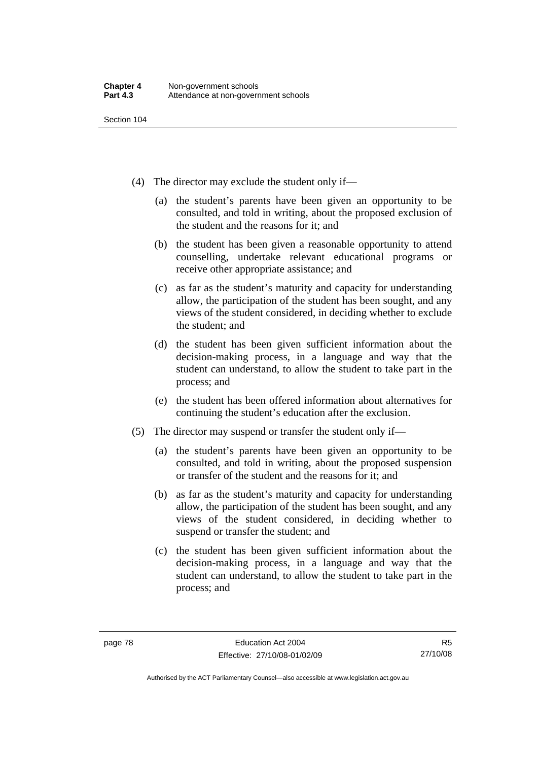- (4) The director may exclude the student only if—
	- (a) the student's parents have been given an opportunity to be consulted, and told in writing, about the proposed exclusion of the student and the reasons for it; and
	- (b) the student has been given a reasonable opportunity to attend counselling, undertake relevant educational programs or receive other appropriate assistance; and
	- (c) as far as the student's maturity and capacity for understanding allow, the participation of the student has been sought, and any views of the student considered, in deciding whether to exclude the student; and
	- (d) the student has been given sufficient information about the decision-making process, in a language and way that the student can understand, to allow the student to take part in the process; and
	- (e) the student has been offered information about alternatives for continuing the student's education after the exclusion.
- (5) The director may suspend or transfer the student only if—
	- (a) the student's parents have been given an opportunity to be consulted, and told in writing, about the proposed suspension or transfer of the student and the reasons for it; and
	- (b) as far as the student's maturity and capacity for understanding allow, the participation of the student has been sought, and any views of the student considered, in deciding whether to suspend or transfer the student; and
	- (c) the student has been given sufficient information about the decision-making process, in a language and way that the student can understand, to allow the student to take part in the process; and

R5 27/10/08

Authorised by the ACT Parliamentary Counsel—also accessible at www.legislation.act.gov.au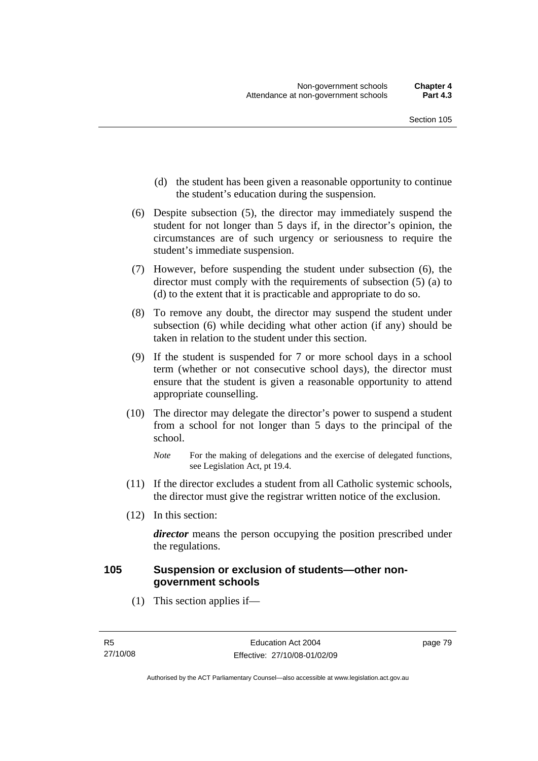- (d) the student has been given a reasonable opportunity to continue the student's education during the suspension.
- (6) Despite subsection (5), the director may immediately suspend the student for not longer than 5 days if, in the director's opinion, the circumstances are of such urgency or seriousness to require the student's immediate suspension.
- (7) However, before suspending the student under subsection (6), the director must comply with the requirements of subsection (5) (a) to (d) to the extent that it is practicable and appropriate to do so.
- (8) To remove any doubt, the director may suspend the student under subsection (6) while deciding what other action (if any) should be taken in relation to the student under this section.
- (9) If the student is suspended for 7 or more school days in a school term (whether or not consecutive school days), the director must ensure that the student is given a reasonable opportunity to attend appropriate counselling.
- (10) The director may delegate the director's power to suspend a student from a school for not longer than 5 days to the principal of the school.

- (11) If the director excludes a student from all Catholic systemic schools, the director must give the registrar written notice of the exclusion.
- (12) In this section:

*director* means the person occupying the position prescribed under the regulations.

#### **105 Suspension or exclusion of students—other nongovernment schools**

(1) This section applies if—

*Note* For the making of delegations and the exercise of delegated functions, see Legislation Act, pt 19.4.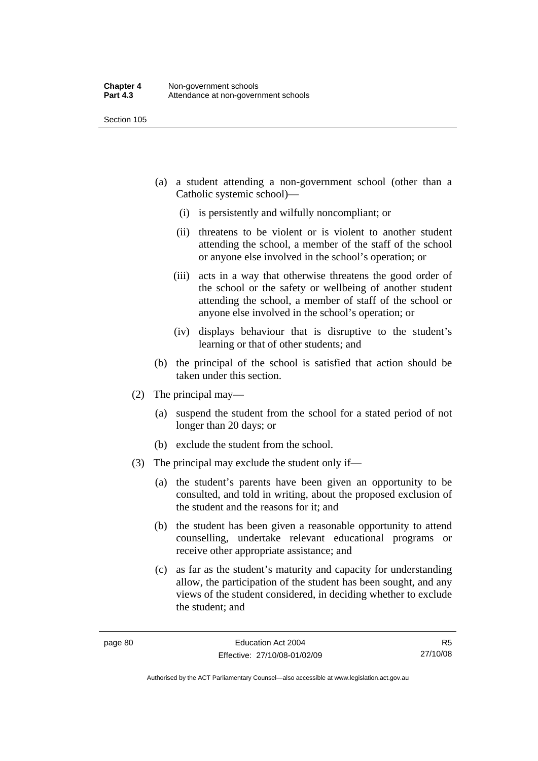- (a) a student attending a non-government school (other than a Catholic systemic school)—
	- (i) is persistently and wilfully noncompliant; or
	- (ii) threatens to be violent or is violent to another student attending the school, a member of the staff of the school or anyone else involved in the school's operation; or
	- (iii) acts in a way that otherwise threatens the good order of the school or the safety or wellbeing of another student attending the school, a member of staff of the school or anyone else involved in the school's operation; or
	- (iv) displays behaviour that is disruptive to the student's learning or that of other students; and
- (b) the principal of the school is satisfied that action should be taken under this section.
- (2) The principal may—
	- (a) suspend the student from the school for a stated period of not longer than 20 days; or
	- (b) exclude the student from the school.
- (3) The principal may exclude the student only if—
	- (a) the student's parents have been given an opportunity to be consulted, and told in writing, about the proposed exclusion of the student and the reasons for it; and
	- (b) the student has been given a reasonable opportunity to attend counselling, undertake relevant educational programs or receive other appropriate assistance; and
	- (c) as far as the student's maturity and capacity for understanding allow, the participation of the student has been sought, and any views of the student considered, in deciding whether to exclude the student; and

R5 27/10/08

Authorised by the ACT Parliamentary Counsel—also accessible at www.legislation.act.gov.au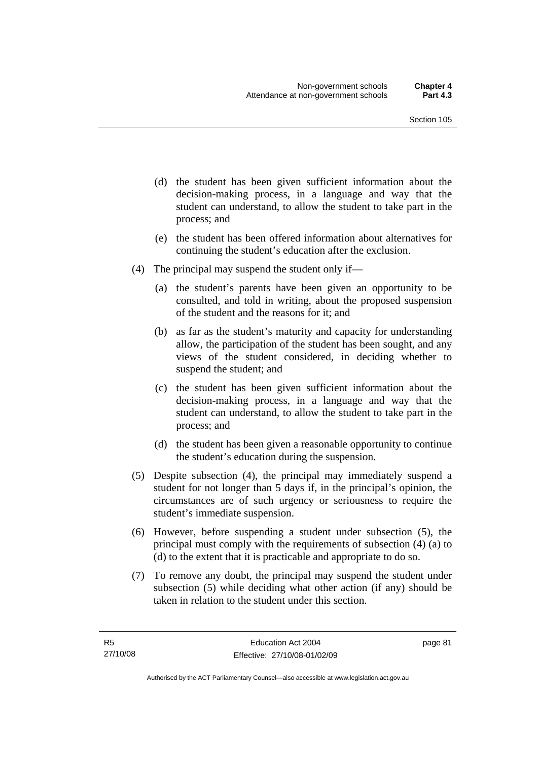- (d) the student has been given sufficient information about the decision-making process, in a language and way that the student can understand, to allow the student to take part in the process; and
- (e) the student has been offered information about alternatives for continuing the student's education after the exclusion.
- (4) The principal may suspend the student only if—
	- (a) the student's parents have been given an opportunity to be consulted, and told in writing, about the proposed suspension of the student and the reasons for it; and
	- (b) as far as the student's maturity and capacity for understanding allow, the participation of the student has been sought, and any views of the student considered, in deciding whether to suspend the student; and
	- (c) the student has been given sufficient information about the decision-making process, in a language and way that the student can understand, to allow the student to take part in the process; and
	- (d) the student has been given a reasonable opportunity to continue the student's education during the suspension.
- (5) Despite subsection (4), the principal may immediately suspend a student for not longer than 5 days if, in the principal's opinion, the circumstances are of such urgency or seriousness to require the student's immediate suspension.
- (6) However, before suspending a student under subsection (5), the principal must comply with the requirements of subsection (4) (a) to (d) to the extent that it is practicable and appropriate to do so.
- (7) To remove any doubt, the principal may suspend the student under subsection (5) while deciding what other action (if any) should be taken in relation to the student under this section.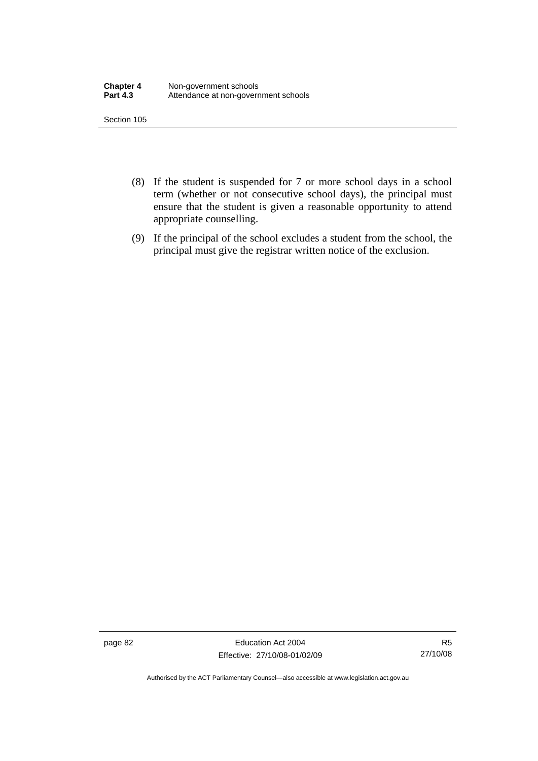- (8) If the student is suspended for 7 or more school days in a school term (whether or not consecutive school days), the principal must ensure that the student is given a reasonable opportunity to attend appropriate counselling.
- (9) If the principal of the school excludes a student from the school, the principal must give the registrar written notice of the exclusion.

page 82 Education Act 2004 Effective: 27/10/08-01/02/09

R5 27/10/08

Authorised by the ACT Parliamentary Counsel—also accessible at www.legislation.act.gov.au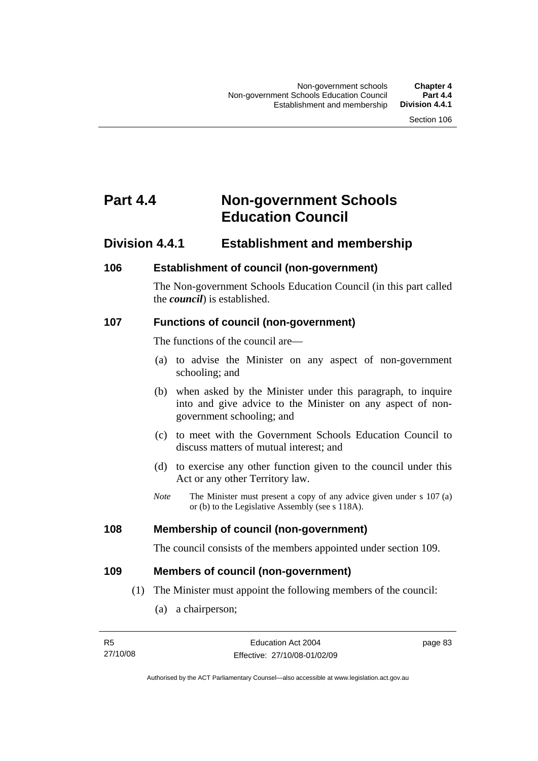## **Part 4.4 Non-government Schools Education Council**

### **Division 4.4.1 Establishment and membership**

#### **106 Establishment of council (non-government)**

The Non-government Schools Education Council (in this part called the *council*) is established.

#### **107 Functions of council (non-government)**

The functions of the council are—

- (a) to advise the Minister on any aspect of non-government schooling; and
- (b) when asked by the Minister under this paragraph, to inquire into and give advice to the Minister on any aspect of nongovernment schooling; and
- (c) to meet with the Government Schools Education Council to discuss matters of mutual interest; and
- (d) to exercise any other function given to the council under this Act or any other Territory law.
- *Note* The Minister must present a copy of any advice given under s 107 (a) or (b) to the Legislative Assembly (see s 118A).

#### **108 Membership of council (non-government)**

The council consists of the members appointed under section 109.

#### **109 Members of council (non-government)**

- (1) The Minister must appoint the following members of the council:
	- (a) a chairperson;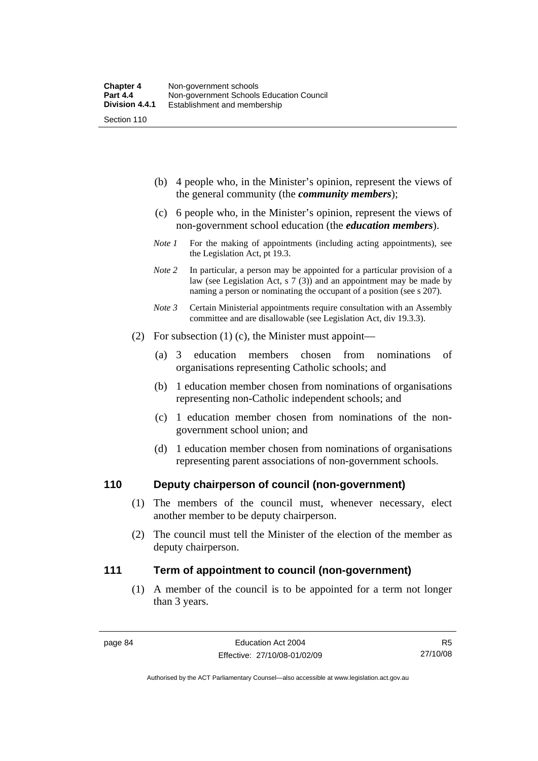- (b) 4 people who, in the Minister's opinion, represent the views of the general community (the *community members*);
- (c) 6 people who, in the Minister's opinion, represent the views of non-government school education (the *education members*).
- *Note 1* For the making of appointments (including acting appointments), see the Legislation Act, pt 19.3.
- *Note* 2 In particular, a person may be appointed for a particular provision of a law (see Legislation Act, s 7 (3)) and an appointment may be made by naming a person or nominating the occupant of a position (see s 207).
- *Note 3* Certain Ministerial appointments require consultation with an Assembly committee and are disallowable (see Legislation Act, div 19.3.3).
- (2) For subsection (1) (c), the Minister must appoint—
	- (a) 3 education members chosen from nominations of organisations representing Catholic schools; and
	- (b) 1 education member chosen from nominations of organisations representing non-Catholic independent schools; and
	- (c) 1 education member chosen from nominations of the nongovernment school union; and
	- (d) 1 education member chosen from nominations of organisations representing parent associations of non-government schools.

#### **110 Deputy chairperson of council (non-government)**

- (1) The members of the council must, whenever necessary, elect another member to be deputy chairperson.
- (2) The council must tell the Minister of the election of the member as deputy chairperson.

#### **111 Term of appointment to council (non-government)**

 (1) A member of the council is to be appointed for a term not longer than 3 years.

Authorised by the ACT Parliamentary Counsel—also accessible at www.legislation.act.gov.au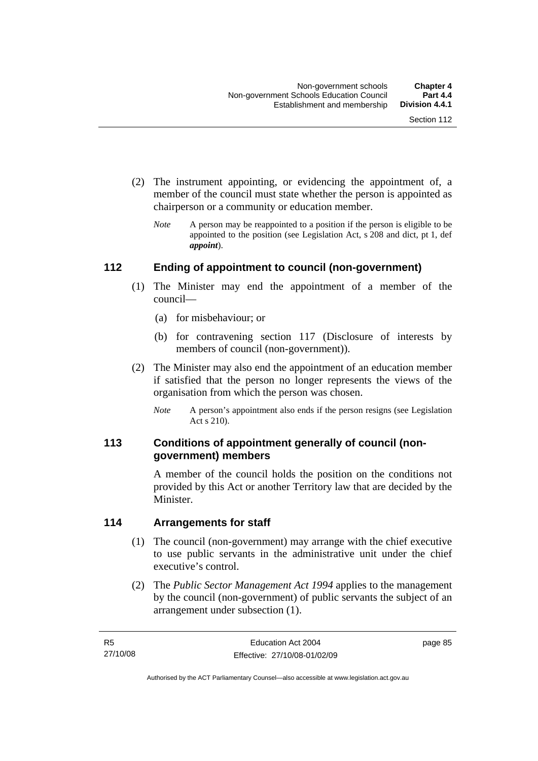- (2) The instrument appointing, or evidencing the appointment of, a member of the council must state whether the person is appointed as chairperson or a community or education member.
	- *Note* A person may be reappointed to a position if the person is eligible to be appointed to the position (see Legislation Act, s 208 and dict, pt 1, def *appoint*).

#### **112 Ending of appointment to council (non-government)**

- (1) The Minister may end the appointment of a member of the council—
	- (a) for misbehaviour; or
	- (b) for contravening section 117 (Disclosure of interests by members of council (non-government)).
- (2) The Minister may also end the appointment of an education member if satisfied that the person no longer represents the views of the organisation from which the person was chosen.
	- *Note* A person's appointment also ends if the person resigns (see Legislation Act s 210).

#### **113 Conditions of appointment generally of council (nongovernment) members**

A member of the council holds the position on the conditions not provided by this Act or another Territory law that are decided by the Minister.

#### **114 Arrangements for staff**

- (1) The council (non-government) may arrange with the chief executive to use public servants in the administrative unit under the chief executive's control.
- (2) The *Public Sector Management Act 1994* applies to the management by the council (non-government) of public servants the subject of an arrangement under subsection (1).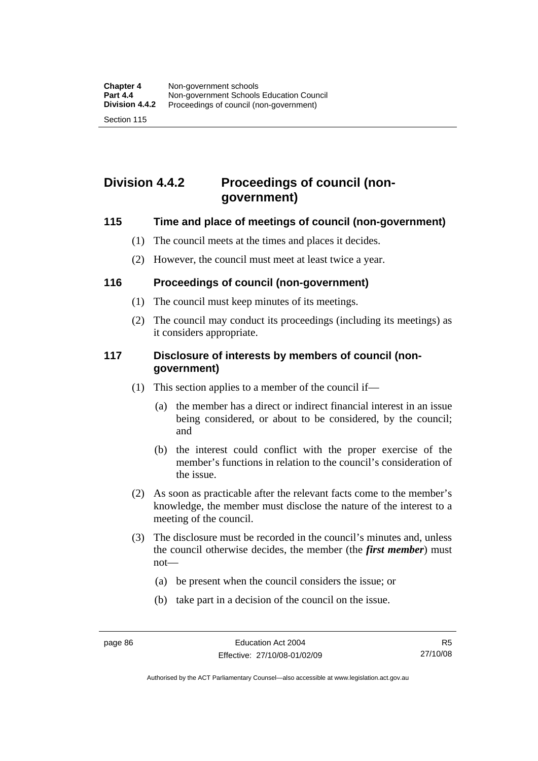## **Division 4.4.2 Proceedings of council (nongovernment)**

#### **115 Time and place of meetings of council (non-government)**

- (1) The council meets at the times and places it decides.
- (2) However, the council must meet at least twice a year.

#### **116 Proceedings of council (non-government)**

- (1) The council must keep minutes of its meetings.
- (2) The council may conduct its proceedings (including its meetings) as it considers appropriate.

#### **117 Disclosure of interests by members of council (nongovernment)**

- (1) This section applies to a member of the council if—
	- (a) the member has a direct or indirect financial interest in an issue being considered, or about to be considered, by the council; and
	- (b) the interest could conflict with the proper exercise of the member's functions in relation to the council's consideration of the issue.
- (2) As soon as practicable after the relevant facts come to the member's knowledge, the member must disclose the nature of the interest to a meeting of the council.
- (3) The disclosure must be recorded in the council's minutes and, unless the council otherwise decides, the member (the *first member*) must not—
	- (a) be present when the council considers the issue; or
	- (b) take part in a decision of the council on the issue.

Authorised by the ACT Parliamentary Counsel—also accessible at www.legislation.act.gov.au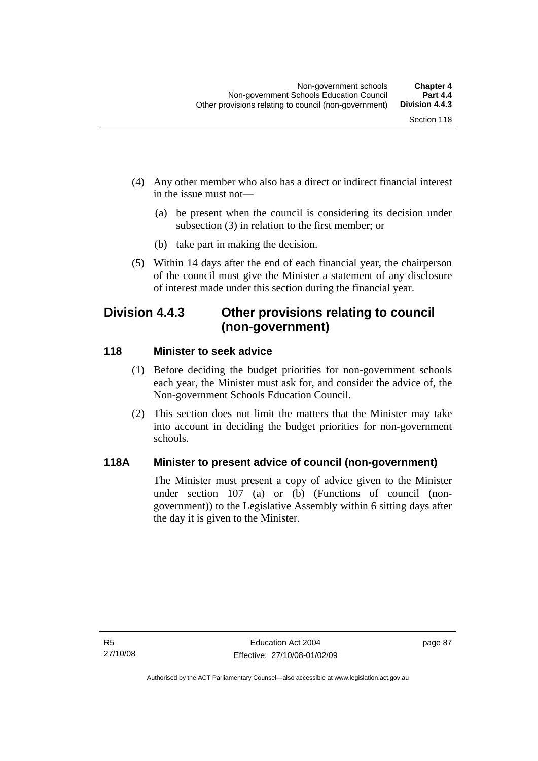- (4) Any other member who also has a direct or indirect financial interest in the issue must not—
	- (a) be present when the council is considering its decision under subsection (3) in relation to the first member; or
	- (b) take part in making the decision.
- (5) Within 14 days after the end of each financial year, the chairperson of the council must give the Minister a statement of any disclosure of interest made under this section during the financial year.

## **Division 4.4.3 Other provisions relating to council (non-government)**

#### **118 Minister to seek advice**

- (1) Before deciding the budget priorities for non-government schools each year, the Minister must ask for, and consider the advice of, the Non-government Schools Education Council.
- (2) This section does not limit the matters that the Minister may take into account in deciding the budget priorities for non-government schools.

#### **118A Minister to present advice of council (non-government)**

The Minister must present a copy of advice given to the Minister under section 107 (a) or (b) (Functions of council (nongovernment)) to the Legislative Assembly within 6 sitting days after the day it is given to the Minister.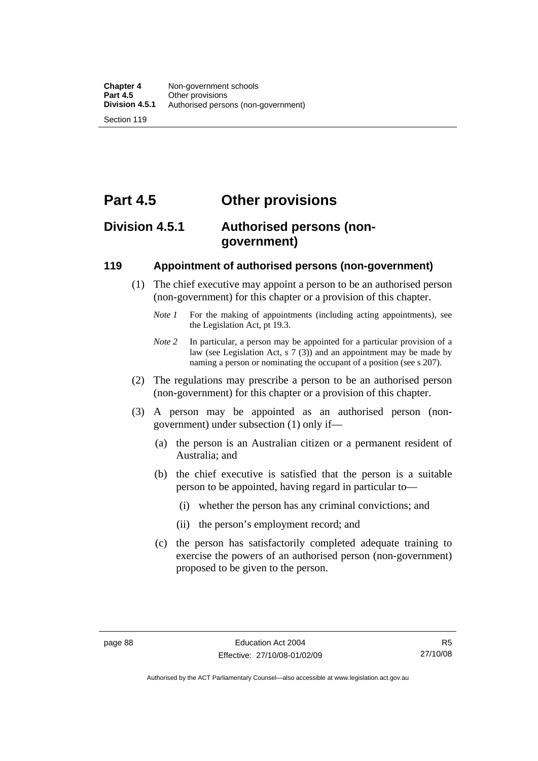# **Part 4.5 Other provisions**

## **Division 4.5.1 Authorised persons (nongovernment)**

#### **119 Appointment of authorised persons (non-government)**

- (1) The chief executive may appoint a person to be an authorised person (non-government) for this chapter or a provision of this chapter.
	- *Note 1* For the making of appointments (including acting appointments), see the Legislation Act, pt 19.3.
	- *Note 2* In particular, a person may be appointed for a particular provision of a law (see Legislation Act, s 7 (3)) and an appointment may be made by naming a person or nominating the occupant of a position (see s 207).
- (2) The regulations may prescribe a person to be an authorised person (non-government) for this chapter or a provision of this chapter.
- (3) A person may be appointed as an authorised person (nongovernment) under subsection (1) only if—
	- (a) the person is an Australian citizen or a permanent resident of Australia; and
	- (b) the chief executive is satisfied that the person is a suitable person to be appointed, having regard in particular to—
		- (i) whether the person has any criminal convictions; and
		- (ii) the person's employment record; and
	- (c) the person has satisfactorily completed adequate training to exercise the powers of an authorised person (non-government) proposed to be given to the person.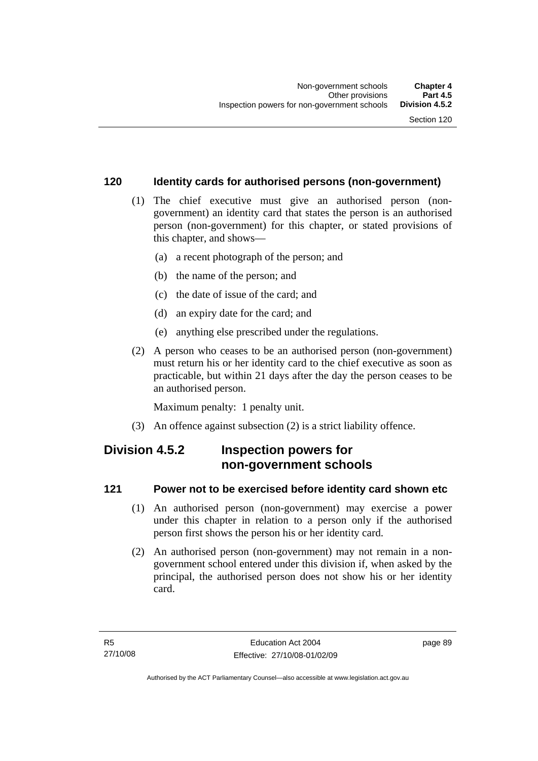#### **120 Identity cards for authorised persons (non-government)**

- (1) The chief executive must give an authorised person (nongovernment) an identity card that states the person is an authorised person (non-government) for this chapter, or stated provisions of this chapter, and shows—
	- (a) a recent photograph of the person; and
	- (b) the name of the person; and
	- (c) the date of issue of the card; and
	- (d) an expiry date for the card; and
	- (e) anything else prescribed under the regulations.
- (2) A person who ceases to be an authorised person (non-government) must return his or her identity card to the chief executive as soon as practicable, but within 21 days after the day the person ceases to be an authorised person.

Maximum penalty: 1 penalty unit.

(3) An offence against subsection (2) is a strict liability offence.

## **Division 4.5.2 Inspection powers for non-government schools**

#### **121 Power not to be exercised before identity card shown etc**

- (1) An authorised person (non-government) may exercise a power under this chapter in relation to a person only if the authorised person first shows the person his or her identity card.
- (2) An authorised person (non-government) may not remain in a nongovernment school entered under this division if, when asked by the principal, the authorised person does not show his or her identity card.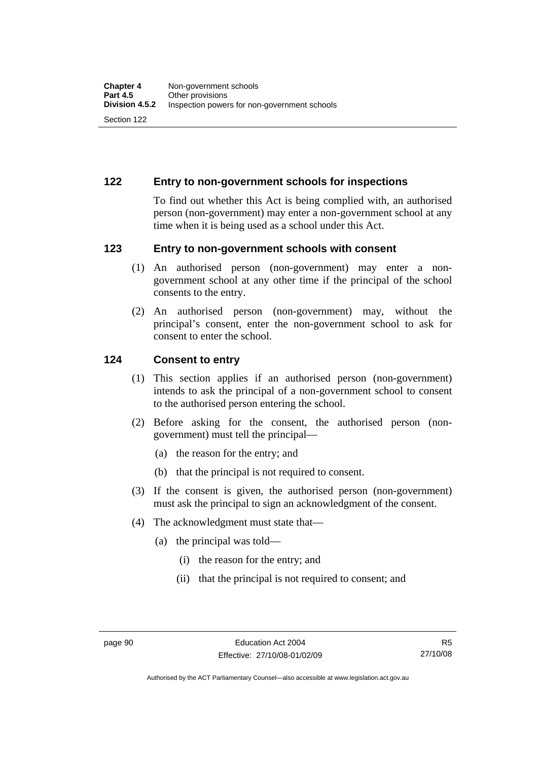#### **122 Entry to non-government schools for inspections**

To find out whether this Act is being complied with, an authorised person (non-government) may enter a non-government school at any time when it is being used as a school under this Act.

#### **123 Entry to non-government schools with consent**

- (1) An authorised person (non-government) may enter a nongovernment school at any other time if the principal of the school consents to the entry.
- (2) An authorised person (non-government) may, without the principal's consent, enter the non-government school to ask for consent to enter the school.

#### **124 Consent to entry**

- (1) This section applies if an authorised person (non-government) intends to ask the principal of a non-government school to consent to the authorised person entering the school.
- (2) Before asking for the consent, the authorised person (nongovernment) must tell the principal—
	- (a) the reason for the entry; and
	- (b) that the principal is not required to consent.
- (3) If the consent is given, the authorised person (non-government) must ask the principal to sign an acknowledgment of the consent.
- (4) The acknowledgment must state that—
	- (a) the principal was told—
		- (i) the reason for the entry; and
		- (ii) that the principal is not required to consent; and

Authorised by the ACT Parliamentary Counsel—also accessible at www.legislation.act.gov.au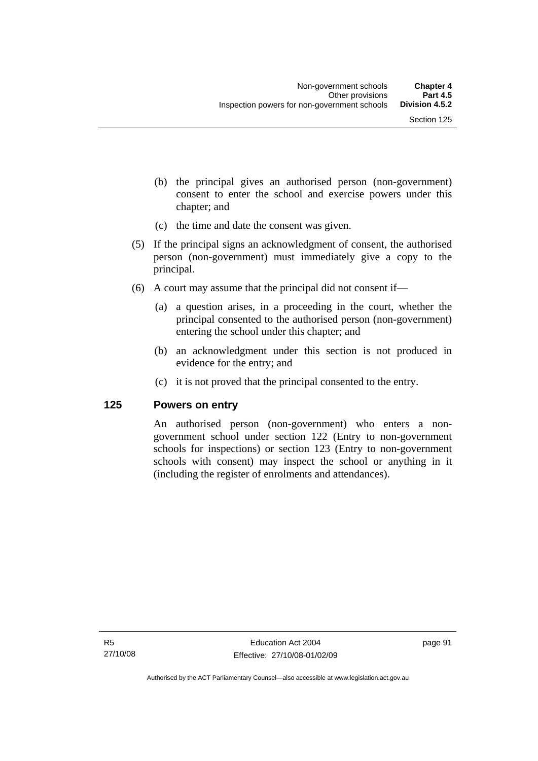- (b) the principal gives an authorised person (non-government) consent to enter the school and exercise powers under this chapter; and
- (c) the time and date the consent was given.
- (5) If the principal signs an acknowledgment of consent, the authorised person (non-government) must immediately give a copy to the principal.
- (6) A court may assume that the principal did not consent if—
	- (a) a question arises, in a proceeding in the court, whether the principal consented to the authorised person (non-government) entering the school under this chapter; and
	- (b) an acknowledgment under this section is not produced in evidence for the entry; and
	- (c) it is not proved that the principal consented to the entry.

#### **125 Powers on entry**

An authorised person (non-government) who enters a nongovernment school under section 122 (Entry to non-government schools for inspections) or section 123 (Entry to non-government schools with consent) may inspect the school or anything in it (including the register of enrolments and attendances).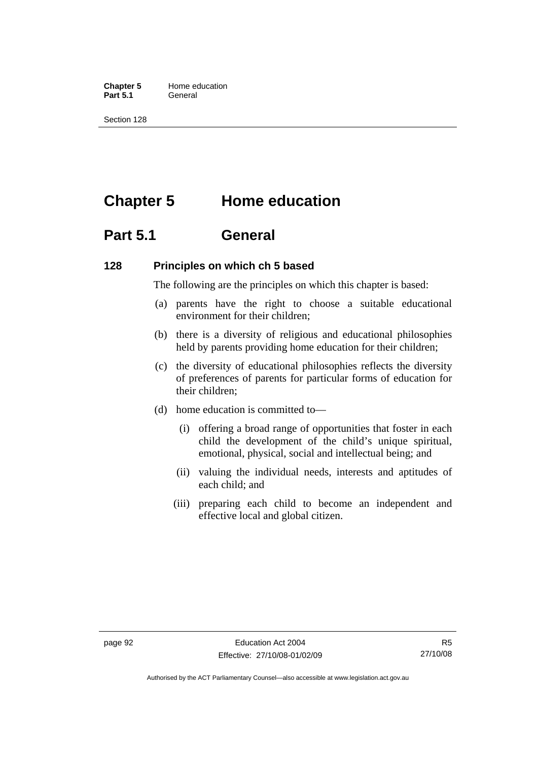**Chapter 5** Home education Part 5.1 **General** 

Section 128

## **Chapter 5 Home education**

## **Part 5.1 General**

#### **128 Principles on which ch 5 based**

The following are the principles on which this chapter is based:

- (a) parents have the right to choose a suitable educational environment for their children;
- (b) there is a diversity of religious and educational philosophies held by parents providing home education for their children;
- (c) the diversity of educational philosophies reflects the diversity of preferences of parents for particular forms of education for their children;
- (d) home education is committed to—
	- (i) offering a broad range of opportunities that foster in each child the development of the child's unique spiritual, emotional, physical, social and intellectual being; and
	- (ii) valuing the individual needs, interests and aptitudes of each child; and
	- (iii) preparing each child to become an independent and effective local and global citizen.

Authorised by the ACT Parliamentary Counsel—also accessible at www.legislation.act.gov.au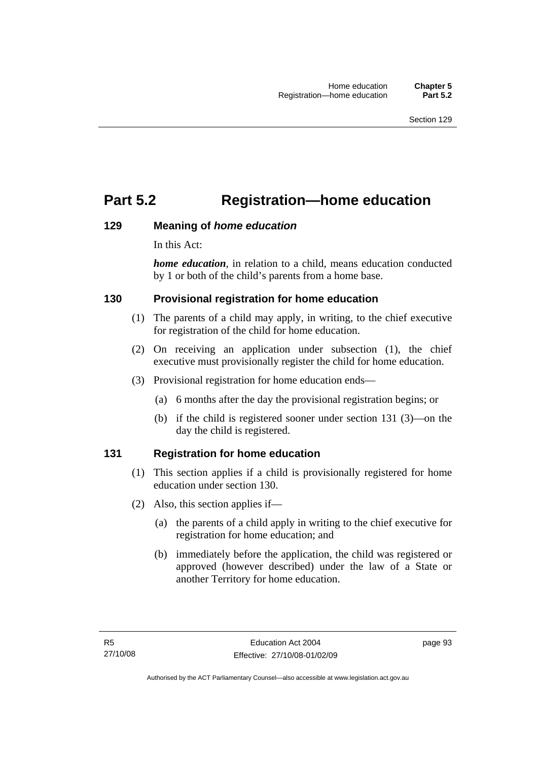## **Part 5.2 Registration—home education**

#### **129 Meaning of** *home education*

In this Act:

*home education*, in relation to a child, means education conducted by 1 or both of the child's parents from a home base.

#### **130 Provisional registration for home education**

- (1) The parents of a child may apply, in writing, to the chief executive for registration of the child for home education.
- (2) On receiving an application under subsection (1), the chief executive must provisionally register the child for home education.
- (3) Provisional registration for home education ends—
	- (a) 6 months after the day the provisional registration begins; or
	- (b) if the child is registered sooner under section 131 (3)—on the day the child is registered.

### **131 Registration for home education**

- (1) This section applies if a child is provisionally registered for home education under section 130.
- (2) Also, this section applies if—
	- (a) the parents of a child apply in writing to the chief executive for registration for home education; and
	- (b) immediately before the application, the child was registered or approved (however described) under the law of a State or another Territory for home education.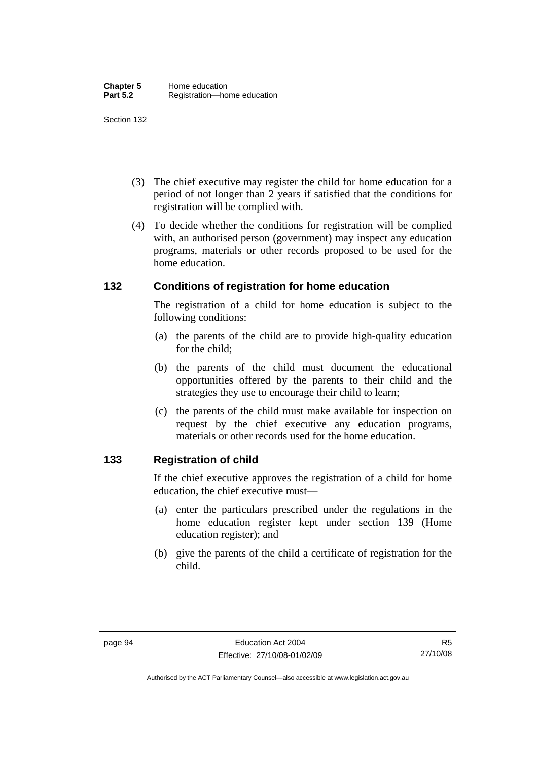- (3) The chief executive may register the child for home education for a period of not longer than 2 years if satisfied that the conditions for registration will be complied with.
- (4) To decide whether the conditions for registration will be complied with, an authorised person (government) may inspect any education programs, materials or other records proposed to be used for the home education.

#### **132 Conditions of registration for home education**

The registration of a child for home education is subject to the following conditions:

- (a) the parents of the child are to provide high-quality education for the child;
- (b) the parents of the child must document the educational opportunities offered by the parents to their child and the strategies they use to encourage their child to learn;
- (c) the parents of the child must make available for inspection on request by the chief executive any education programs, materials or other records used for the home education.

#### **133 Registration of child**

If the chief executive approves the registration of a child for home education, the chief executive must—

- (a) enter the particulars prescribed under the regulations in the home education register kept under section 139 (Home education register); and
- (b) give the parents of the child a certificate of registration for the child.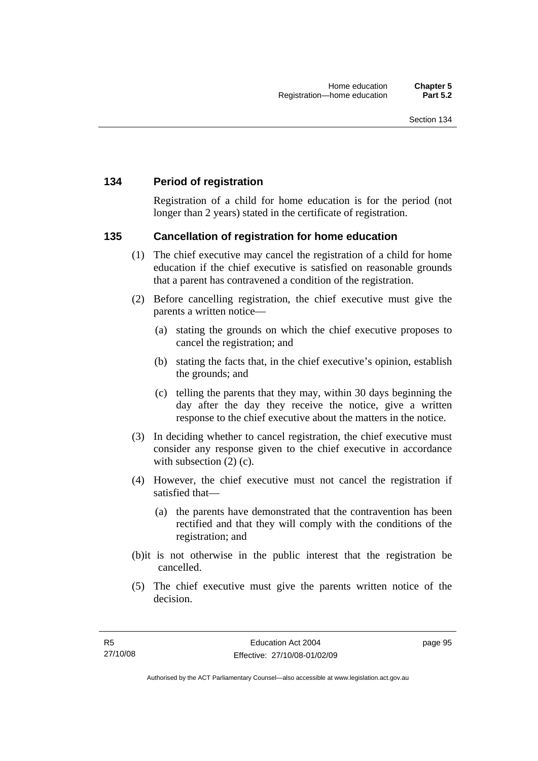#### **134 Period of registration**

Registration of a child for home education is for the period (not longer than 2 years) stated in the certificate of registration.

#### **135 Cancellation of registration for home education**

- (1) The chief executive may cancel the registration of a child for home education if the chief executive is satisfied on reasonable grounds that a parent has contravened a condition of the registration.
- (2) Before cancelling registration, the chief executive must give the parents a written notice—
	- (a) stating the grounds on which the chief executive proposes to cancel the registration; and
	- (b) stating the facts that, in the chief executive's opinion, establish the grounds; and
	- (c) telling the parents that they may, within 30 days beginning the day after the day they receive the notice, give a written response to the chief executive about the matters in the notice.
- (3) In deciding whether to cancel registration, the chief executive must consider any response given to the chief executive in accordance with subsection  $(2)$  (c).
- (4) However, the chief executive must not cancel the registration if satisfied that—
	- (a) the parents have demonstrated that the contravention has been rectified and that they will comply with the conditions of the registration; and
- (b)it is not otherwise in the public interest that the registration be cancelled.
- (5) The chief executive must give the parents written notice of the decision.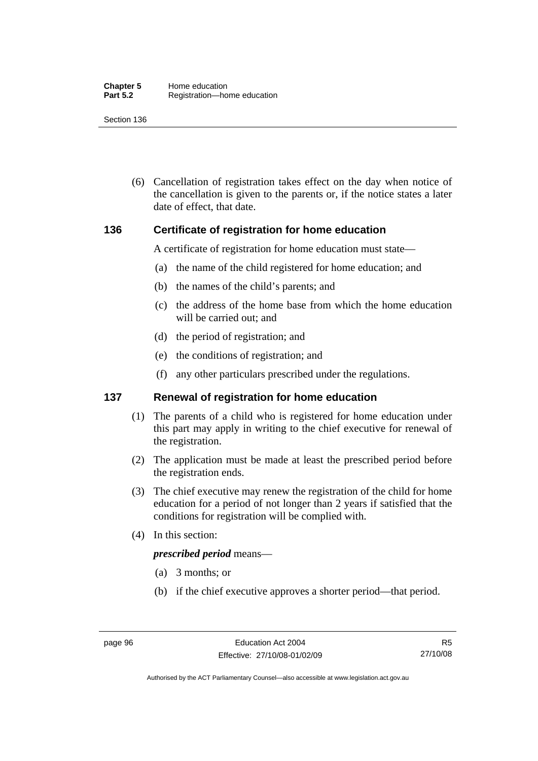(6) Cancellation of registration takes effect on the day when notice of the cancellation is given to the parents or, if the notice states a later date of effect, that date.

#### **136 Certificate of registration for home education**

A certificate of registration for home education must state—

- (a) the name of the child registered for home education; and
- (b) the names of the child's parents; and
- (c) the address of the home base from which the home education will be carried out; and
- (d) the period of registration; and
- (e) the conditions of registration; and
- (f) any other particulars prescribed under the regulations.

#### **137 Renewal of registration for home education**

- (1) The parents of a child who is registered for home education under this part may apply in writing to the chief executive for renewal of the registration.
- (2) The application must be made at least the prescribed period before the registration ends.
- (3) The chief executive may renew the registration of the child for home education for a period of not longer than 2 years if satisfied that the conditions for registration will be complied with.
- (4) In this section:

#### *prescribed period* means—

- (a) 3 months; or
- (b) if the chief executive approves a shorter period—that period.

Authorised by the ACT Parliamentary Counsel—also accessible at www.legislation.act.gov.au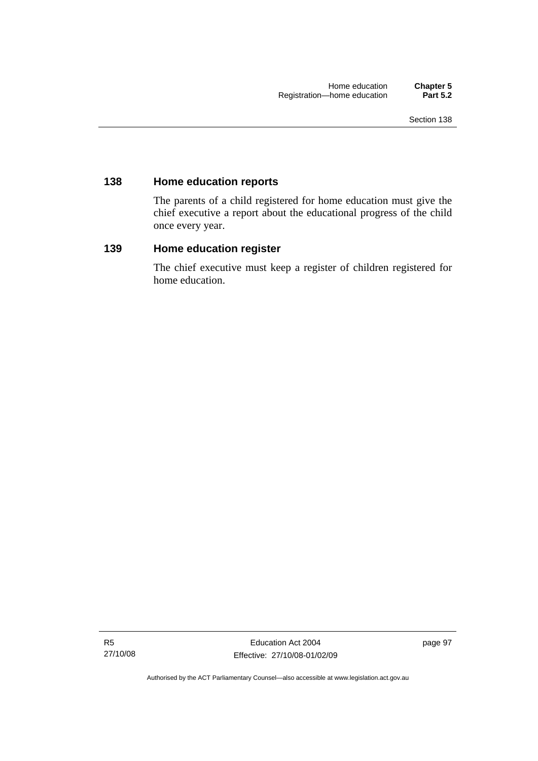#### **138 Home education reports**

The parents of a child registered for home education must give the chief executive a report about the educational progress of the child once every year.

#### **139 Home education register**

The chief executive must keep a register of children registered for home education.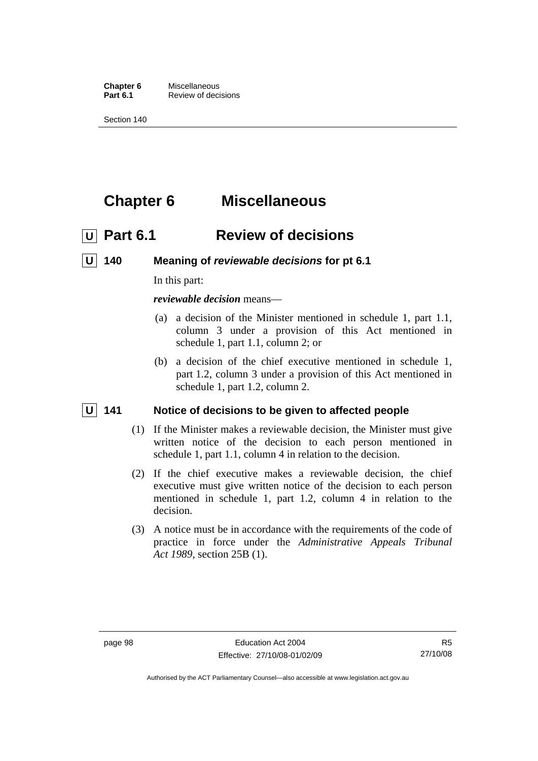**Chapter 6** Miscellaneous<br>**Part 6.1** Review of deci **Review of decisions** 

Section 140

## **Chapter 6 Miscellaneous**

## *<u>U</u>* Part 6.1 Review of decisions

 **U 140 Meaning of** *reviewable decisions* **for pt 6.1** 

In this part:

*reviewable decision* means—

- (a) a decision of the Minister mentioned in schedule 1, part 1.1, column 3 under a provision of this Act mentioned in schedule 1, part 1.1, column 2; or
- (b) a decision of the chief executive mentioned in schedule 1, part 1.2, column 3 under a provision of this Act mentioned in schedule 1, part 1.2, column 2.

#### **U** 141 Notice of decisions to be given to affected people

- (1) If the Minister makes a reviewable decision, the Minister must give written notice of the decision to each person mentioned in schedule 1, part 1.1, column 4 in relation to the decision.
- (2) If the chief executive makes a reviewable decision, the chief executive must give written notice of the decision to each person mentioned in schedule 1, part 1.2, column 4 in relation to the decision.
- (3) A notice must be in accordance with the requirements of the code of practice in force under the *Administrative Appeals Tribunal Act 1989*, section 25B (1).

Authorised by the ACT Parliamentary Counsel—also accessible at www.legislation.act.gov.au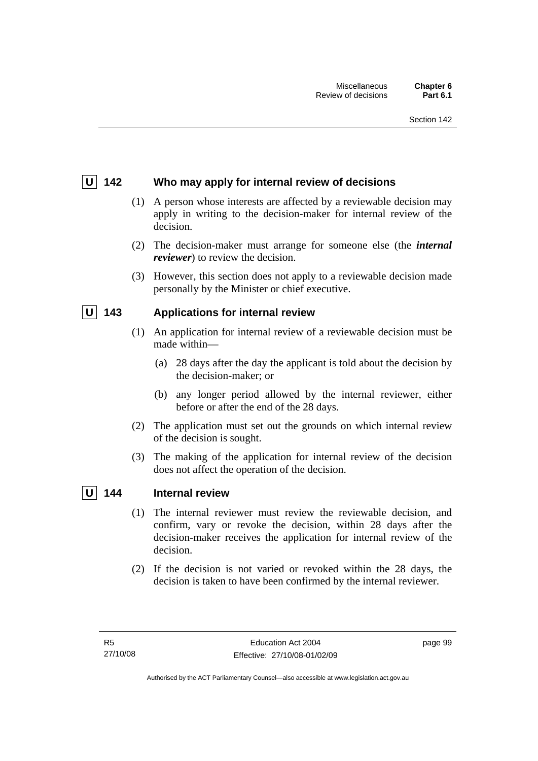## **U 142 Who may apply for internal review of decisions**

- (1) A person whose interests are affected by a reviewable decision may apply in writing to the decision-maker for internal review of the decision.
- (2) The decision-maker must arrange for someone else (the *internal reviewer*) to review the decision.
- (3) However, this section does not apply to a reviewable decision made personally by the Minister or chief executive.

## **U 143 Applications for internal review**

- (1) An application for internal review of a reviewable decision must be made within—
	- (a) 28 days after the day the applicant is told about the decision by the decision-maker; or
	- (b) any longer period allowed by the internal reviewer, either before or after the end of the 28 days.
- (2) The application must set out the grounds on which internal review of the decision is sought.
- (3) The making of the application for internal review of the decision does not affect the operation of the decision.

## **U 144 Internal review**

- (1) The internal reviewer must review the reviewable decision, and confirm, vary or revoke the decision, within 28 days after the decision-maker receives the application for internal review of the decision.
- (2) If the decision is not varied or revoked within the 28 days, the decision is taken to have been confirmed by the internal reviewer.

page 99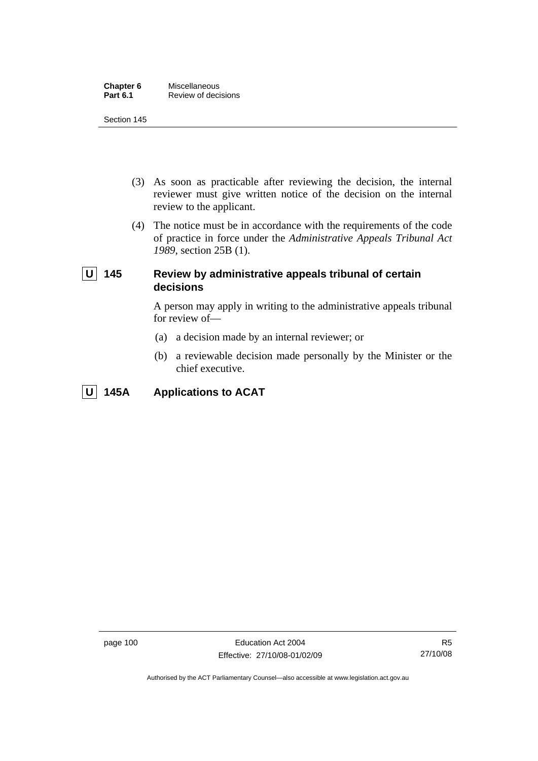| Chapter 6       | Miscellaneous       |  |
|-----------------|---------------------|--|
| <b>Part 6.1</b> | Review of decisions |  |

#### Section 145

- (3) As soon as practicable after reviewing the decision, the internal reviewer must give written notice of the decision on the internal review to the applicant.
- (4) The notice must be in accordance with the requirements of the code of practice in force under the *Administrative Appeals Tribunal Act 1989*, section 25B (1).

## **U** 145 Review by administrative appeals tribunal of certain **decisions**

A person may apply in writing to the administrative appeals tribunal for review of—

- (a) a decision made by an internal reviewer; or
- (b) a reviewable decision made personally by the Minister or the chief executive.

## **U 145A Applications to ACAT**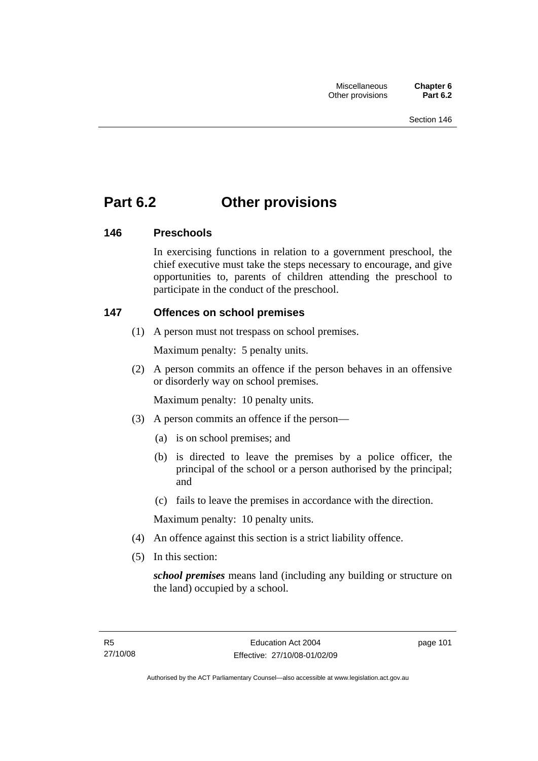## **Part 6.2 Other provisions**

## **146 Preschools**

In exercising functions in relation to a government preschool, the chief executive must take the steps necessary to encourage, and give opportunities to, parents of children attending the preschool to participate in the conduct of the preschool.

## **147 Offences on school premises**

(1) A person must not trespass on school premises.

Maximum penalty: 5 penalty units.

 (2) A person commits an offence if the person behaves in an offensive or disorderly way on school premises.

Maximum penalty: 10 penalty units.

- (3) A person commits an offence if the person—
	- (a) is on school premises; and
	- (b) is directed to leave the premises by a police officer, the principal of the school or a person authorised by the principal; and
	- (c) fails to leave the premises in accordance with the direction.

Maximum penalty: 10 penalty units.

- (4) An offence against this section is a strict liability offence.
- (5) In this section:

*school premises* means land (including any building or structure on the land) occupied by a school.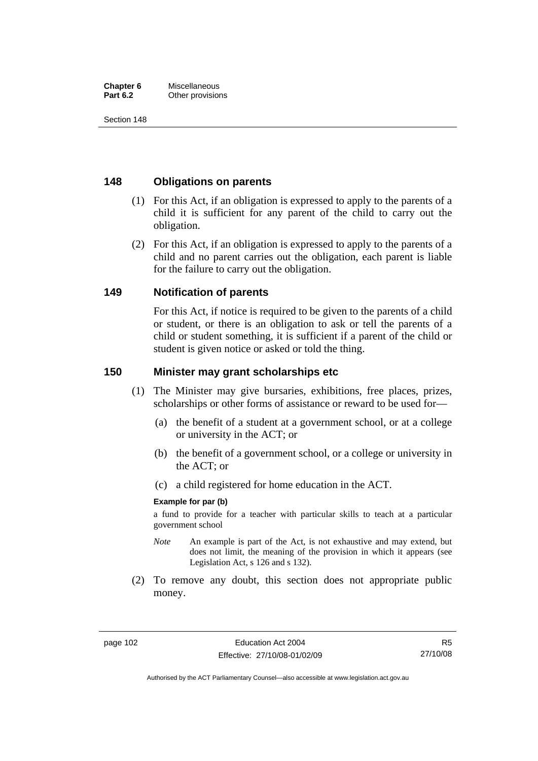#### **Chapter 6** Miscellaneous<br>**Part 6.2** Other provision **Other provisions**

Section 148

## **148 Obligations on parents**

- (1) For this Act, if an obligation is expressed to apply to the parents of a child it is sufficient for any parent of the child to carry out the obligation.
- (2) For this Act, if an obligation is expressed to apply to the parents of a child and no parent carries out the obligation, each parent is liable for the failure to carry out the obligation.

## **149 Notification of parents**

For this Act, if notice is required to be given to the parents of a child or student, or there is an obligation to ask or tell the parents of a child or student something, it is sufficient if a parent of the child or student is given notice or asked or told the thing.

## **150 Minister may grant scholarships etc**

- (1) The Minister may give bursaries, exhibitions, free places, prizes, scholarships or other forms of assistance or reward to be used for—
	- (a) the benefit of a student at a government school, or at a college or university in the ACT; or
	- (b) the benefit of a government school, or a college or university in the ACT; or
	- (c) a child registered for home education in the ACT.

### **Example for par (b)**

a fund to provide for a teacher with particular skills to teach at a particular government school

- *Note* An example is part of the Act, is not exhaustive and may extend, but does not limit, the meaning of the provision in which it appears (see Legislation Act, s 126 and s 132).
- (2) To remove any doubt, this section does not appropriate public money.

Authorised by the ACT Parliamentary Counsel—also accessible at www.legislation.act.gov.au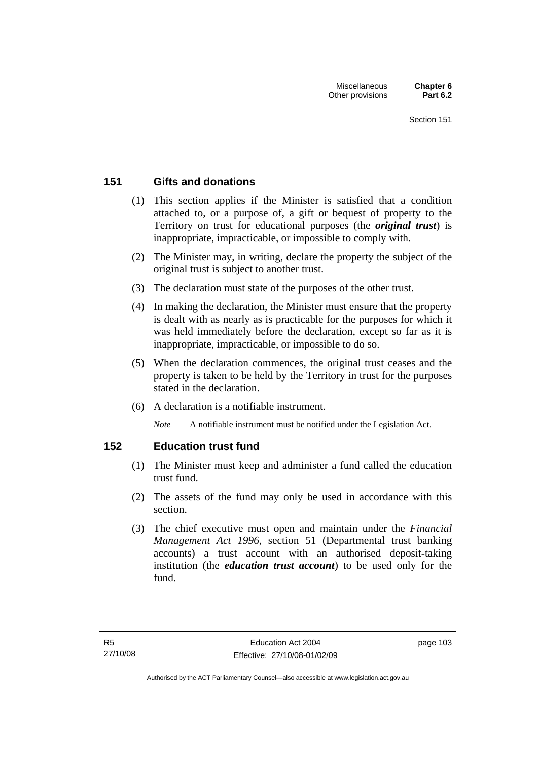## **151 Gifts and donations**

- (1) This section applies if the Minister is satisfied that a condition attached to, or a purpose of, a gift or bequest of property to the Territory on trust for educational purposes (the *original trust*) is inappropriate, impracticable, or impossible to comply with.
- (2) The Minister may, in writing, declare the property the subject of the original trust is subject to another trust.
- (3) The declaration must state of the purposes of the other trust.
- (4) In making the declaration, the Minister must ensure that the property is dealt with as nearly as is practicable for the purposes for which it was held immediately before the declaration, except so far as it is inappropriate, impracticable, or impossible to do so.
- (5) When the declaration commences, the original trust ceases and the property is taken to be held by the Territory in trust for the purposes stated in the declaration.
- (6) A declaration is a notifiable instrument.

*Note* A notifiable instrument must be notified under the Legislation Act.

## **152 Education trust fund**

- (1) The Minister must keep and administer a fund called the education trust fund.
- (2) The assets of the fund may only be used in accordance with this section.
- (3) The chief executive must open and maintain under the *Financial Management Act 1996*, section 51 (Departmental trust banking accounts) a trust account with an authorised deposit-taking institution (the *education trust account*) to be used only for the fund.

page 103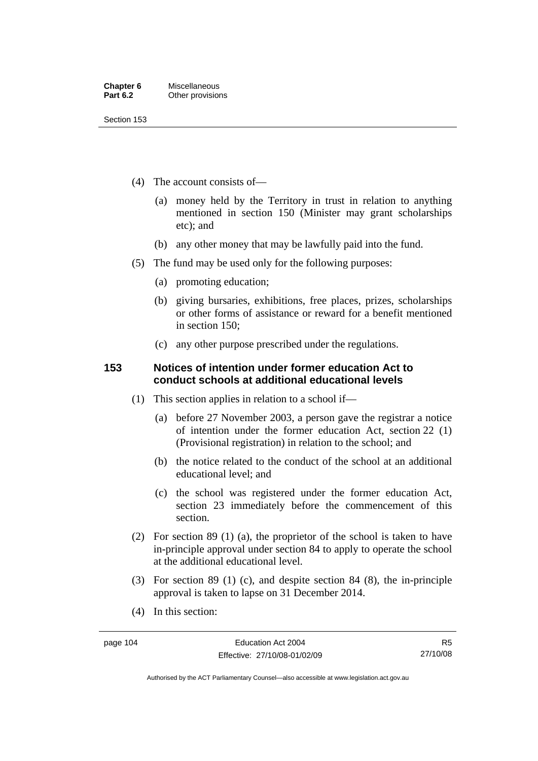Section 153

- (4) The account consists of—
	- (a) money held by the Territory in trust in relation to anything mentioned in section 150 (Minister may grant scholarships etc); and
	- (b) any other money that may be lawfully paid into the fund.
- (5) The fund may be used only for the following purposes:
	- (a) promoting education;
	- (b) giving bursaries, exhibitions, free places, prizes, scholarships or other forms of assistance or reward for a benefit mentioned in section 150;
	- (c) any other purpose prescribed under the regulations.

## **153 Notices of intention under former education Act to conduct schools at additional educational levels**

- (1) This section applies in relation to a school if—
	- (a) before 27 November 2003, a person gave the registrar a notice of intention under the former education Act, section 22 (1) (Provisional registration) in relation to the school; and
	- (b) the notice related to the conduct of the school at an additional educational level; and
	- (c) the school was registered under the former education Act, section 23 immediately before the commencement of this section.
- (2) For section 89 (1) (a), the proprietor of the school is taken to have in-principle approval under section 84 to apply to operate the school at the additional educational level.
- (3) For section 89 (1) (c), and despite section 84 (8), the in-principle approval is taken to lapse on 31 December 2014.
- (4) In this section:

R5 27/10/08

Authorised by the ACT Parliamentary Counsel—also accessible at www.legislation.act.gov.au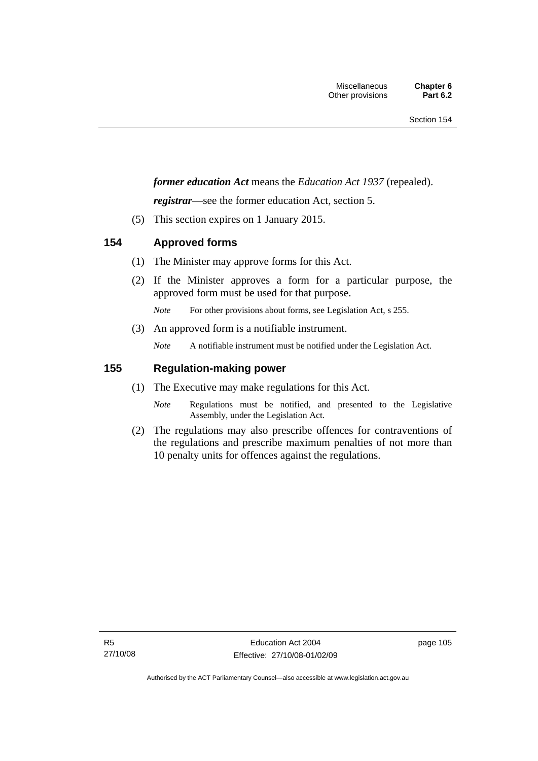## *former education Act* means the *Education Act 1937* (repealed).

*registrar*—see the former education Act, section 5.

(5) This section expires on 1 January 2015.

## **154 Approved forms**

- (1) The Minister may approve forms for this Act.
- (2) If the Minister approves a form for a particular purpose, the approved form must be used for that purpose.

*Note* For other provisions about forms, see Legislation Act, s 255.

(3) An approved form is a notifiable instrument.

*Note* A notifiable instrument must be notified under the Legislation Act.

## **155 Regulation-making power**

- (1) The Executive may make regulations for this Act.
	- *Note* Regulations must be notified, and presented to the Legislative Assembly, under the Legislation Act.
- (2) The regulations may also prescribe offences for contraventions of the regulations and prescribe maximum penalties of not more than 10 penalty units for offences against the regulations.

page 105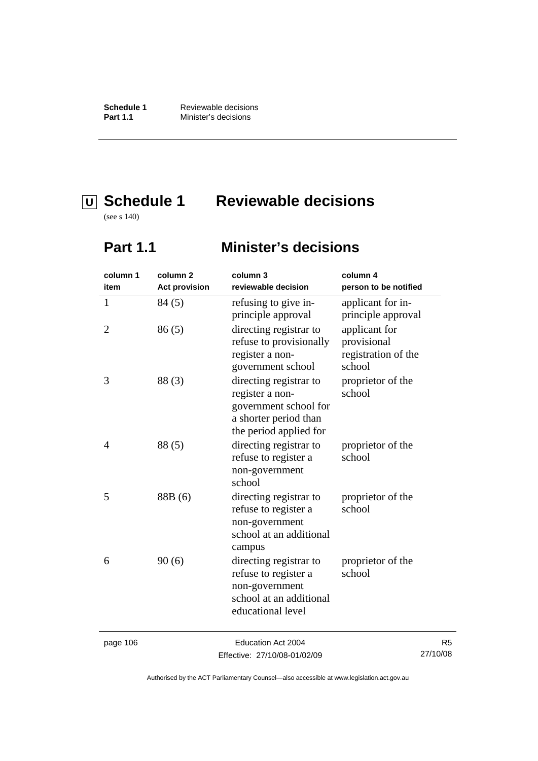**Schedule 1** Reviewable decisions<br>**Part 1.1** Minister's decisions **Minister's decisions** 

# **U Schedule 1 Reviewable decisions**

(see s 140)

## **Part 1.1 Minister's decisions**

| column 1       | column <sub>2</sub>  | column 3                                                                                                                                                                                                                                                                                                                                                                                                                                                                                   | column 4                                                      |
|----------------|----------------------|--------------------------------------------------------------------------------------------------------------------------------------------------------------------------------------------------------------------------------------------------------------------------------------------------------------------------------------------------------------------------------------------------------------------------------------------------------------------------------------------|---------------------------------------------------------------|
| item           | <b>Act provision</b> | reviewable decision                                                                                                                                                                                                                                                                                                                                                                                                                                                                        | person to be notified                                         |
| 1              | 84 (5)               | refusing to give in-<br>principle approval                                                                                                                                                                                                                                                                                                                                                                                                                                                 | applicant for in-<br>principle approval                       |
| $\overline{2}$ | 86(5)                | directing registrar to<br>refuse to provisionally<br>register a non-<br>government school                                                                                                                                                                                                                                                                                                                                                                                                  | applicant for<br>provisional<br>registration of the<br>school |
| 3              | 88(3)                | directing registrar to<br>register a non-<br>government school for<br>a shorter period than<br>the period applied for                                                                                                                                                                                                                                                                                                                                                                      | proprietor of the<br>school                                   |
| 4              | 88(5)                | directing registrar to<br>refuse to register a<br>non-government<br>school                                                                                                                                                                                                                                                                                                                                                                                                                 | proprietor of the<br>school                                   |
| 5              | 88B (6)              | directing registrar to<br>refuse to register a<br>non-government<br>school at an additional<br>campus                                                                                                                                                                                                                                                                                                                                                                                      | proprietor of the<br>school                                   |
| 6              | 90(6)                | directing registrar to<br>refuse to register a<br>non-government<br>school at an additional<br>educational level                                                                                                                                                                                                                                                                                                                                                                           | proprietor of the<br>school                                   |
|                |                      | $\blacksquare$ $\blacksquare$ $\blacksquare$ $\blacksquare$ $\blacksquare$ $\blacksquare$ $\blacksquare$ $\blacksquare$ $\blacksquare$ $\blacksquare$ $\blacksquare$ $\blacksquare$ $\blacksquare$ $\blacksquare$ $\blacksquare$ $\blacksquare$ $\blacksquare$ $\blacksquare$ $\blacksquare$ $\blacksquare$ $\blacksquare$ $\blacksquare$ $\blacksquare$ $\blacksquare$ $\blacksquare$ $\blacksquare$ $\blacksquare$ $\blacksquare$ $\blacksquare$ $\blacksquare$ $\blacksquare$ $\blacks$ |                                                               |

page 106 **Education Act 2004** Effective: 27/10/08-01/02/09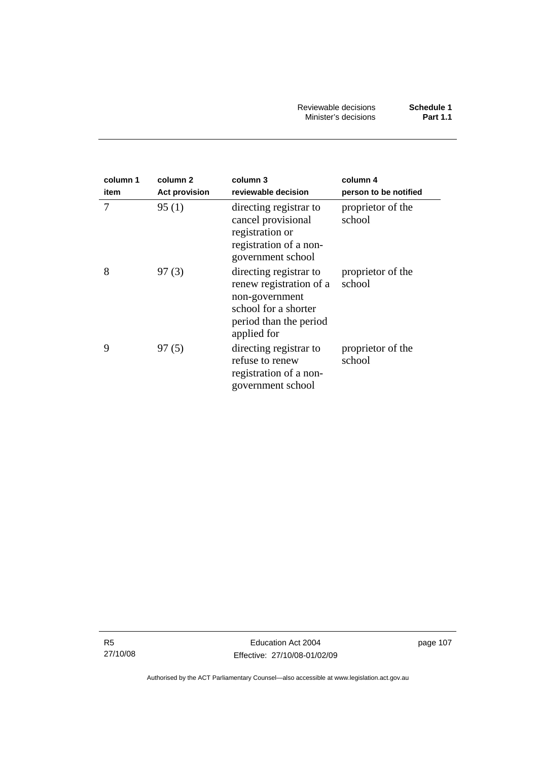| column 1<br>item | column <sub>2</sub><br><b>Act provision</b> | column 3<br>reviewable decision                                                                                                      | column 4<br>person to be notified |
|------------------|---------------------------------------------|--------------------------------------------------------------------------------------------------------------------------------------|-----------------------------------|
| 7                | 95(1)                                       | directing registrar to<br>cancel provisional<br>registration or<br>registration of a non-<br>government school                       | proprietor of the<br>school       |
| 8                | 97(3)                                       | directing registrar to<br>renew registration of a<br>non-government<br>school for a shorter<br>period than the period<br>applied for | proprietor of the<br>school       |
| 9                | 97(5)                                       | directing registrar to<br>refuse to renew<br>registration of a non-<br>government school                                             | proprietor of the<br>school       |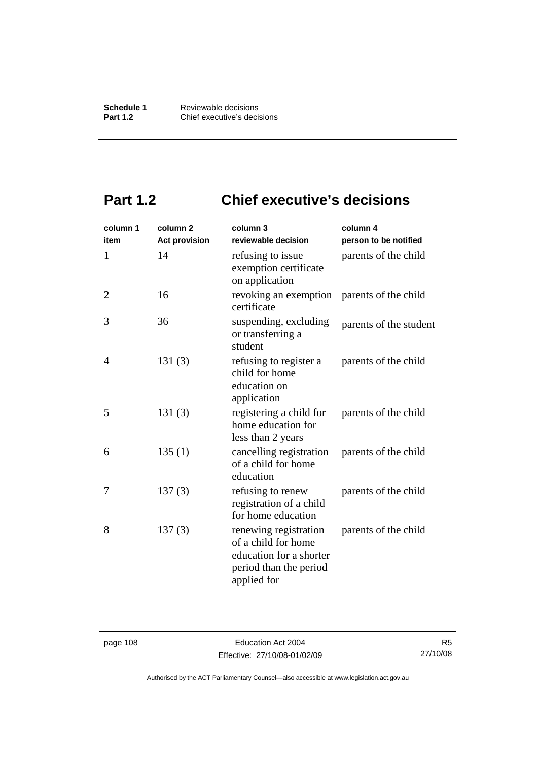# **Part 1.2 Chief executive's decisions**

| column 1     | column <sub>2</sub>  | column 3                                                                                                         | column 4               |
|--------------|----------------------|------------------------------------------------------------------------------------------------------------------|------------------------|
| item         | <b>Act provision</b> | reviewable decision                                                                                              | person to be notified  |
| $\mathbf{1}$ | 14                   | refusing to issue<br>exemption certificate<br>on application                                                     | parents of the child   |
| 2            | 16                   | revoking an exemption<br>certificate                                                                             | parents of the child   |
| 3            | 36                   | suspending, excluding<br>or transferring a<br>student                                                            | parents of the student |
| 4            | 131(3)               | refusing to register a<br>child for home<br>education on<br>application                                          | parents of the child   |
| 5            | 131(3)               | registering a child for<br>home education for<br>less than 2 years                                               | parents of the child   |
| 6            | 135(1)               | cancelling registration<br>of a child for home<br>education                                                      | parents of the child   |
| 7            | 137(3)               | refusing to renew<br>registration of a child<br>for home education                                               | parents of the child   |
| 8            | 137(3)               | renewing registration<br>of a child for home<br>education for a shorter<br>period than the period<br>applied for | parents of the child   |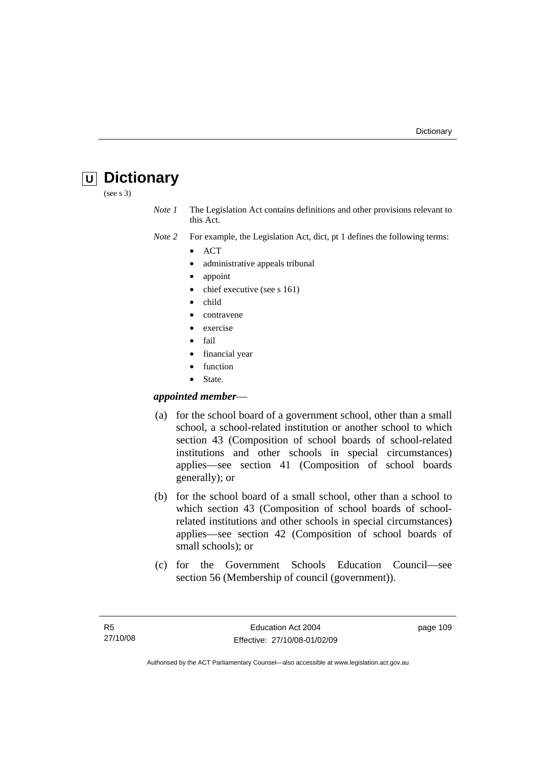## **U Dictionary**

(see s 3)

*Note 1* The Legislation Act contains definitions and other provisions relevant to this Act.

*Note 2* For example, the Legislation Act, dict, pt 1 defines the following terms:

- ACT
	- administrative appeals tribunal
- appoint
- chief executive (see s 161)
- child
- contravene
- exercise
- fail
- financial year
- **function**
- State.

## *appointed member*—

- (a) for the school board of a government school, other than a small school, a school-related institution or another school to which section 43 (Composition of school boards of school-related institutions and other schools in special circumstances) applies—see section 41 (Composition of school boards generally); or
- (b) for the school board of a small school, other than a school to which section 43 (Composition of school boards of schoolrelated institutions and other schools in special circumstances) applies—see section 42 (Composition of school boards of small schools); or
- (c) for the Government Schools Education Council—see section 56 (Membership of council (government)).

page 109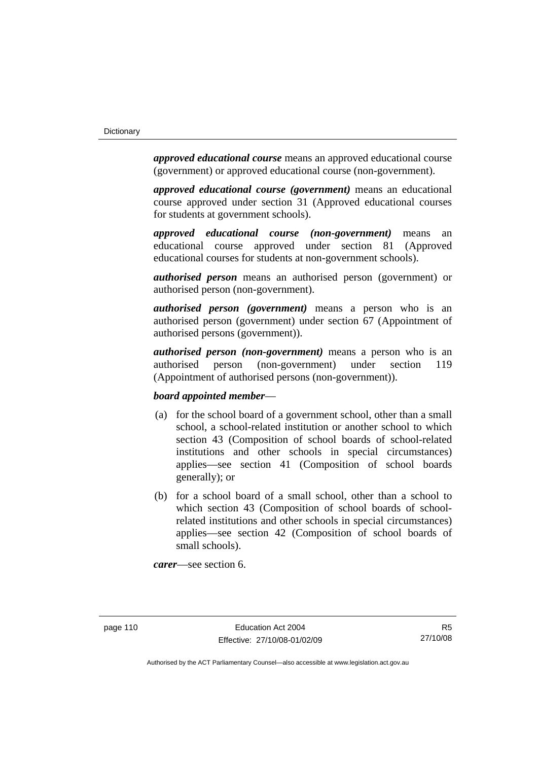*approved educational course* means an approved educational course (government) or approved educational course (non-government).

*approved educational course (government)* means an educational course approved under section 31 (Approved educational courses for students at government schools).

*approved educational course (non-government)* means an educational course approved under section 81 (Approved educational courses for students at non-government schools).

*authorised person* means an authorised person (government) or authorised person (non-government).

*authorised person (government)* means a person who is an authorised person (government) under section 67 (Appointment of authorised persons (government)).

*authorised person (non-government)* means a person who is an authorised person (non-government) under section 119 (Appointment of authorised persons (non-government)).

#### *board appointed member*—

- (a) for the school board of a government school, other than a small school, a school-related institution or another school to which section 43 (Composition of school boards of school-related institutions and other schools in special circumstances) applies—see section 41 (Composition of school boards generally); or
- (b) for a school board of a small school, other than a school to which section 43 (Composition of school boards of schoolrelated institutions and other schools in special circumstances) applies—see section 42 (Composition of school boards of small schools).

*carer*—see section 6.

R5 27/10/08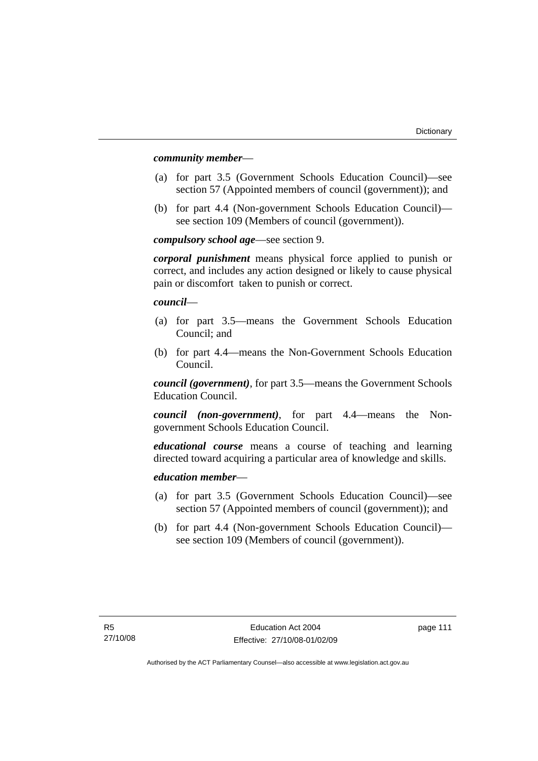#### *community member*—

- (a) for part 3.5 (Government Schools Education Council)—see section 57 (Appointed members of council (government)); and
- (b) for part 4.4 (Non-government Schools Education Council) see section 109 (Members of council (government)).

*compulsory school age*—see section 9.

*corporal punishment* means physical force applied to punish or correct, and includes any action designed or likely to cause physical pain or discomfort taken to punish or correct.

*council*—

- (a) for part 3.5—means the Government Schools Education Council; and
- (b) for part 4.4—means the Non-Government Schools Education Council.

*council (government)*, for part 3.5—means the Government Schools Education Council.

*council (non-government)*, for part 4.4—means the Nongovernment Schools Education Council.

*educational course* means a course of teaching and learning directed toward acquiring a particular area of knowledge and skills.

### *education member*—

- (a) for part 3.5 (Government Schools Education Council)—see section 57 (Appointed members of council (government)); and
- (b) for part 4.4 (Non-government Schools Education Council) see section 109 (Members of council (government)).

page 111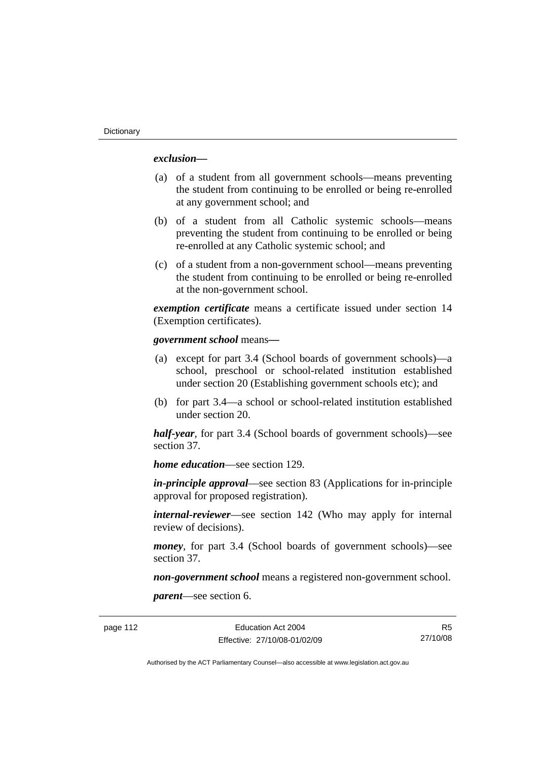## *exclusion***—**

- (a) of a student from all government schools—means preventing the student from continuing to be enrolled or being re-enrolled at any government school; and
- (b) of a student from all Catholic systemic schools—means preventing the student from continuing to be enrolled or being re-enrolled at any Catholic systemic school; and
- (c) of a student from a non-government school—means preventing the student from continuing to be enrolled or being re-enrolled at the non-government school.

*exemption certificate* means a certificate issued under section 14 (Exemption certificates).

#### *government school* means*—*

- (a) except for part 3.4 (School boards of government schools)—a school, preschool or school-related institution established under section 20 (Establishing government schools etc); and
- (b) for part 3.4—a school or school-related institution established under section 20.

*half-year*, for part 3.4 (School boards of government schools)—see section 37.

*home education*—see section 129.

*in-principle approval*—see section 83 (Applications for in-principle approval for proposed registration).

*internal-reviewer*—see section 142 (Who may apply for internal review of decisions).

*money*, for part 3.4 (School boards of government schools)—see section 37.

*non-government school* means a registered non-government school.

*parent*—see section 6.

page 112 Education Act 2004 Effective: 27/10/08-01/02/09

R5 27/10/08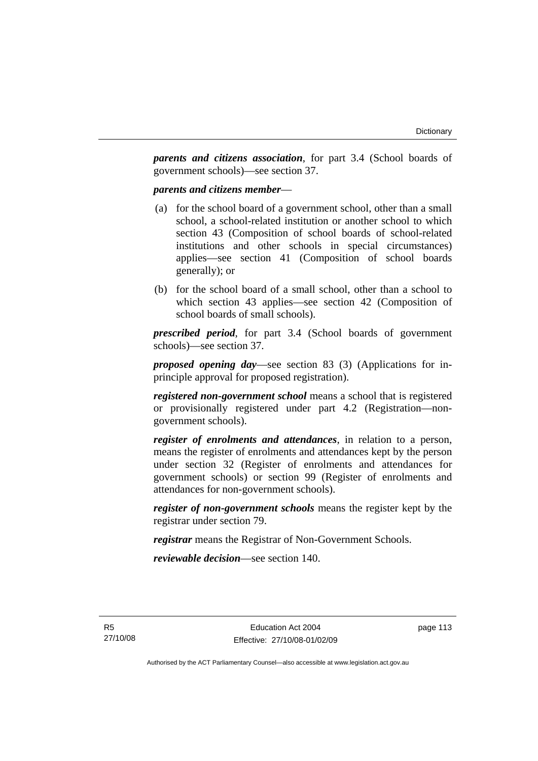*parents and citizens association*, for part 3.4 (School boards of government schools)—see section 37.

#### *parents and citizens member*—

- (a) for the school board of a government school, other than a small school, a school-related institution or another school to which section 43 (Composition of school boards of school-related institutions and other schools in special circumstances) applies—see section 41 (Composition of school boards generally); or
- (b) for the school board of a small school, other than a school to which section 43 applies—see section 42 (Composition of school boards of small schools).

*prescribed period*, for part 3.4 (School boards of government schools)—see section 37.

*proposed opening day*—see section 83 (3) (Applications for inprinciple approval for proposed registration).

*registered non-government school* means a school that is registered or provisionally registered under part 4.2 (Registration—nongovernment schools).

*register of enrolments and attendances*, in relation to a person, means the register of enrolments and attendances kept by the person under section 32 (Register of enrolments and attendances for government schools) or section 99 (Register of enrolments and attendances for non-government schools).

*register of non-government schools* means the register kept by the registrar under section 79.

*registrar* means the Registrar of Non-Government Schools.

*reviewable decision*—see section 140.

page 113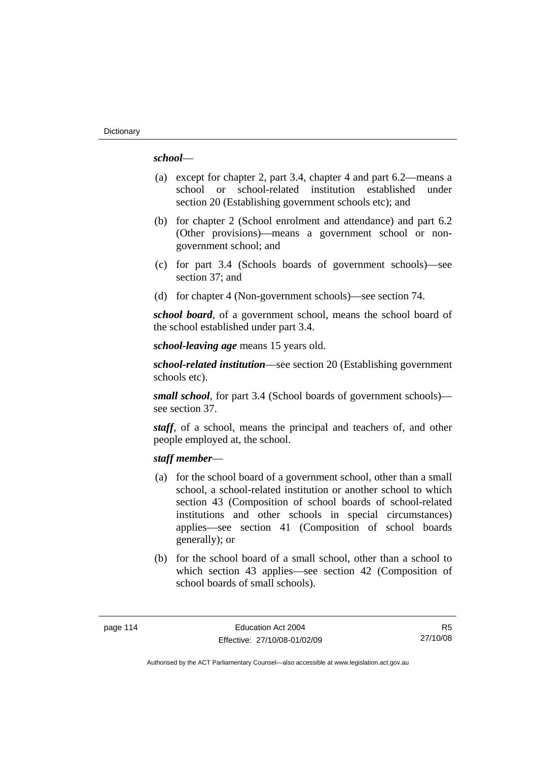## *school*—

- (a) except for chapter 2, part 3.4, chapter 4 and part 6.2—means a school or school-related institution established under section 20 (Establishing government schools etc); and
- (b) for chapter 2 (School enrolment and attendance) and part 6.2 (Other provisions)—means a government school or nongovernment school; and
- (c) for part 3.4 (Schools boards of government schools)—see section 37; and
- (d) for chapter 4 (Non-government schools)—see section 74.

*school board*, of a government school, means the school board of the school established under part 3.4.

*school-leaving age* means 15 years old.

*school-related institution*—see section 20 (Establishing government schools etc).

*small school*, for part 3.4 (School boards of government schools) see section 37.

*staff*, of a school, means the principal and teachers of, and other people employed at, the school.

### *staff member*—

- (a) for the school board of a government school, other than a small school, a school-related institution or another school to which section 43 (Composition of school boards of school-related institutions and other schools in special circumstances) applies—see section 41 (Composition of school boards generally); or
- (b) for the school board of a small school, other than a school to which section 43 applies—see section 42 (Composition of school boards of small schools).

R5 27/10/08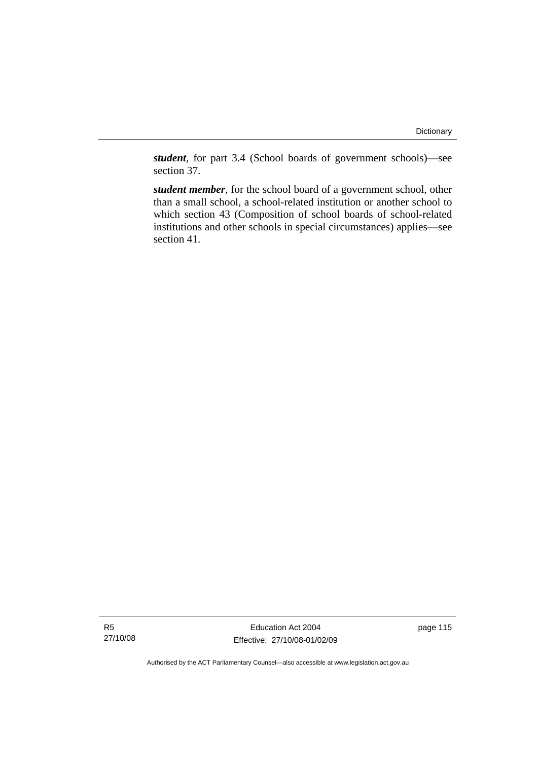*student*, for part 3.4 (School boards of government schools)—see section 37.

*student member*, for the school board of a government school, other than a small school, a school-related institution or another school to which section 43 (Composition of school boards of school-related institutions and other schools in special circumstances) applies—see section 41.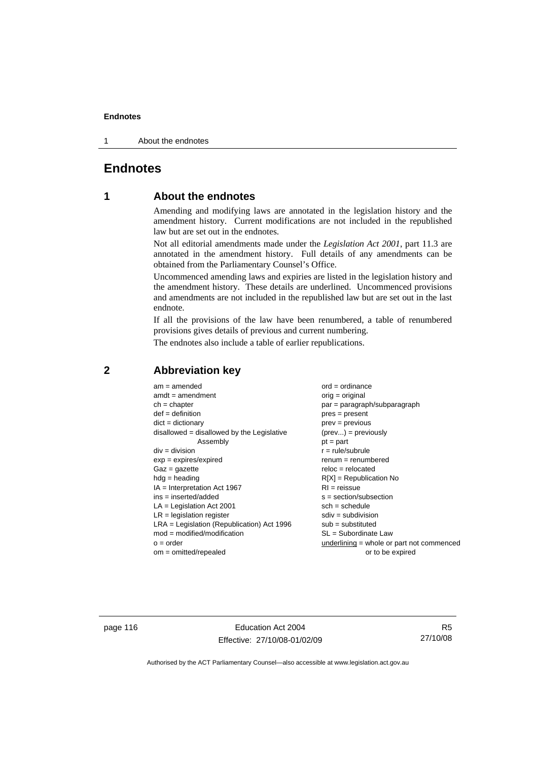1 About the endnotes

## **Endnotes**

## **1 About the endnotes**

Amending and modifying laws are annotated in the legislation history and the amendment history. Current modifications are not included in the republished law but are set out in the endnotes.

Not all editorial amendments made under the *Legislation Act 2001*, part 11.3 are annotated in the amendment history. Full details of any amendments can be obtained from the Parliamentary Counsel's Office.

Uncommenced amending laws and expiries are listed in the legislation history and the amendment history. These details are underlined. Uncommenced provisions and amendments are not included in the republished law but are set out in the last endnote.

If all the provisions of the law have been renumbered, a table of renumbered provisions gives details of previous and current numbering.

The endnotes also include a table of earlier republications.

| $am = amended$                               | $ord = ordinance$                         |
|----------------------------------------------|-------------------------------------------|
| $amdt = amendment$                           | $orig = original$                         |
| $ch = chapter$                               | $par = paragraph/subparagraph$            |
| $def = definition$                           | $pres = present$                          |
| $dict = dictionary$                          | $prev = previous$                         |
| disallowed = disallowed by the Legislative   | $(\text{prev}) = \text{previously}$       |
| Assembly                                     | $pt = part$                               |
| $div = division$                             | $r = rule/subrule$                        |
| $exp = expires/expired$                      | $renum = renumbered$                      |
| $Gaz = gazette$                              | $reloc = relocated$                       |
| $hdg =$ heading                              | $R[X]$ = Republication No                 |
| $IA = Interpretation Act 1967$               | $RI = reissue$                            |
| $ins = inserted/added$                       | $s = section/subsection$                  |
| $LA =$ Legislation Act 2001                  | $sch = schedule$                          |
| $LR =$ legislation register                  | $sdiv = subdivision$                      |
| $LRA =$ Legislation (Republication) Act 1996 | $sub = substituted$                       |
| $mod = modified/modification$                | SL = Subordinate Law                      |
| $o = order$                                  | underlining = whole or part not commenced |
| om = omitted/repealed                        | or to be expired                          |
|                                              |                                           |

### **2 Abbreviation key**

page 116 **Education Act 2004** Effective: 27/10/08-01/02/09

R5 27/10/08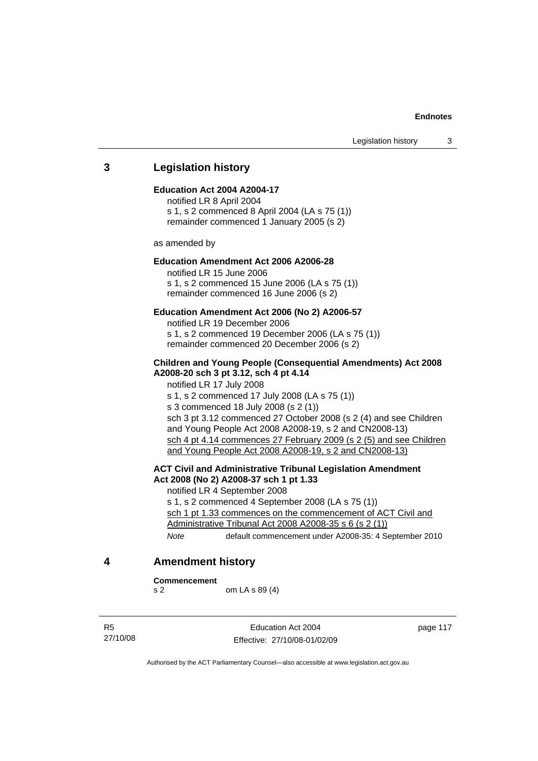### **3 Legislation history**

#### **Education Act 2004 A2004-17**

notified LR 8 April 2004 s 1, s 2 commenced 8 April 2004 (LA s 75 (1)) remainder commenced 1 January 2005 (s 2)

as amended by

### **Education Amendment Act 2006 A2006-28**

notified LR 15 June 2006 s 1, s 2 commenced 15 June 2006 (LA s 75 (1)) remainder commenced 16 June 2006 (s 2)

#### **Education Amendment Act 2006 (No 2) A2006-57**

notified LR 19 December 2006 s 1, s 2 commenced 19 December 2006 (LA s 75 (1)) remainder commenced 20 December 2006 (s 2)

#### **Children and Young People (Consequential Amendments) Act 2008 A2008-20 sch 3 pt 3.12, sch 4 pt 4.14**

notified LR 17 July 2008 s 1, s 2 commenced 17 July 2008 (LA s 75 (1)) s 3 commenced 18 July 2008 (s 2 (1)) sch 3 pt 3.12 commenced 27 October 2008 (s 2 (4) and see Children and Young People Act 2008 A2008-19, s 2 and CN2008-13) sch 4 pt 4.14 commences 27 February 2009 (s 2 (5) and see Children and Young People Act 2008 A2008-19, s 2 and CN2008-13)

### **ACT Civil and Administrative Tribunal Legislation Amendment Act 2008 (No 2) A2008-37 sch 1 pt 1.33**

notified LR 4 September 2008 s 1, s 2 commenced 4 September 2008 (LA s 75 (1)) sch 1 pt 1.33 commences on the commencement of ACT Civil and Administrative Tribunal Act 2008 A2008-35 s 6 (s 2 (1))

*Note* default commencement under A2008-35: 4 September 2010

#### **4 Amendment history**

**Commencement** 

s 2 om LA s 89 (4)

R5 27/10/08

Education Act 2004 Effective: 27/10/08-01/02/09 page 117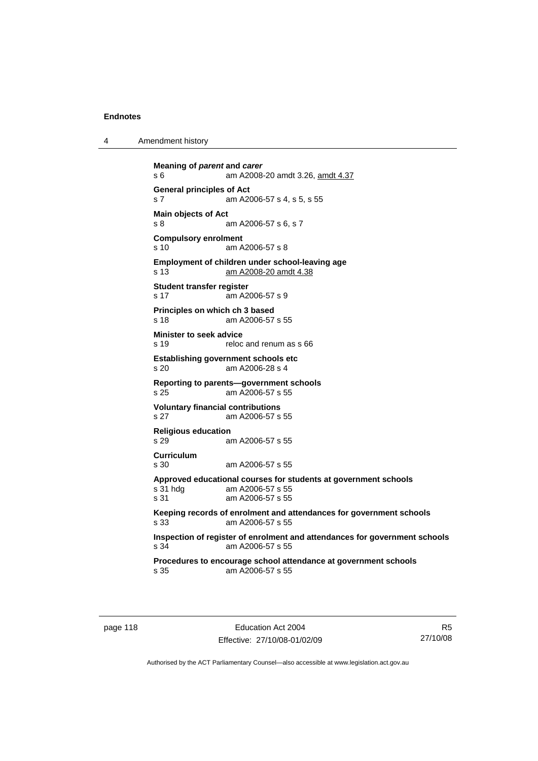4 Amendment history

**Meaning of** *parent* **and** *carer*  s 6 am A2008-20 amdt 3.26, amdt 4.37 **General principles of Act**  s 7 am A2006-57 s 4, s 5, s 55 **Main objects of Act**  s 8 am A2006-57 s 6, s 7 **Compulsory enrolment**  s 10 am A2006-57 s 8 **Employment of children under school-leaving age**  s 13 am A2008-20 amdt 4.38 **Student transfer register**  s 17 am A2006-57 s 9 **Principles on which ch 3 based**  s 18 am A2006-57 s 55 **Minister to seek advice**  s 19 reloc and renum as s 66 **Establishing government schools etc**  s 20 am A2006-28 s 4 **Reporting to parents—government schools**  am A2006-57 s 55 **Voluntary financial contributions**  s 27 am A2006-57 s 55 **Religious education**  s 29 am A2006-57 s 55 **Curriculum**  s 30 am A2006-57 s 55 **Approved educational courses for students at government schools**  s 31 hdg am A2006-57 s 55 s 31 am A2006-57 s 55 **Keeping records of enrolment and attendances for government schools**  s 33 am A2006-57 s 55 **Inspection of register of enrolment and attendances for government schools**  am A2006-57 s 55 **Procedures to encourage school attendance at government schools**  s 35 am A2006-57 s 55

page 118 **Education Act 2004** Effective: 27/10/08-01/02/09

R5 27/10/08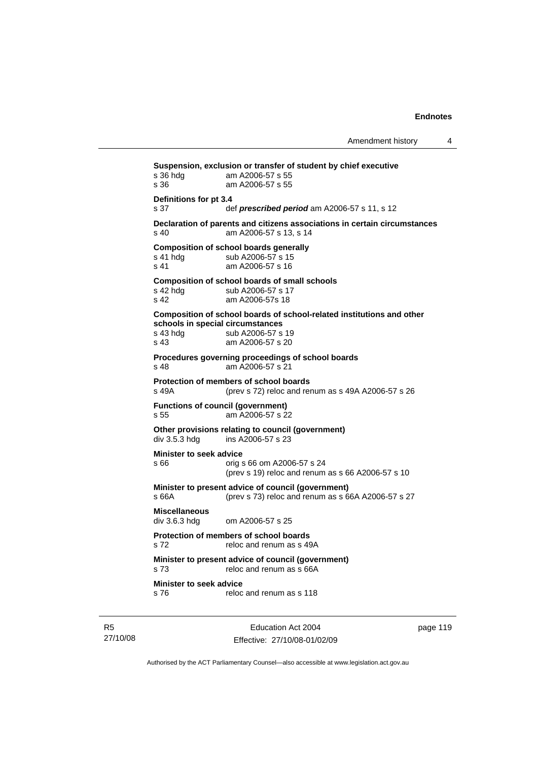**Suspension, exclusion or transfer of student by chief executive**  s 36 hdg am A2006-57 s 55 s 36 am A2006-57 s 55 **Definitions for pt 3.4**  s 37 def *prescribed period* am A2006-57 s 11, s 12 **Declaration of parents and citizens associations in certain circumstances**  s 40 am A2006-57 s 13, s 14 **Composition of school boards generally**  s 41 hdg sub A2006-57 s 15 s 41 am A2006-57 s 16 **Composition of school boards of small schools** s 42 hdg sub A2006-57 s 17 sub A2006-57 s 17 s 42 am A2006-57s 18 **Composition of school boards of school-related institutions and other schools in special circumstances**  s 43 hdg sub A2006-57 s 19<br>s 43 am A2006-57 s 20 am A2006-57 s 20 **Procedures governing proceedings of school boards**  s 48 am A2006-57 s 21 **Protection of members of school boards**  s 49A (prev s 72) reloc and renum as s 49A A2006-57 s 26 **Functions of council (government)**  s 55 am A2006-57 s 22 Other provisions relating to council (government)<br>div 3.5.3 hdg ins A2006-57 s 23 ins A2006-57 s 23 **Minister to seek advice**  s 66 orig s 66 om A2006-57 s 24 (prev s 19) reloc and renum as s 66 A2006-57 s 10 **Minister to present advice of council (government)**  s 66A (prev s 73) reloc and renum as s 66A A2006-57 s 27 **Miscellaneous**  om A2006-57 s 25. **Protection of members of school boards**  s 72 reloc and renum as s 49A **Minister to present advice of council (government)**  s 73 reloc and renum as s 66A **Minister to seek advice**  s 76 reloc and renum as s 118

R5 27/10/08

Education Act 2004 Effective: 27/10/08-01/02/09 page 119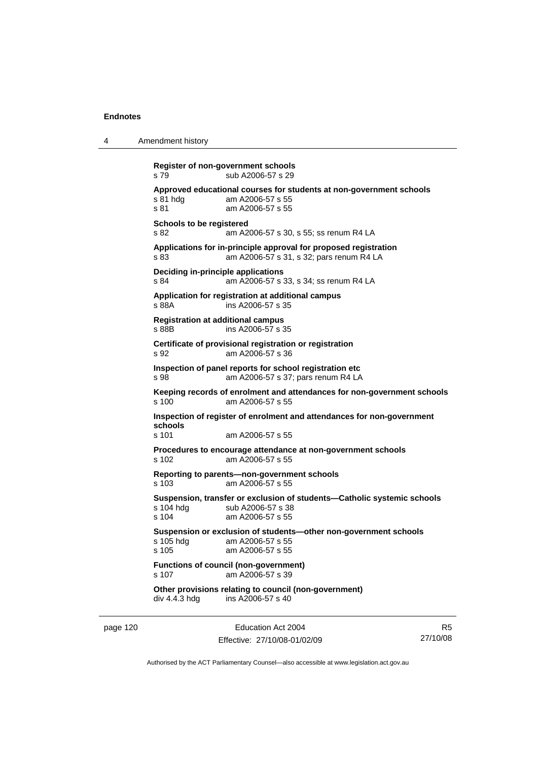4 Amendment history

**Register of non-government schools**  s 79 sub A2006-57 s 29 **Approved educational courses for students at non-government schools**  s 81 hdg am A2006-57 s 55 s 81 am A2006-57 s 55 **Schools to be registered**  s 82 am A2006-57 s 30, s 55; ss renum R4 LA **Applications for in-principle approval for proposed registration**  s 83 am A2006-57 s 31, s 32; pars renum R4 LA **Deciding in-principle applications**  s 84 am A2006-57 s 33, s 34; ss renum R4 LA **Application for registration at additional campus**  s 88A ins A2006-57 s 35 **Registration at additional campus**  s 88B ins A2006-57 s 35 **Certificate of provisional registration or registration**  s 92 am A2006-57 s 36 **Inspection of panel reports for school registration etc**  s 98 am A2006-57 s 37; pars renum R4 LA **Keeping records of enrolment and attendances for non-government schools**  am A2006-57 s 55 **Inspection of register of enrolment and attendances for non-government schools**  s 101 am A2006-57 s 55 **Procedures to encourage attendance at non-government schools**  s 102 am A2006-57 s 55 **Reporting to parents—non-government schools**  s 103 am A2006-57 s 55 **Suspension, transfer or exclusion of students—Catholic systemic schools**  s 104 hdg sub A2006-57 s 38 s 104 am A2006-57 s 55 **Suspension or exclusion of students—other non-government schools**  am A2006-57 s 55 s 105 am A2006-57 s 55 **Functions of council (non-government)**  s 107 am A2006-57 s 39 **Other provisions relating to council (non-government)**  div 4.4.3 hdg ins A2006-57 s 40

page 120 **Education Act 2004** Effective: 27/10/08-01/02/09

R5 27/10/08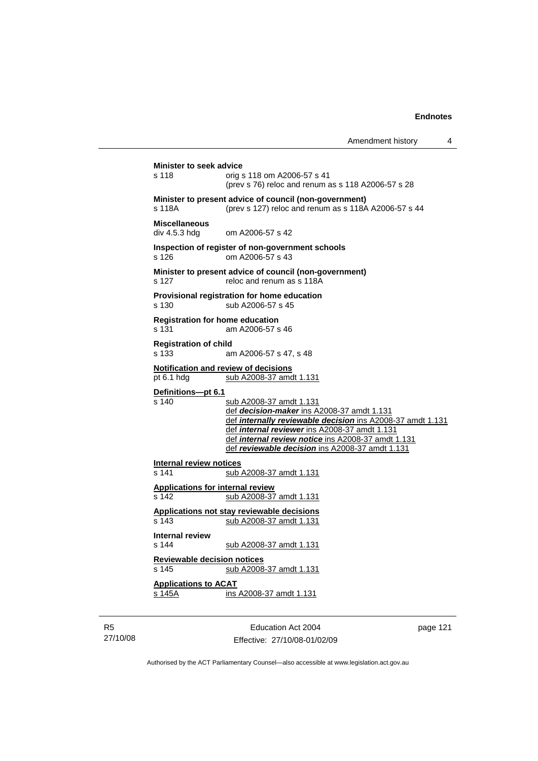Amendment history 4 **Minister to seek advice**  s 118 orig s 118 om A2006-57 s 41 (prev s 76) reloc and renum as s 118 A2006-57 s 28 **Minister to present advice of council (non-government)**  s 118A (prev s 127) reloc and renum as s 118A A2006-57 s 44 **Miscellaneous**  div 4.5.3 hdg om A2006-57 s 42 **Inspection of register of non-government schools**  s 126 om A2006-57 s 43 **Minister to present advice of council (non-government)**  s 127 reloc and renum as s 118A **Provisional registration for home education**  s 130 sub A2006-57 s 45 **Registration for home education**  s 131 am A2006-57 s 46 **Registration of child**  s 133 am A2006-57 s 47, s 48 **Notification and review of decisions** pt 6.1 hdg sub A2008-37 amdt 1.131 **Definitions***—***pt 6.1** s 140 sub A2008-37 amdt 1.131 def *decision-maker* ins A2008-37 amdt 1.131 def *internally reviewable decision* ins A2008-37 amdt 1.131 def *internal reviewer* ins A2008-37 amdt 1.131 def *internal review notice* ins A2008-37 amdt 1.131 def *reviewable decision* ins A2008-37 amdt 1.131 **Internal review notices**<br>s 141 sub sub A2008-37 amdt 1.131 **Applications for internal review** s 142 sub A2008-37 amdt 1.131 **Applications not stay reviewable decisions** s 143 sub A2008-37 amdt 1.131 **Internal review**  s 144 sub A2008-37 amdt 1.131 **Reviewable decision notices** s 145 sub A2008-37 amdt 1.131 **Applications to ACAT** s 145A ins A2008-37 amdt 1.131

R5 27/10/08

Education Act 2004 Effective: 27/10/08-01/02/09 page 121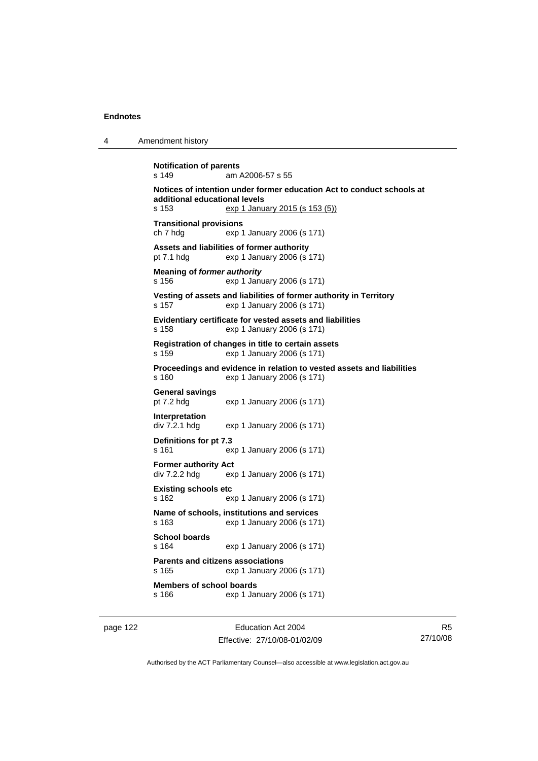4 Amendment history

```
Notification of parents 
s 149 am A2006-57 s 55 
Notices of intention under former education Act to conduct schools at 
additional educational levels 
s 153 exp 1 January 2015 (s 153 (5))
Transitional provisions 
ch 7 hdg exp 1 January 2006 (s 171) 
Assets and liabilities of former authority 
pt 7.1 hdg exp 1 January 2006 (s 171) 
Meaning of former authority
s 156 exp 1 January 2006 (s 171) 
Vesting of assets and liabilities of former authority in Territory 
s 157 exp 1 January 2006 (s 171) 
Evidentiary certificate for vested assets and liabilities 
s 158 exp 1 January 2006 (s 171) 
Registration of changes in title to certain assets 
s 159 exp 1 January 2006 (s 171) 
Proceedings and evidence in relation to vested assets and liabilities 
s 160 exp 1 January 2006 (s 171) 
General savings 
                 exp 1 January 2006 (s 171)
Interpretation 
div 7.2.1 hdg exp 1 January 2006 (s 171) 
Definitions for pt 7.3 
s 161 exp 1 January 2006 (s 171) 
Former authority Act 
div 7.2.2 hdg exp 1 January 2006 (s 171) 
Existing schools etc 
s 162 exp 1 January 2006 (s 171) 
Name of schools, institutions and services 
s 163 exp 1 January 2006 (s 171) 
School boards 
s 164 exp 1 January 2006 (s 171) 
Parents and citizens associations 
s 165 exp 1 January 2006 (s 171) 
Members of school boards 
s 166 exp 1 January 2006 (s 171)
```
page 122 **Education Act 2004** Effective: 27/10/08-01/02/09

R5 27/10/08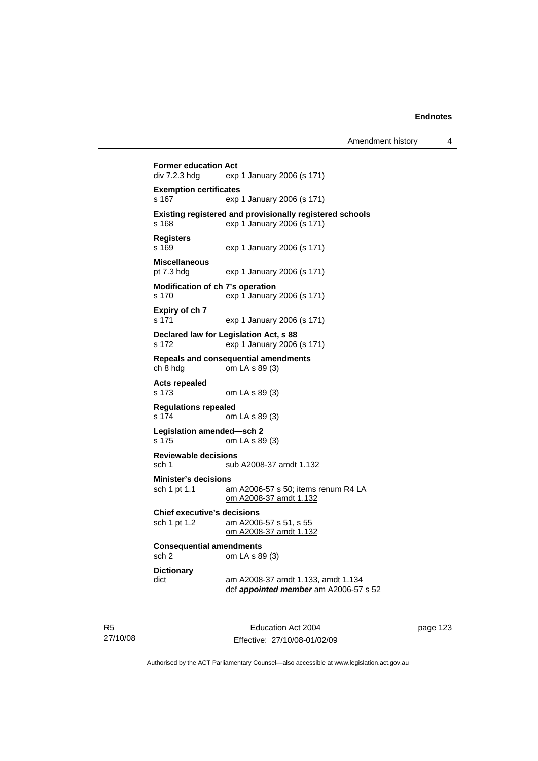```
Former education Act div 7.2.3 hdg exp
                exp 1 January 2006 (s 171)
Exemption certificates 
s 167 exp 1 January 2006 (s 171)
Existing registered and provisionally registered schools 
s 168 exp 1 January 2006 (s 171) 
Registers 
s 169 exp 1 January 2006 (s 171) 
Miscellaneous 
                exp 1 January 2006 (s 171)
Modification of ch 7's operation 
s 170 exp 1 January 2006 (s 171) 
Expiry of ch 7 
s 171 exp 1 January 2006 (s 171) 
Declared law for Legislation Act, s 88 
s 172 exp 1 January 2006 (s 171) 
Repeals and consequential amendments 
ch 8 hdg om LA s 89 (3) 
Acts repealed 
s 173 om LA s 89 (3) 
Regulations repealed 
                om LA s 89 (3)
Legislation amended—sch 2 
s 175 om LA s 89 (3) 
Reviewable decisions 
sch 1 sub A2008-37 amdt 1.132
Minister's decisions 
sch 1 pt 1.1 am A2006-57 s 50; items renum R4 LA 
                 om A2008-37 amdt 1.132
Chief executive's decisions 
sch 1 pt 1.2 am A2006-57 s 51, s 55 
                 om A2008-37 amdt 1.132
Consequential amendments 
sch 2 om LA s 89 (3) 
Dictionary 
dict am A2008-37 amdt 1.133, amdt 1.134
                 def appointed member am A2006-57 s 52
```
R5 27/10/08

Education Act 2004 Effective: 27/10/08-01/02/09 page 123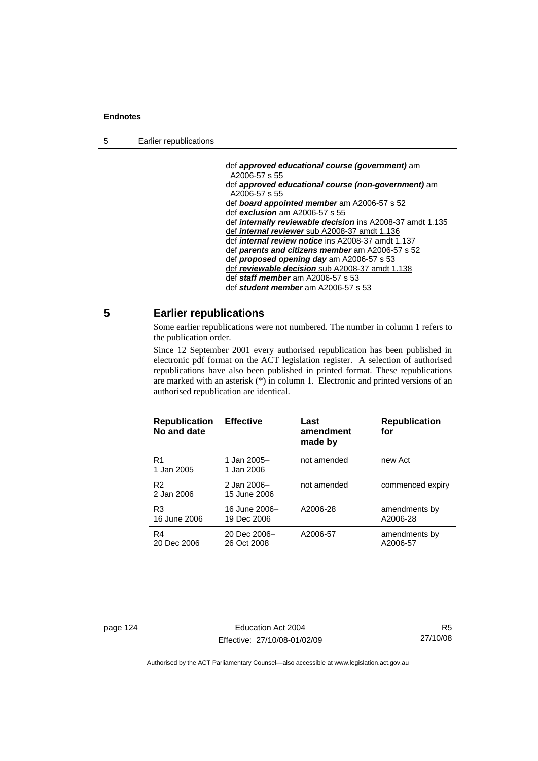5 Earlier republications

 def *approved educational course (government)* am A2006-57 s 55 def *approved educational course (non-government)* am A2006-57 s 55 def *board appointed member* am A2006-57 s 52 def *exclusion* am A2006-57 s 55 def *internally reviewable decision* ins A2008-37 amdt 1.135 def *internal reviewer* sub A2008-37 amdt 1.136 def *internal review notice* ins A2008-37 amdt 1.137 def *parents and citizens member* am A2006-57 s 52 def *proposed opening day* am A2006-57 s 53 def *reviewable decision* sub A2008-37 amdt 1.138 def *staff member* am A2006-57 s 53 def *student member* am A2006-57 s 53

## **5 Earlier republications**

Some earlier republications were not numbered. The number in column 1 refers to the publication order.

Since 12 September 2001 every authorised republication has been published in electronic pdf format on the ACT legislation register. A selection of authorised republications have also been published in printed format. These republications are marked with an asterisk (\*) in column 1. Electronic and printed versions of an authorised republication are identical.

| <b>Republication</b><br>No and date | <b>Effective</b>             | Last<br>amendment<br>made by | <b>Republication</b><br>for |
|-------------------------------------|------------------------------|------------------------------|-----------------------------|
| R <sub>1</sub><br>1 Jan 2005        | 1 Jan 2005-<br>1 Jan 2006    | not amended                  | new Act                     |
| R <sub>2</sub><br>2 Jan 2006        | 2 Jan 2006-<br>15 June 2006  | not amended                  | commenced expiry            |
| R <sub>3</sub><br>16 June 2006      | 16 June 2006-<br>19 Dec 2006 | A2006-28                     | amendments by<br>A2006-28   |
| R <sub>4</sub><br>20 Dec 2006       | 20 Dec 2006-<br>26 Oct 2008  | A2006-57                     | amendments by<br>A2006-57   |

page 124 Education Act 2004 Effective: 27/10/08-01/02/09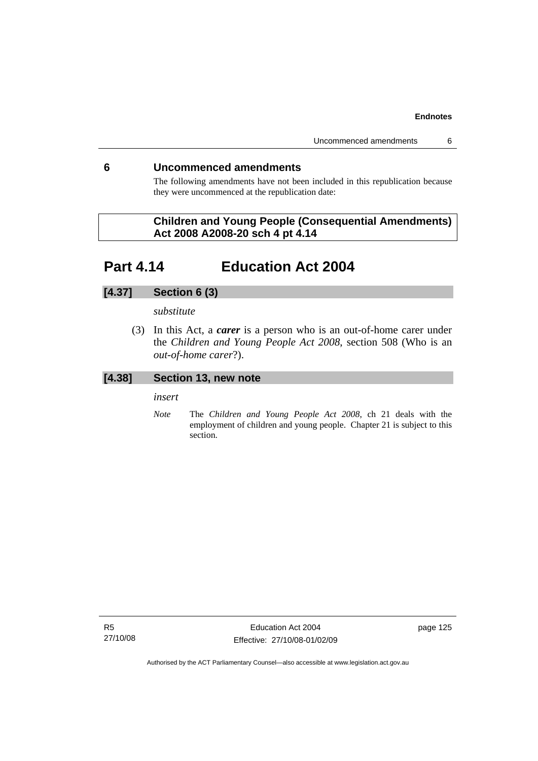## **6 Uncommenced amendments**

The following amendments have not been included in this republication because they were uncommenced at the republication date:

## **Children and Young People (Consequential Amendments) Act 2008 A2008-20 sch 4 pt 4.14**

## **Part 4.14 Education Act 2004**

## **[4.37] Section 6 (3)**

## *substitute*

 (3) In this Act, a *carer* is a person who is an out-of-home carer under the *Children and Young People Act 2008*, section 508 (Who is an *out-of-home carer*?).

## **[4.38] Section 13, new note**

*insert* 

*Note* The *Children and Young People Act 2008*, ch 21 deals with the employment of children and young people. Chapter 21 is subject to this section.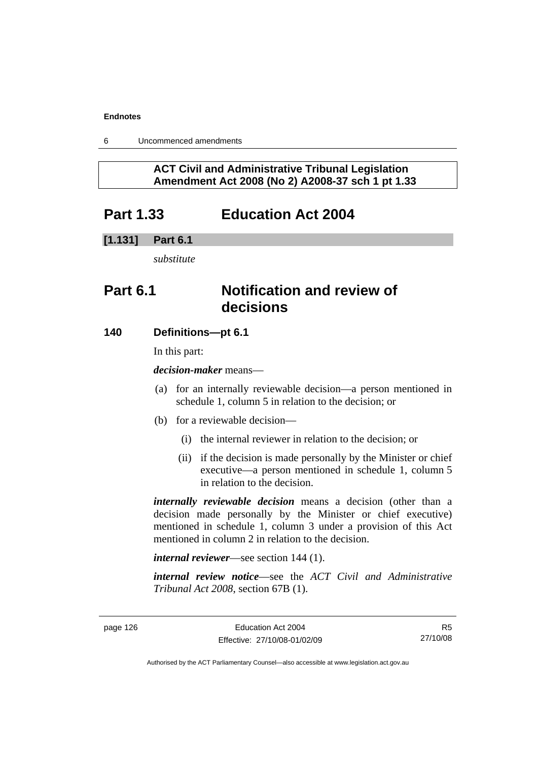6 Uncommenced amendments

## **ACT Civil and Administrative Tribunal Legislation Amendment Act 2008 (No 2) A2008-37 sch 1 pt 1.33**

## **Part 1.33 Education Act 2004**

## **[1.131] Part 6.1**

*substitute* 

## **Part 6.1 Notification and review of decisions**

## **140 Definitions***—***pt 6.1**

In this part:

*decision-maker* means—

- (a) for an internally reviewable decision—a person mentioned in schedule 1, column 5 in relation to the decision; or
- (b) for a reviewable decision—
	- (i) the internal reviewer in relation to the decision; or
	- (ii) if the decision is made personally by the Minister or chief executive—a person mentioned in schedule 1, column 5 in relation to the decision.

*internally reviewable decision* means a decision (other than a decision made personally by the Minister or chief executive) mentioned in schedule 1, column 3 under a provision of this Act mentioned in column 2 in relation to the decision.

*internal reviewer*—see section 144 (1).

*internal review notice*—see the *ACT Civil and Administrative Tribunal Act 2008*, section 67B (1).

R5 27/10/08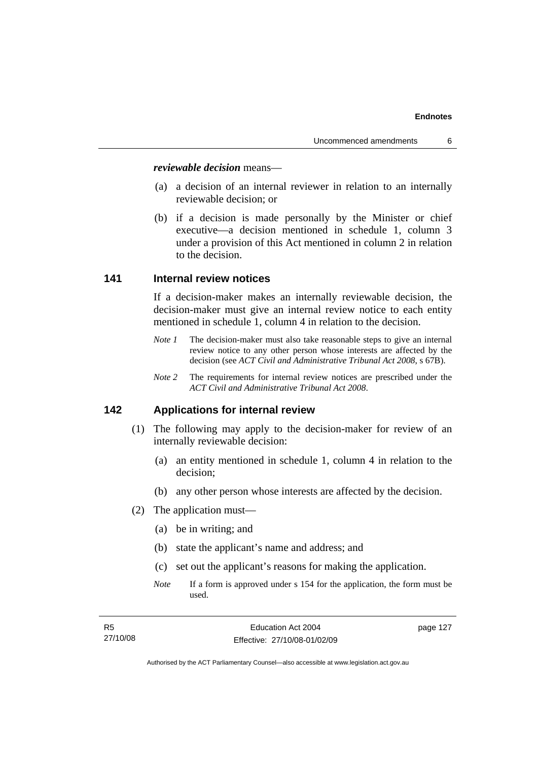#### *reviewable decision* means—

- (a) a decision of an internal reviewer in relation to an internally reviewable decision; or
- (b) if a decision is made personally by the Minister or chief executive—a decision mentioned in schedule 1, column 3 under a provision of this Act mentioned in column 2 in relation to the decision.

## **141 Internal review notices**

If a decision-maker makes an internally reviewable decision, the decision-maker must give an internal review notice to each entity mentioned in schedule 1, column 4 in relation to the decision.

- *Note 1* The decision-maker must also take reasonable steps to give an internal review notice to any other person whose interests are affected by the decision (see *ACT Civil and Administrative Tribunal Act 2008*, s 67B).
- *Note 2* The requirements for internal review notices are prescribed under the *ACT Civil and Administrative Tribunal Act 2008*.

## **142 Applications for internal review**

- (1) The following may apply to the decision-maker for review of an internally reviewable decision:
	- (a) an entity mentioned in schedule 1, column 4 in relation to the decision;
	- (b) any other person whose interests are affected by the decision.
- (2) The application must—
	- (a) be in writing; and
	- (b) state the applicant's name and address; and
	- (c) set out the applicant's reasons for making the application.
	- *Note* If a form is approved under s 154 for the application, the form must be used.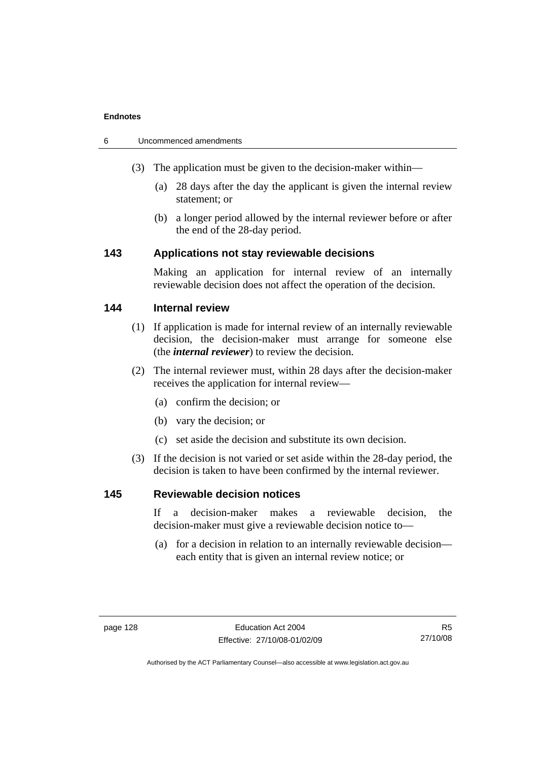| -6 | Uncommenced amendments |  |
|----|------------------------|--|
|    |                        |  |

- (3) The application must be given to the decision-maker within—
	- (a) 28 days after the day the applicant is given the internal review statement; or
	- (b) a longer period allowed by the internal reviewer before or after the end of the 28-day period.

## **143 Applications not stay reviewable decisions**

Making an application for internal review of an internally reviewable decision does not affect the operation of the decision.

## **144 Internal review**

- (1) If application is made for internal review of an internally reviewable decision, the decision-maker must arrange for someone else (the *internal reviewer*) to review the decision.
- (2) The internal reviewer must, within 28 days after the decision-maker receives the application for internal review—
	- (a) confirm the decision; or
	- (b) vary the decision; or
	- (c) set aside the decision and substitute its own decision.
- (3) If the decision is not varied or set aside within the 28-day period, the decision is taken to have been confirmed by the internal reviewer.

## **145 Reviewable decision notices**

If a decision-maker makes a reviewable decision, the decision-maker must give a reviewable decision notice to—

 (a) for a decision in relation to an internally reviewable decision each entity that is given an internal review notice; or

R5 27/10/08

Authorised by the ACT Parliamentary Counsel—also accessible at www.legislation.act.gov.au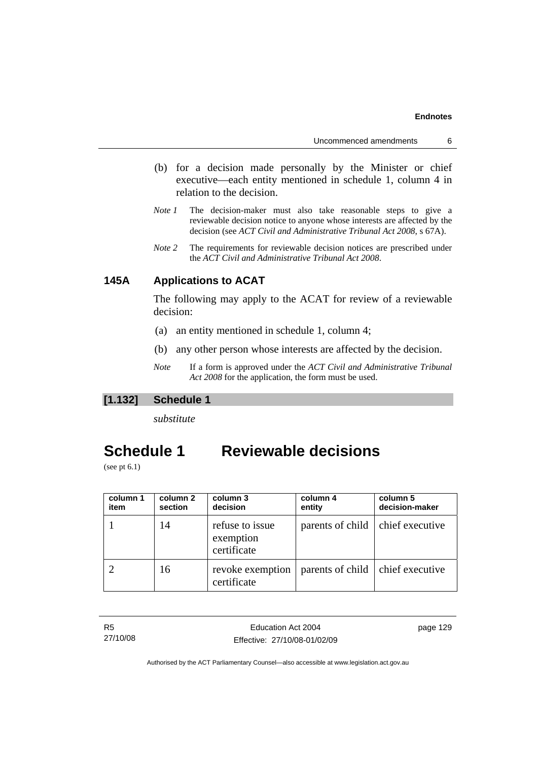Uncommenced amendments 6

- (b) for a decision made personally by the Minister or chief executive—each entity mentioned in schedule 1, column 4 in relation to the decision.
- *Note 1* The decision-maker must also take reasonable steps to give a reviewable decision notice to anyone whose interests are affected by the decision (see *ACT Civil and Administrative Tribunal Act 2008*, s 67A).
- *Note* 2 The requirements for reviewable decision notices are prescribed under the *ACT Civil and Administrative Tribunal Act 2008*.

## **145A Applications to ACAT**

The following may apply to the ACAT for review of a reviewable decision:

- (a) an entity mentioned in schedule 1, column 4;
- (b) any other person whose interests are affected by the decision.
- *Note* If a form is approved under the *ACT Civil and Administrative Tribunal Act 2008* for the application, the form must be used.

## **[1.132] Schedule 1**

*substitute* 

## **Schedule 1 Reviewable decisions**

(see pt 6.1)

| column 1<br>item | column 2<br>section | column 3<br>decision                        | column 4<br>entity                 | column 5<br>decision-maker |
|------------------|---------------------|---------------------------------------------|------------------------------------|----------------------------|
|                  | 14                  | refuse to issue<br>exemption<br>certificate | parents of child   chief executive |                            |
|                  | 16                  | revoke exemption<br>certificate             | parents of child   chief executive |                            |

| - R5     | Education Act 2004           | page 129 |
|----------|------------------------------|----------|
| 27/10/08 | Effective: 27/10/08-01/02/09 |          |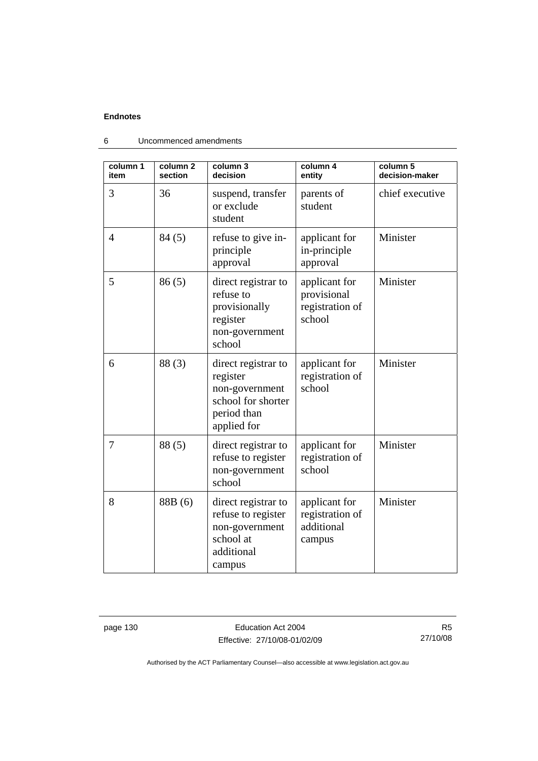| column 1<br>item | column <sub>2</sub><br>section | column 3<br>decision                                                                                  | column 4<br>entity                                        | column 5<br>decision-maker |
|------------------|--------------------------------|-------------------------------------------------------------------------------------------------------|-----------------------------------------------------------|----------------------------|
| 3                | 36                             | suspend, transfer<br>or exclude<br>student                                                            | parents of<br>student                                     | chief executive            |
| $\overline{4}$   | 84(5)                          | refuse to give in-<br>principle<br>approval                                                           | applicant for<br>in-principle<br>approval                 | Minister                   |
| 5                | 86(5)                          | direct registrar to<br>refuse to<br>provisionally<br>register<br>non-government<br>school             | applicant for<br>provisional<br>registration of<br>school | Minister                   |
| 6                | 88(3)                          | direct registrar to<br>register<br>non-government<br>school for shorter<br>period than<br>applied for | applicant for<br>registration of<br>school                | Minister                   |
| 7                | 88 (5)                         | direct registrar to<br>refuse to register<br>non-government<br>school                                 | applicant for<br>registration of<br>school                | Minister                   |
| 8                | 88B (6)                        | direct registrar to<br>refuse to register<br>non-government<br>school at<br>additional<br>campus      | applicant for<br>registration of<br>additional<br>campus  | Minister                   |

6 Uncommenced amendments

page 130 **Education Act 2004** Effective: 27/10/08-01/02/09

R5 27/10/08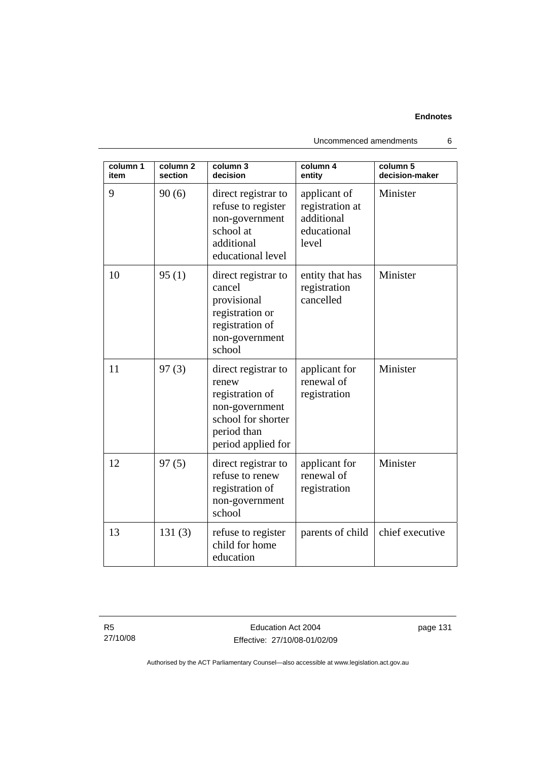| column 1<br>item | column <sub>2</sub><br>section | column 3<br>decision                                                                                                         | column 4<br>entity                                                    | column 5<br>decision-maker |
|------------------|--------------------------------|------------------------------------------------------------------------------------------------------------------------------|-----------------------------------------------------------------------|----------------------------|
| 9                | 90(6)                          | direct registrar to<br>refuse to register<br>non-government<br>school at<br>additional<br>educational level                  | applicant of<br>registration at<br>additional<br>educational<br>level | Minister                   |
| 10               | 95(1)                          | direct registrar to<br>cancel<br>provisional<br>registration or<br>registration of<br>non-government<br>school               | entity that has<br>registration<br>cancelled                          | Minister                   |
| 11               | 97(3)                          | direct registrar to<br>renew<br>registration of<br>non-government<br>school for shorter<br>period than<br>period applied for | applicant for<br>renewal of<br>registration                           | Minister                   |
| 12               | 97(5)                          | direct registrar to<br>refuse to renew<br>registration of<br>non-government<br>school                                        | applicant for<br>renewal of<br>registration                           | Minister                   |
| 13               | 131(3)                         | refuse to register<br>child for home<br>education                                                                            | parents of child                                                      | chief executive            |

Uncommenced amendments 6

R5 27/10/08

Education Act 2004 Effective: 27/10/08-01/02/09 page 131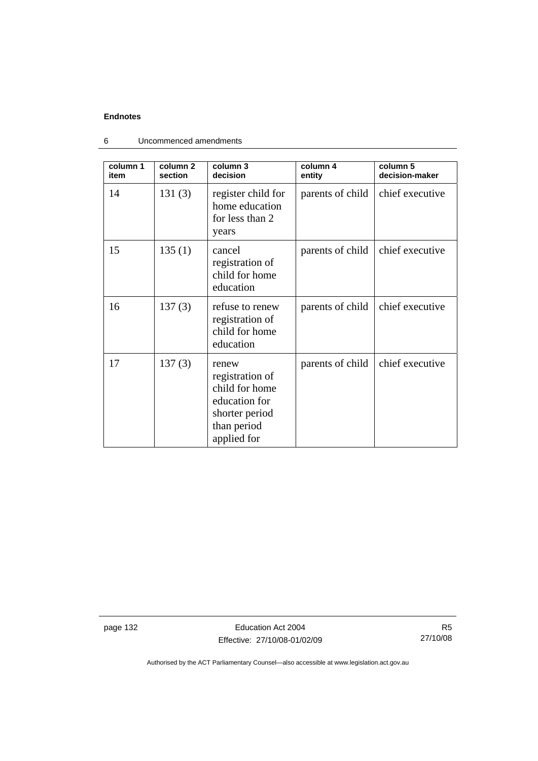| column 1<br>item | column <sub>2</sub><br>section | column 3<br>decision                                                                                        | column 4<br>entity | column 5<br>decision-maker |
|------------------|--------------------------------|-------------------------------------------------------------------------------------------------------------|--------------------|----------------------------|
| 14               | 131(3)                         | register child for<br>home education<br>for less than 2<br>years                                            | parents of child   | chief executive            |
| 15               | 135(1)                         | cancel<br>registration of<br>child for home<br>education                                                    | parents of child   | chief executive            |
| 16               | 137(3)                         | refuse to renew<br>registration of<br>child for home<br>education                                           | parents of child   | chief executive            |
| 17               | 137(3)                         | renew<br>registration of<br>child for home<br>education for<br>shorter period<br>than period<br>applied for | parents of child   | chief executive            |

6 Uncommenced amendments

page 132 **Education Act 2004** Effective: 27/10/08-01/02/09

R5 27/10/08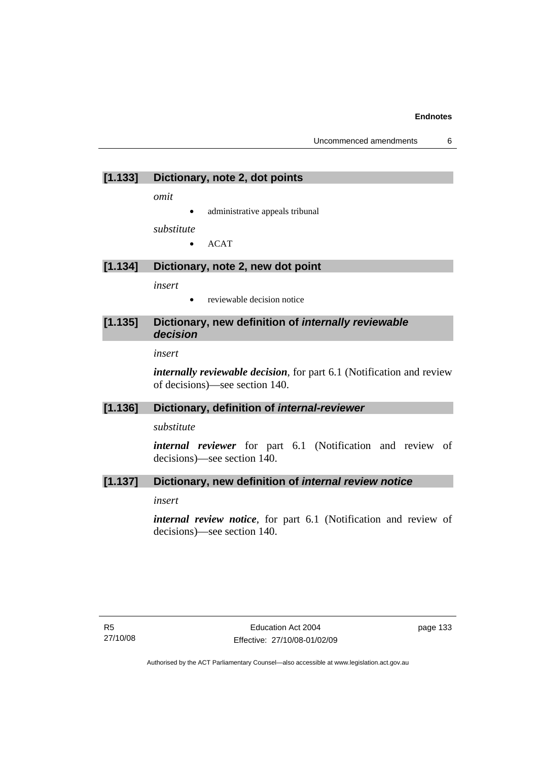## **[1.133] Dictionary, note 2, dot points**

*omit* 

administrative appeals tribunal

*substitute* 

• ACAT

## **[1.134] Dictionary, note 2, new dot point**

*insert* 

• reviewable decision notice

## **[1.135] Dictionary, new definition of** *internally reviewable decision*

*insert*

*internally reviewable decision*, for part 6.1 (Notification and review of decisions)—see section 140.

### **[1.136] Dictionary, definition of** *internal-reviewer*

*substitute* 

*internal reviewer* for part 6.1 (Notification and review of decisions)—see section 140.

## **[1.137] Dictionary, new definition of** *internal review notice*

*insert* 

*internal review notice*, for part 6.1 (Notification and review of decisions)—see section 140.

page 133